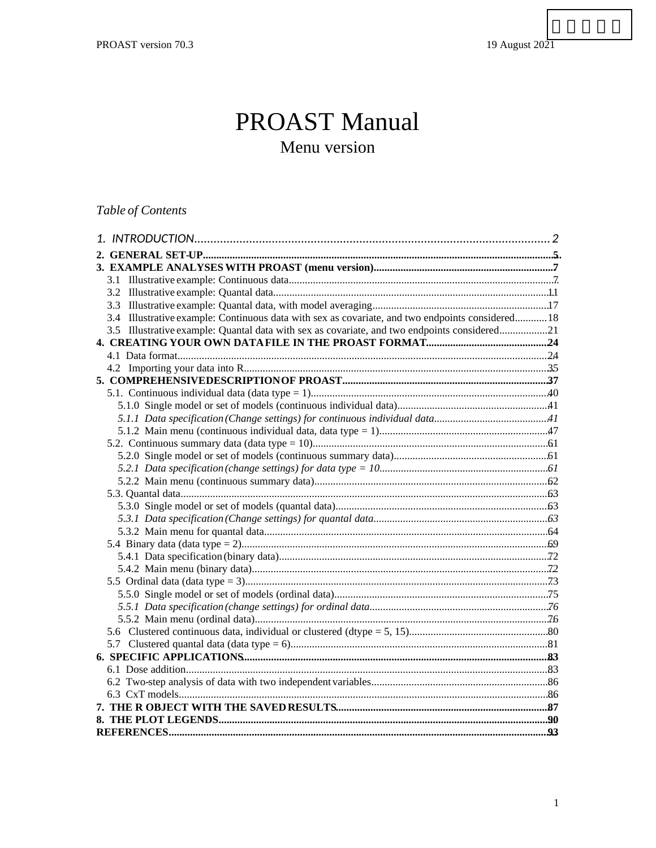# **PROAST Manual** Menu version

# Table of Contents

| 3.4 Illustrative example: Continuous data with sex as covariate, and two endpoints considered 18 |  |
|--------------------------------------------------------------------------------------------------|--|
| 3.5 Illustrative example: Quantal data with sex as covariate, and two endpoints considered21     |  |
|                                                                                                  |  |
|                                                                                                  |  |
|                                                                                                  |  |
|                                                                                                  |  |
|                                                                                                  |  |
|                                                                                                  |  |
|                                                                                                  |  |
|                                                                                                  |  |
|                                                                                                  |  |
|                                                                                                  |  |
|                                                                                                  |  |
|                                                                                                  |  |
|                                                                                                  |  |
|                                                                                                  |  |
|                                                                                                  |  |
|                                                                                                  |  |
|                                                                                                  |  |
|                                                                                                  |  |
|                                                                                                  |  |
|                                                                                                  |  |
|                                                                                                  |  |
|                                                                                                  |  |
|                                                                                                  |  |
|                                                                                                  |  |
|                                                                                                  |  |
|                                                                                                  |  |
|                                                                                                  |  |
|                                                                                                  |  |
|                                                                                                  |  |
|                                                                                                  |  |
|                                                                                                  |  |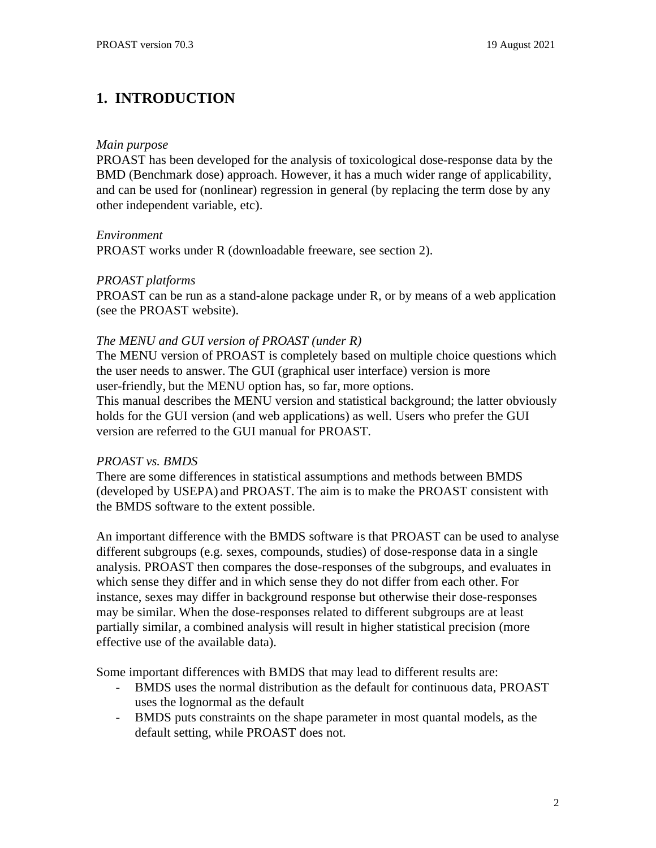# <span id="page-1-0"></span>**1. INTRODUCTION**

#### *Main purpose*

PROAST has been developed for the analysis of toxicological dose-response data by the BMD (Benchmark dose) approach. However, it has a much wider range of applicability, and can be used for (nonlinear) regression in general (by replacing the term dose by any other independent variable, etc).

#### *Environment*

PROAST works under R (downloadable freeware, see section 2).

#### *PROAST platforms*

PROAST can be run as a stand-alone package under R, or by means of a web application (see the PROAST website).

### *The MENU and GUI version of PROAST (under R)*

The MENU version of PROAST is completely based on multiple choice questions which the user needs to answer. The GUI (graphical user interface) version is more user-friendly, but the MENU option has, so far, more options.

This manual describes the MENU version and statistical background; the latter obviously holds for the GUI version (and web applications) as well. Users who prefer the GUI version are referred to the GUI manual for PROAST.

### *PROAST vs. BMDS*

There are some differences in statistical assumptions and methods between BMDS (developed by USEPA) and PROAST. The aim is to make the PROAST consistent with the BMDS software to the extent possible.

An important difference with the BMDS software is that PROAST can be used to analyse different subgroups (e.g. sexes, compounds, studies) of dose-response data in a single analysis. PROAST then compares the dose-responses of the subgroups, and evaluates in which sense they differ and in which sense they do not differ from each other. For instance, sexes may differ in background response but otherwise their dose-responses may be similar. When the dose-responses related to different subgroups are at least partially similar, a combined analysis will result in higher statistical precision (more effective use of the available data).

Some important differences with BMDS that may lead to different results are:

- BMDS uses the normal distribution as the default for continuous data, PROAST uses the lognormal as the default
- BMDS puts constraints on the shape parameter in most quantal models, as the default setting, while PROAST does not.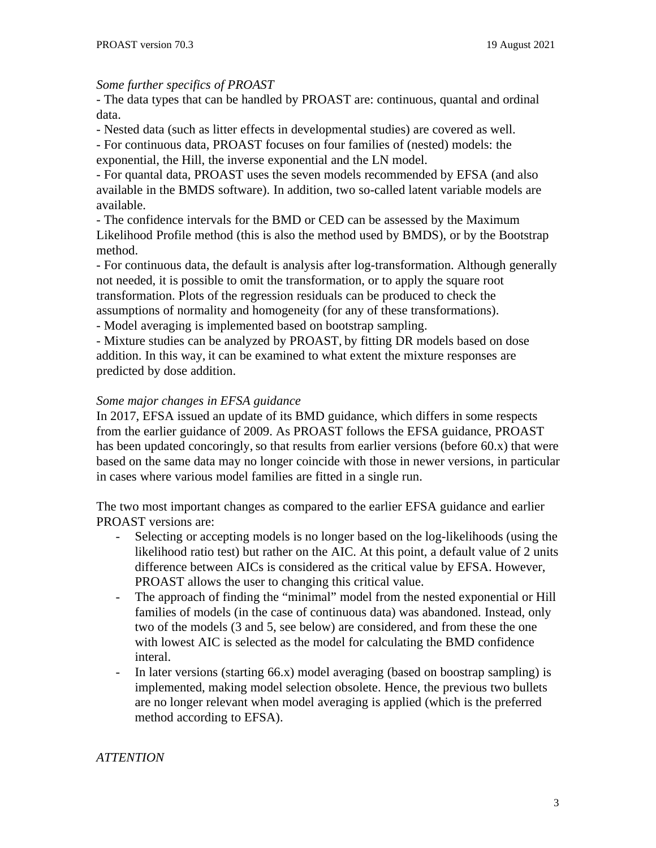#### *Some further specifics of PROAST*

- The data types that can be handled by PROAST are: continuous, quantal and ordinal data.

- Nested data (such as litter effects in developmental studies) are covered as well.

- For continuous data, PROAST focuses on four families of (nested) models: the exponential, the Hill, the inverse exponential and the LN model.

- For quantal data, PROAST uses the seven models recommended by EFSA (and also available in the BMDS software). In addition, two so-called latent variable models are available.

- The confidence intervals for the BMD or CED can be assessed by the Maximum Likelihood Profile method (this is also the method used by BMDS), or by the Bootstrap method.

- For continuous data, the default is analysis after log-transformation. Although generally not needed, it is possible to omit the transformation, or to apply the square root transformation. Plots of the regression residuals can be produced to check the assumptions of normality and homogeneity (for any of these transformations).

- Model averaging is implemented based on bootstrap sampling.

- Mixture studies can be analyzed by PROAST, by fitting DR models based on dose addition. In this way, it can be examined to what extent the mixture responses are predicted by dose addition.

#### *Some major changes in EFSA guidance*

In 2017, EFSA issued an update of its BMD guidance, which differs in some respects from the earlier guidance of 2009. As PROAST follows the EFSA guidance, PROAST has been updated concoringly, so that results from earlier versions (before  $60.x$ ) that were based on the same data may no longer coincide with those in newer versions, in particular in cases where various model families are fitted in a single run.

The two most important changes as compared to the earlier EFSA guidance and earlier PROAST versions are:

- Selecting or accepting models is no longer based on the log-likelihoods (using the likelihood ratio test) but rather on the AIC. At this point, a default value of 2 units difference between AICs is considered as the critical value by EFSA. However, PROAST allows the user to changing this critical value.
- The approach of finding the "minimal" model from the nested exponential or Hill families of models (in the case of continuous data) was abandoned. Instead, only two of the models (3 and 5, see below) are considered, and from these the one with lowest AIC is selected as the model for calculating the BMD confidence interal.
- In later versions (starting 66.x) model averaging (based on boostrap sampling) is implemented, making model selection obsolete. Hence, the previous two bullets are no longer relevant when model averaging is applied (which is the preferred method according to EFSA).

### *ATTENTION*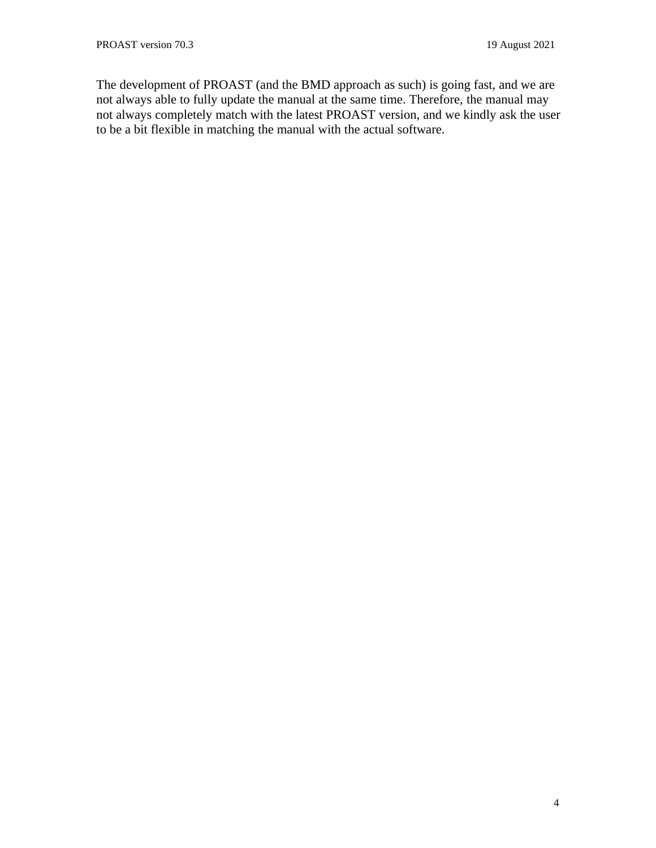The development of PROAST (and the BMD approach as such) is going fast, and we are not always able to fully update the manual at the same time. Therefore, the manual may not always completely match with the latest PROAST version, and we kindly ask the user to be a bit flexible in matching the manual with the actual software.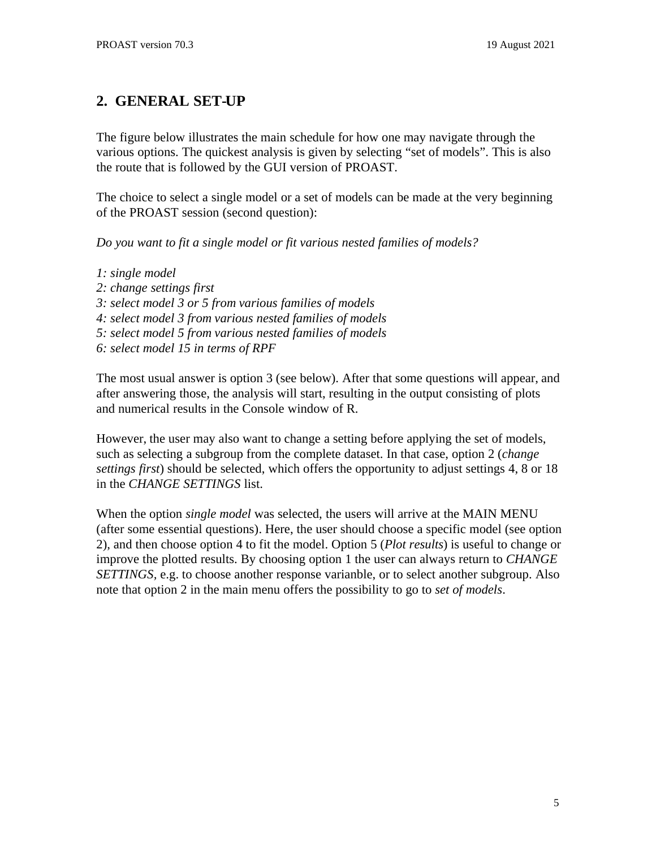# <span id="page-4-0"></span>**2. GENERAL SET-UP**

The figure below illustrates the main schedule for how one may navigate through the various options. The quickest analysis is given by selecting "set of models". This is also the route that is followed by the GUI version of PROAST.

The choice to select a single model or a set of models can be made at the very beginning of the PROAST session (second question):

*Do you want to fit a single model or fit various nested families of models?*

- *1: single model*
- *2: change settings first*
- *3: select model 3 or 5 from various families of models*
- *4: select model 3 from various nested families of models*
- *5: select model 5 from various nested families of models*
- *6: select model 15 in terms of RPF*

The most usual answer is option 3 (see below). After that some questions will appear, and after answering those, the analysis will start, resulting in the output consisting of plots and numerical results in the Console window of R.

However, the user may also want to change a setting before applying the set of models, such as selecting a subgroup from the complete dataset. In that case, option 2 (*change settings first*) should be selected, which offers the opportunity to adjust settings 4, 8 or 18 in the *CHANGE SETTINGS* list.

When the option *single model* was selected, the users will arrive at the MAIN MENU (after some essential questions). Here, the user should choose a specific model (see option 2), and then choose option 4 to fit the model. Option 5 (*Plot results*) is useful to change or improve the plotted results. By choosing option 1 the user can always return to *CHANGE SETTINGS,* e.g. to choose another response varianble, or to select another subgroup. Also note that option 2 in the main menu offers the possibility to go to *set of models*.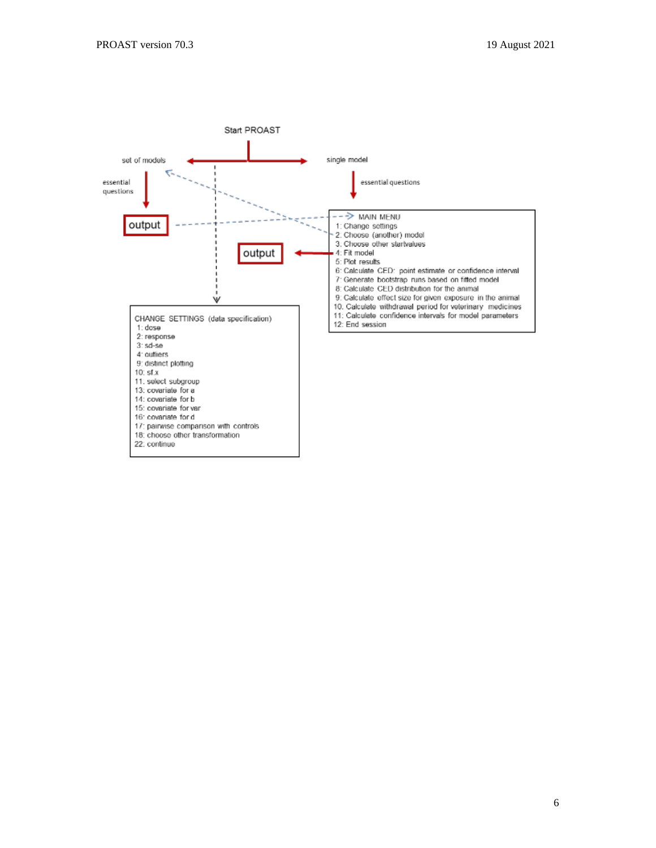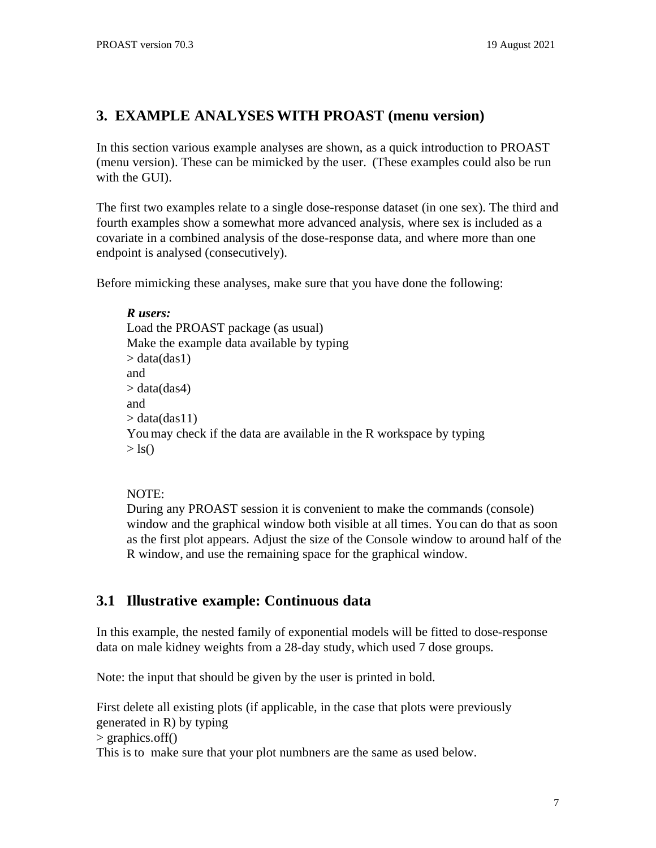# <span id="page-6-0"></span>**3. EXAMPLE ANALYSES WITH PROAST (menu version)**

In this section various example analyses are shown, as a quick introduction to PROAST (menu version). These can be mimicked by the user. (These examples could also be run with the GUI).

The first two examples relate to a single dose-response dataset (in one sex). The third and fourth examples show a somewhat more advanced analysis, where sex is included as a covariate in a combined analysis of the dose-response data, and where more than one endpoint is analysed (consecutively).

Before mimicking these analyses, make sure that you have done the following:

*R users:* Load the PROAST package (as usual) Make the example data available by typing  $>$  data(das1) and  $>$  data(das4) and  $>$  data(das11) You may check if the data are available in the R workspace by typing  $>$  ls()

#### NOTE:

During any PROAST session it is convenient to make the commands (console) window and the graphical window both visible at all times. You can do that as soon as the first plot appears. Adjust the size of the Console window to around half of the R window, and use the remaining space for the graphical window.

# <span id="page-6-1"></span>**3.1 Illustrative example: Continuous data**

In this example, the nested family of exponential models will be fitted to dose-response data on male kidney weights from a 28-day study, which used 7 dose groups.

Note: the input that should be given by the user is printed in bold.

First delete all existing plots (if applicable, in the case that plots were previously generated in R) by typing > graphics.off() This is to make sure that your plot numbners are the same as used below.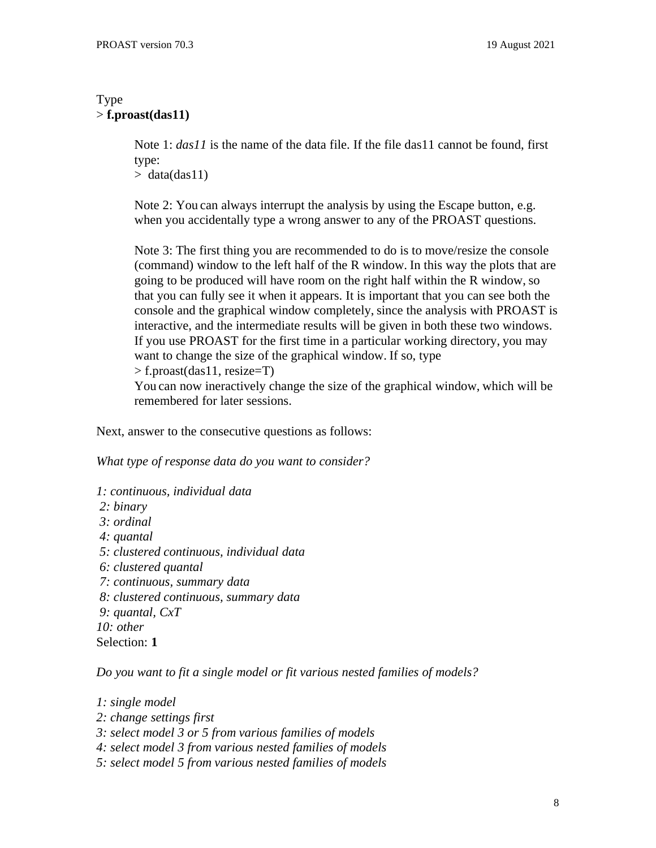### Type > **f.proast(das11)**

Note 1: *das11* is the name of the data file. If the file das11 cannot be found, first type:

 $>$  data(das11)

Note 2: You can always interrupt the analysis by using the Escape button, e.g. when you accidentally type a wrong answer to any of the PROAST questions.

Note 3: The first thing you are recommended to do is to move/resize the console (command) window to the left half of the R window. In this way the plots that are going to be produced will have room on the right half within the R window, so that you can fully see it when it appears. It is important that you can see both the console and the graphical window completely, since the analysis with PROAST is interactive, and the intermediate results will be given in both these two windows. If you use PROAST for the first time in a particular working directory, you may want to change the size of the graphical window. If so, type > f.proast(das11, resize=T)

You can now ineractively change the size of the graphical window, which will be remembered for later sessions.

Next, answer to the consecutive questions as follows:

*What type of response data do you want to consider?*

*1: continuous, individual data 2: binary 3: ordinal 4: quantal 5: clustered continuous, individual data 6: clustered quantal 7: continuous, summary data 8: clustered continuous, summary data 9: quantal, CxT 10: other*

Selection: **1**

*Do you want to fit a single model or fit various nested families of models?*

*1: single model*

- *2: change settings first*
- *3: select model 3 or 5 from various families of models*
- *4: select model 3 from various nested families of models*
- *5: select model 5 from various nested families of models*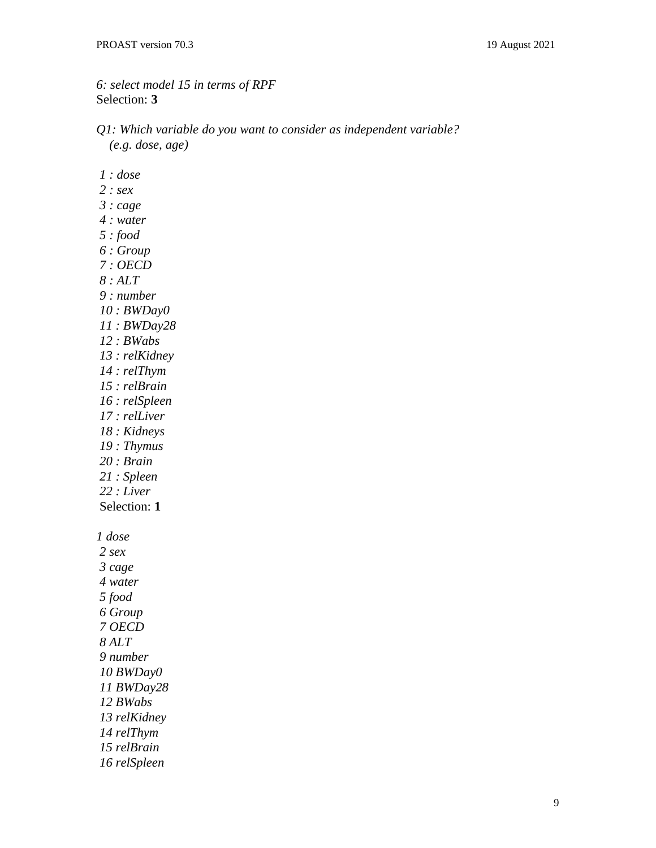*6: select model 15 in terms of RPF* Selection: **3**

- *Q1: Which variable do you want to consider as independent variable? (e.g. dose, age)*
- *: dose*
- *: sex*
- *: cage*
- *: water*
- *: food*
- *: Group*
- *: OECD*
- *: ALT*
- *: number*
- *: BWDay0*
- *: BWDay28*
- *: BWabs*
- *: relKidney*
- *: relThym*
- *: relBrain*
- *: relSpleen*
- *: relLiver*
- *: Kidneys*
- *: Thymus*
- *: Brain*
- *: Spleen*
- *: Liver*
- Selection: **1**

*dose*

 *sex cage water food Group OECD ALT number BWDay0 BWDay28 BWabs relKidney relThym relBrain relSpleen*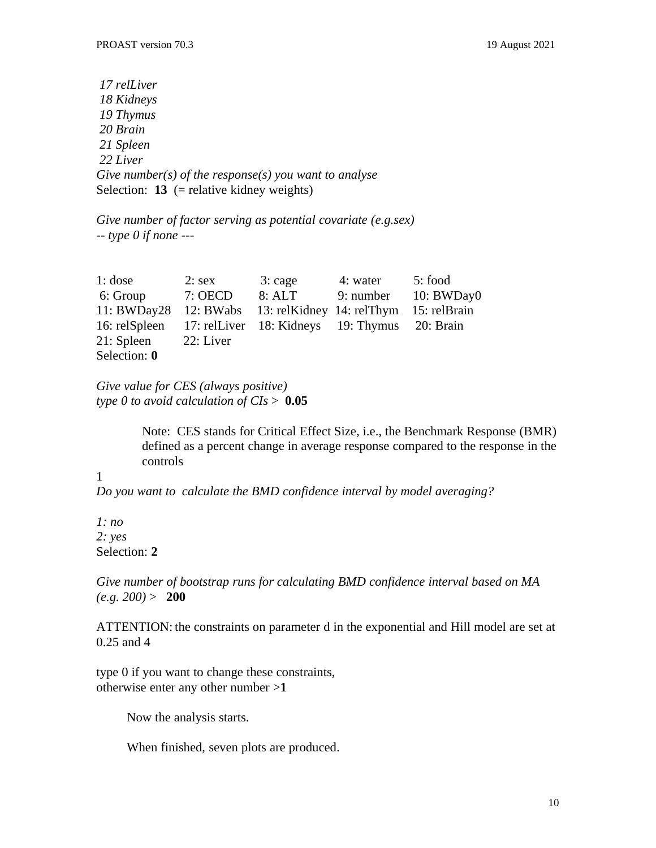*17 relLiver 18 Kidneys 19 Thymus 20 Brain 21 Spleen 22 Liver Give number(s) of the response(s) you want to analyse* Selection: **13** (= relative kidney weights)

*Give number of factor serving as potential covariate (e.g.sex) -- type 0 if none ---*

| $1:$ dose     | $2:$ sex  | 3: cage                                       | 4: water  | 5: food      |
|---------------|-----------|-----------------------------------------------|-----------|--------------|
| 6: Group      | 7: OECD   | 8:ALT                                         | 9: number | 10: BWDay0   |
| 11: BWDay28   | 12: BWabs | 13: relKidney 14: relThym                     |           | 15: relBrain |
| 16: relSpleen |           | 17: relLiver 18: Kidneys 19: Thymus 20: Brain |           |              |
| 21: Spleen    | 22: Liver |                                               |           |              |
| Selection: 0  |           |                                               |           |              |

*Give value for CES (always positive) type 0 to avoid calculation of CIs* > **0.05**

> Note: CES stands for Critical Effect Size, i.e., the Benchmark Response (BMR) defined as a percent change in average response compared to the response in the controls

#### 1

*Do you want to calculate the BMD confidence interval by model averaging?*

*1: no 2: yes* Selection: **2**

*Give number of bootstrap runs for calculating BMD confidence interval based on MA (e.g. 200)* > **200**

ATTENTION: the constraints on parameter d in the exponential and Hill model are set at 0.25 and 4

type 0 if you want to change these constraints, otherwise enter any other number >**1**

Now the analysis starts.

When finished, seven plots are produced.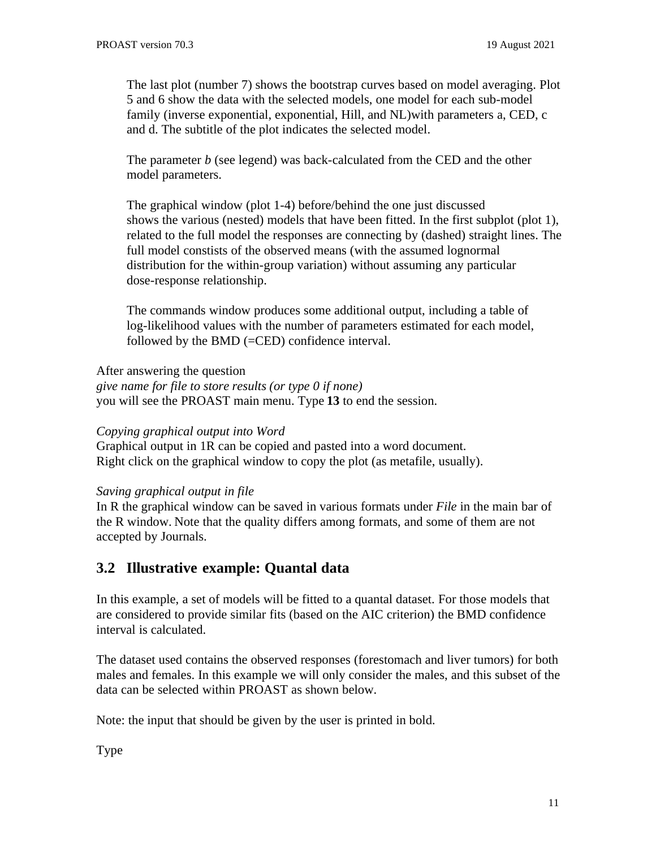The last plot (number 7) shows the bootstrap curves based on model averaging. Plot 5 and 6 show the data with the selected models, one model for each sub-model family (inverse exponential, exponential, Hill, and NL)with parameters a, CED, c and d. The subtitle of the plot indicates the selected model.

The parameter *b* (see legend) was back-calculated from the CED and the other model parameters.

The graphical window (plot 1-4) before/behind the one just discussed shows the various (nested) models that have been fitted. In the first subplot (plot 1), related to the full model the responses are connecting by (dashed) straight lines. The full model constists of the observed means (with the assumed lognormal distribution for the within-group variation) without assuming any particular dose-response relationship.

The commands window produces some additional output, including a table of log-likelihood values with the number of parameters estimated for each model, followed by the BMD (=CED) confidence interval.

After answering the question

*give name for file to store results (or type 0 if none)* you will see the PROAST main menu. Type **13** to end the session.

#### *Copying graphical output into Word*

Graphical output in 1R can be copied and pasted into a word document. Right click on the graphical window to copy the plot (as metafile, usually).

### *Saving graphical output in file*

In R the graphical window can be saved in various formats under *File* in the main bar of the R window. Note that the quality differs among formats, and some of them are not accepted by Journals.

# <span id="page-10-0"></span>**3.2 Illustrative example: Quantal data**

In this example, a set of models will be fitted to a quantal dataset. For those models that are considered to provide similar fits (based on the AIC criterion) the BMD confidence interval is calculated.

The dataset used contains the observed responses (forestomach and liver tumors) for both males and females. In this example we will only consider the males, and this subset of the data can be selected within PROAST as shown below.

Note: the input that should be given by the user is printed in bold.

Type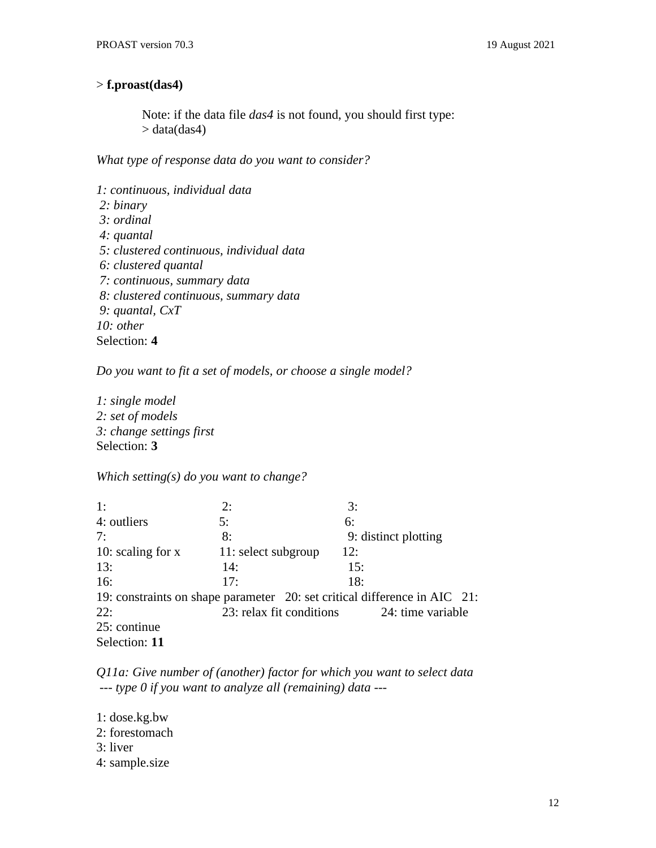### > **f.proast(das4)**

Note: if the data file *das4* is not found, you should first type:  $>$  data(das4)

*What type of response data do you want to consider?*

*1: continuous, individual data 2: binary 3: ordinal 4: quantal 5: clustered continuous, individual data 6: clustered quantal 7: continuous, summary data 8: clustered continuous, summary data 9: quantal, CxT 10: other* Selection: **4**

*Do you want to fit a set of models, or choose a single model?*

*1: single model 2: set of models 3: change settings first* Selection: **3**

*Which setting(s) do you want to change?*

1: 2: 3: 4: outliers 5: 6: 7: 8: 9: distinct plotting 10: scaling for x 11: select subgroup 12: 13: 14: 15: 16: 17: 18: 19: constraints on shape parameter 20: set critical difference in AIC 21: 22: 23: relax fit conditions 24: time variable 25: continue Selection: **11**

*Q11a: Give number of (another) factor for which you want to select data --- type 0 if you want to analyze all (remaining) data ---*

1: dose.kg.bw 2: forestomach 3: liver 4: sample.size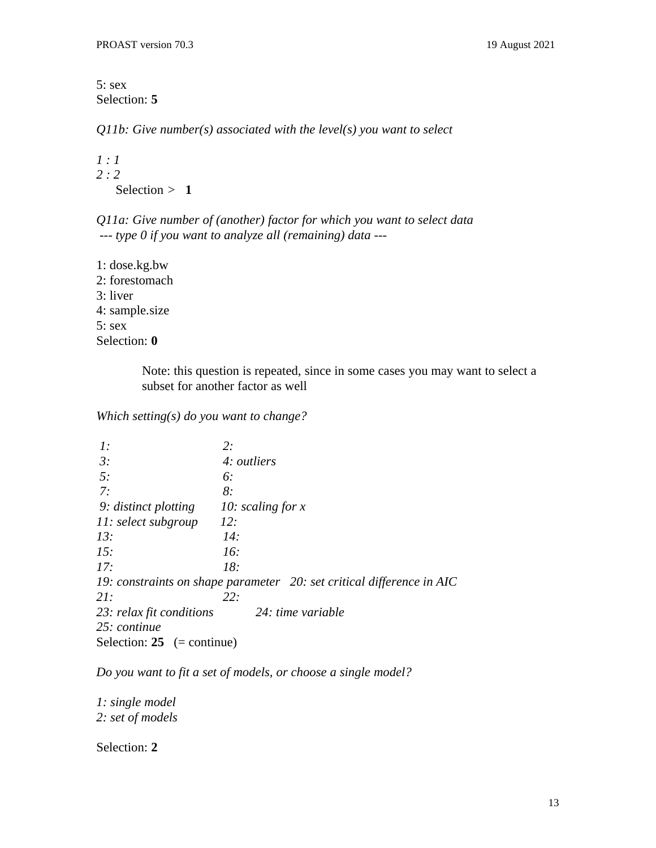5: sex Selection: **5**

*Q11b: Give number(s) associated with the level(s) you want to select*

```
1 : 1
2 : 2
  S^{e}}
```
*Q11a: Give number of (another) factor for which you want to select data --- type 0 if you want to analyze all (remaining) data ---*

1: dose.kg.bw 2: forestomach 3: liver 4: sample.size 5: sex Selection: **0**

> Note: this question is repeated, since in some cases you may want to select a subset for another factor as well

*Which setting(s) do you want to change?*

| 1:                                              | 2:                                                                    |
|-------------------------------------------------|-----------------------------------------------------------------------|
| 3:                                              | 4: outliers                                                           |
| 5:                                              | 6:                                                                    |
| 7:                                              | 8:                                                                    |
| 9: distinct plotting $\qquad$ 10: scaling for x |                                                                       |
| 11: select subgroup                             | 12:                                                                   |
| 13:                                             | 14:                                                                   |
| 15:                                             | 16:                                                                   |
| 17:                                             | 18:                                                                   |
|                                                 | 19: constraints on shape parameter 20: set critical difference in AIC |
| 21:                                             | 22:                                                                   |
| 23: relax fit conditions                        | 24: time variable                                                     |
| 25: continue                                    |                                                                       |
| Selection: $25$ (= continue)                    |                                                                       |

*Do you want to fit a set of models, or choose a single model?*

*1: single model 2: set of models*

Selection: **2**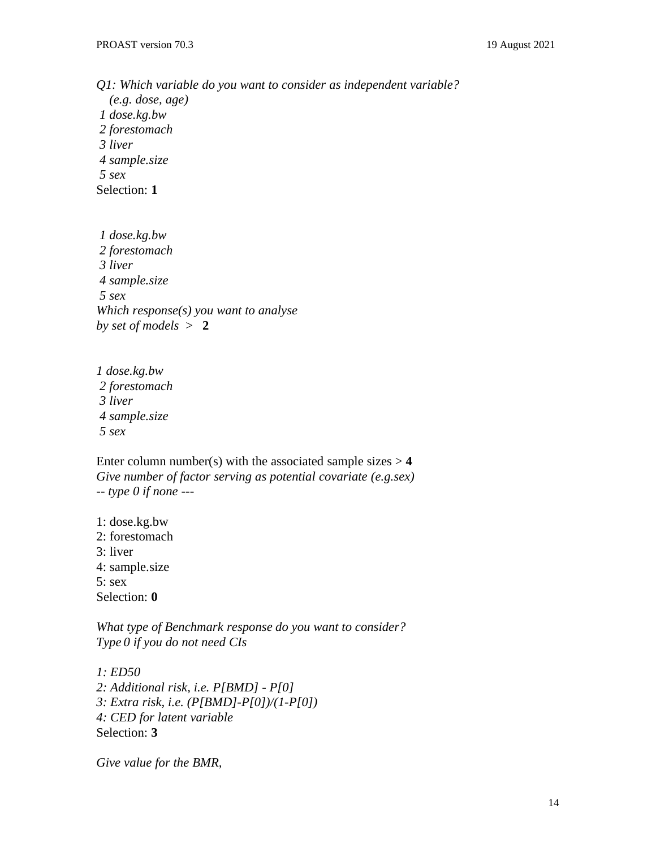*Q1: Which variable do you want to consider as independent variable? (e.g. dose, age) 1 dose.kg.bw 2 forestomach 3 liver 4 sample.size 5 sex* Selection: **1**

*1 dose.kg.bw 2 forestomach 3 liver 4 sample.size 5 sex Which response(s) you want to analyse by set of models* > **2**

*1 dose.kg.bw 2 forestomach 3 liver 4 sample.size 5 sex*

Enter column number(s) with the associated sample sizes  $> 4$ *Give number of factor serving as potential covariate (e.g.sex) -- type 0 if none ---*

1: dose.kg.bw 2: forestomach 3: liver 4: sample.size 5: sex Selection: **0**

*What type of Benchmark response do you want to consider? Type 0 if you do not need CIs*

*1: ED50 2: Additional risk, i.e. P[BMD] - P[0] 3: Extra risk, i.e. (P[BMD]-P[0])/(1-P[0]) 4: CED for latent variable* Selection: **3**

*Give value for the BMR,*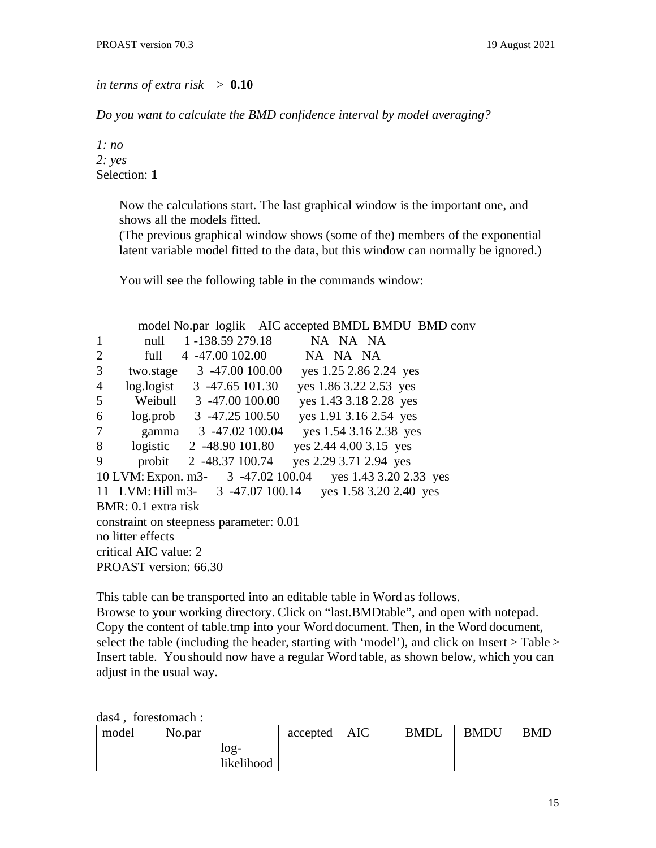#### *in terms of extra risk* > **0.10**

*Do you want to calculate the BMD confidence interval by model averaging?*

*1: no 2: yes* Selection: **1**

> Now the calculations start. The last graphical window is the important one, and shows all the models fitted.

(The previous graphical window shows (some of the) members of the exponential latent variable model fitted to the data, but this window can normally be ignored.)

You will see the following table in the commands window:

model No.par loglik AIC accepted BMDL BMDU BMD conv 1 null 1-138.59 279.18 NA NA NA 2 full 4 -47.00 102.00 NA NA NA 3 two.stage 3 -47.00 100.00 yes 1.25 2.86 2.24 yes 4 log.logist 3 -47.65 101.30 yes 1.86 3.22 2.53 yes 5 Weibull 3 -47.00 100.00 yes 1.43 3.18 2.28 yes 6 log.prob 3 -47.25 100.50 yes 1.91 3.16 2.54 yes 7 gamma 3 -47.02 100.04 yes 1.54 3.16 2.38 yes 8 logistic 2 -48.90 101.80 yes 2.44 4.00 3.15 yes 9 probit 2 -48.37 100.74 yes 2.29 3.71 2.94 yes 10 LVM: Expon. m3- 3 -47.02 100.04 yes 1.43 3.20 2.33 yes 11 LVM: Hill m3- 3 -47.07 100.14 yes 1.58 3.20 2.40 yes BMR: 0.1 extra risk constraint on steepness parameter: 0.01 no litter effects critical AIC value: 2 PROAST version: 66.30

This table can be transported into an editable table in Word as follows. Browse to your working directory. Click on "last.BMDtable", and open with notepad. Copy the content of table.tmp into your Word document. Then, in the Word document, select the table (including the header, starting with 'model'), and click on Insert > Table > Insert table. You should now have a regular Word table, as shown below, which you can adjust in the usual way.

das4 , forestomach :

| model | No.par |                      | $accepted \mid$ | AIC | <b>BMDL</b> | <b>BMDU</b> | BMD |
|-------|--------|----------------------|-----------------|-----|-------------|-------------|-----|
|       |        | $log-$<br>likelihood |                 |     |             |             |     |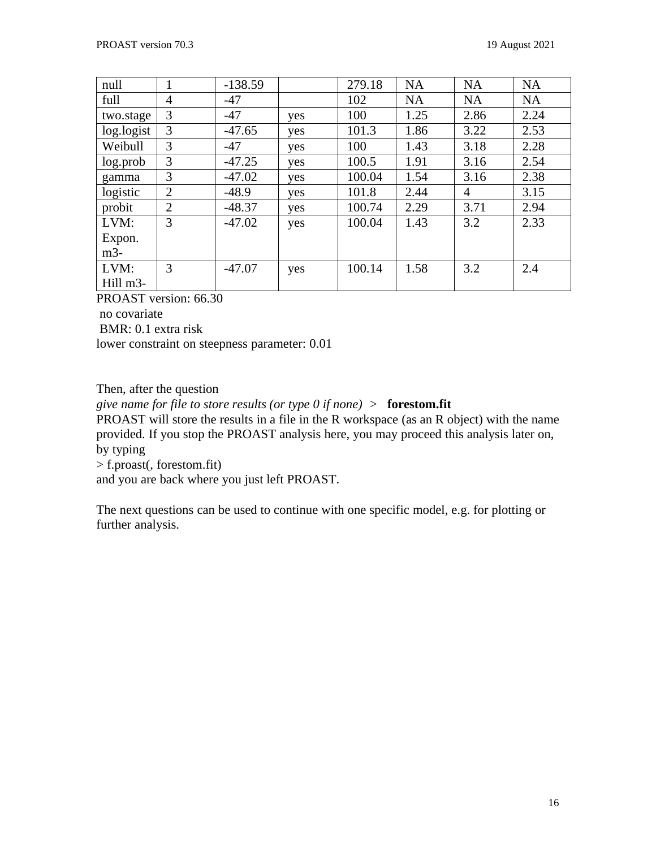| null       | 1              | $-138.59$ |     | 279.18 | <b>NA</b> | <b>NA</b> | <b>NA</b> |
|------------|----------------|-----------|-----|--------|-----------|-----------|-----------|
| full       | $\overline{4}$ | $-47$     |     | 102    | <b>NA</b> | <b>NA</b> | <b>NA</b> |
| two.stage  | 3              | $-47$     | yes | 100    | 1.25      | 2.86      | 2.24      |
| log.logist | 3              | $-47.65$  | yes | 101.3  | 1.86      | 3.22      | 2.53      |
| Weibull    | 3              | $-47$     | yes | 100    | 1.43      | 3.18      | 2.28      |
| log.prob   | 3              | $-47.25$  | yes | 100.5  | 1.91      | 3.16      | 2.54      |
| gamma      | 3              | $-47.02$  | yes | 100.04 | 1.54      | 3.16      | 2.38      |
| logistic   | $\overline{2}$ | $-48.9$   | yes | 101.8  | 2.44      | 4         | 3.15      |
| probit     | $\overline{2}$ | $-48.37$  | yes | 100.74 | 2.29      | 3.71      | 2.94      |
| LVM:       | 3              | $-47.02$  | yes | 100.04 | 1.43      | 3.2       | 2.33      |
| Expon.     |                |           |     |        |           |           |           |
| $m3-$      |                |           |     |        |           |           |           |
| LVM:       | 3              | $-47.07$  | yes | 100.14 | 1.58      | 3.2       | 2.4       |
| Hill m3-   |                |           |     |        |           |           |           |

PROAST version: 66.30

no covariate

BMR: 0.1 extra risk

lower constraint on steepness parameter: 0.01

Then, after the question

*give name for file to store results (or type 0 if none) >* **forestom.fit**

PROAST will store the results in a file in the R workspace (as an R object) with the name provided. If you stop the PROAST analysis here, you may proceed this analysis later on, by typing

> f.proast(, forestom.fit)

and you are back where you just left PROAST.

The next questions can be used to continue with one specific model, e.g. for plotting or further analysis.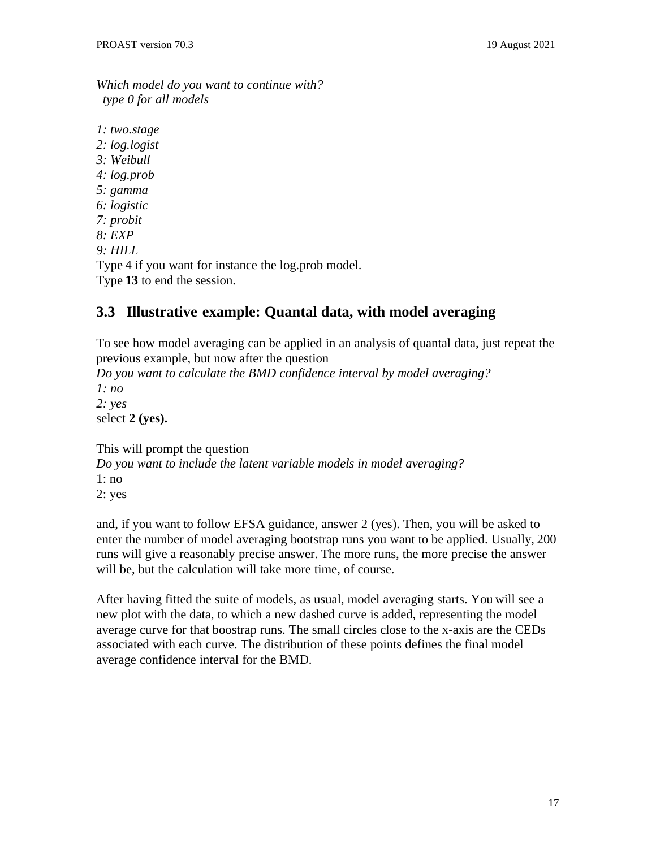*Which model do you want to continue with? type 0 for all models*

*1: two.stage 2: log.logist 3: Weibull 4: log.prob 5: gamma 6: logistic 7: probit 8: EXP 9: HILL* Type 4 if you want for instance the log.prob model. Type **13** to end the session.

### <span id="page-16-0"></span>**3.3 Illustrative example: Quantal data, with model averaging**

To see how model averaging can be applied in an analysis of quantal data, just repeat the previous example, but now after the question

*Do you want to calculate the BMD confidence interval by model averaging? 1: no 2: yes*

select **2 (yes).**

This will prompt the question

*Do you want to include the latent variable models in model averaging?* 1: no 2: yes

and, if you want to follow EFSA guidance, answer 2 (yes). Then, you will be asked to enter the number of model averaging bootstrap runs you want to be applied. Usually, 200 runs will give a reasonably precise answer. The more runs, the more precise the answer will be, but the calculation will take more time, of course.

After having fitted the suite of models, as usual, model averaging starts. You will see a new plot with the data, to which a new dashed curve is added, representing the model average curve for that boostrap runs. The small circles close to the x-axis are the CEDs associated with each curve. The distribution of these points defines the final model average confidence interval for the BMD.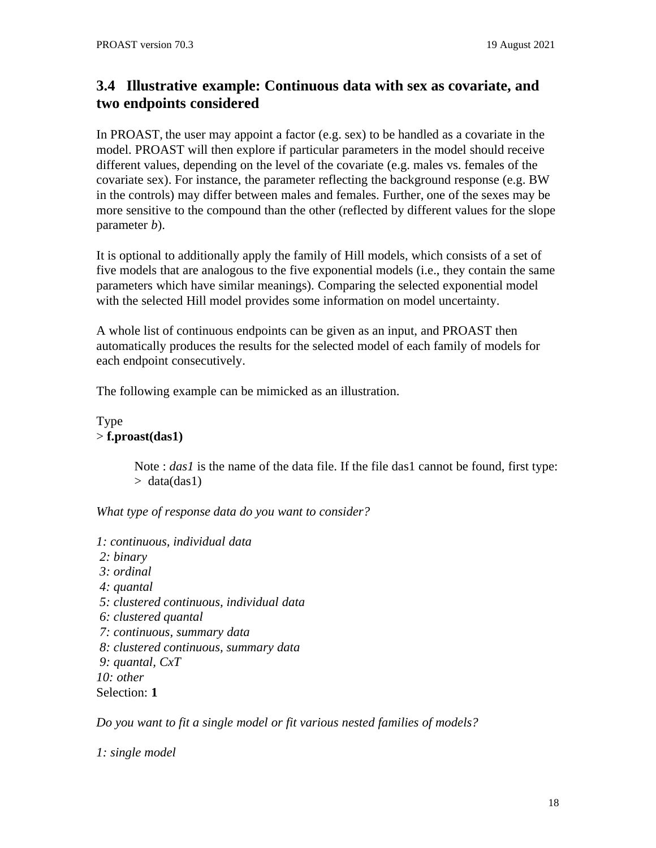# **3.4 Illustrative example: Continuous data with sex as covariate, and two endpoints considered**

In PROAST, the user may appoint a factor (e.g. sex) to be handled as a covariate in the model. PROAST will then explore if particular parameters in the model should receive different values, depending on the level of the covariate (e.g. males vs. females of the covariate sex). For instance, the parameter reflecting the background response (e.g. BW in the controls) may differ between males and females. Further, one of the sexes may be more sensitive to the compound than the other (reflected by different values for the slope parameter *b*).

It is optional to additionally apply the family of Hill models, which consists of a set of five models that are analogous to the five exponential models (i.e., they contain the same parameters which have similar meanings). Comparing the selected exponential model with the selected Hill model provides some information on model uncertainty.

A whole list of continuous endpoints can be given as an input, and PROAST then automatically produces the results for the selected model of each family of models for each endpoint consecutively.

The following example can be mimicked as an illustration.

Type > **f.proast(das1)**

> Note : *das1* is the name of the data file. If the file das1 cannot be found, first type:  $>$  data(das1)

*What type of response data do you want to consider?*

*1: continuous, individual data 2: binary 3: ordinal 4: quantal 5: clustered continuous, individual data 6: clustered quantal 7: continuous, summary data 8: clustered continuous, summary data 9: quantal, CxT 10: other* Selection: **1**

*Do you want to fit a single model or fit various nested families of models?*

*1: single model*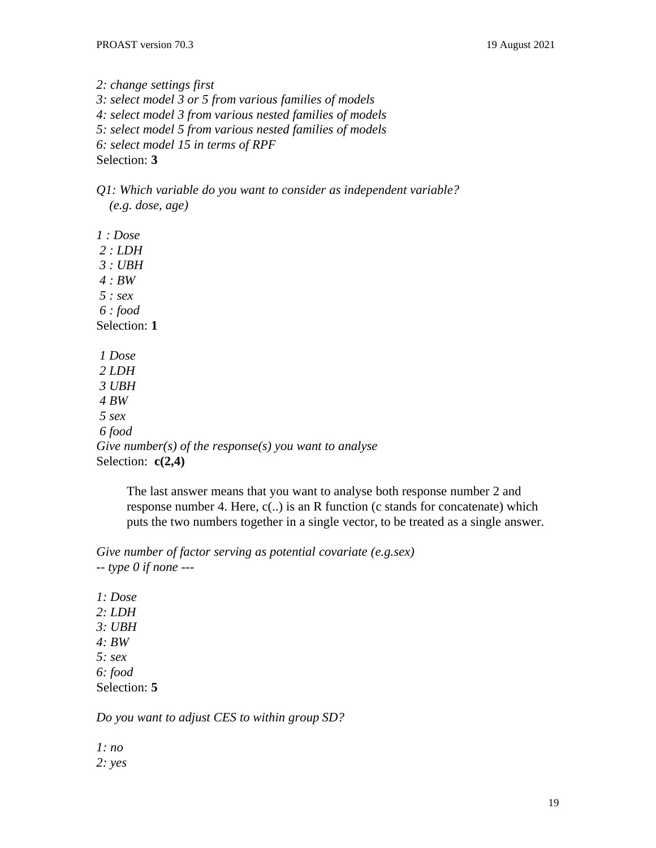*2: change settings first 3: select model 3 or 5 from various families of models 4: select model 3 from various nested families of models 5: select model 5 from various nested families of models 6: select model 15 in terms of RPF* Selection: **3**

*Q1: Which variable do you want to consider as independent variable? (e.g. dose, age)*

*1 : Dose 2 : LDH 3 : UBH 4 : BW 5 : sex 6 : food* Selection: **1** *1 Dose 2 LDH 3 UBH 4 BW 5 sex 6 food Give number(s) of the response(s) you want to analyse* Selection: **c(2,4)**

The last answer means that you want to analyse both response number 2 and response number 4. Here, c(..) is an R function (c stands for concatenate) which puts the two numbers together in a single vector, to be treated as a single answer.

*Give number of factor serving as potential covariate (e.g.sex) -- type 0 if none ---*

*1: Dose 2: LDH 3: UBH 4: BW 5: sex 6: food* Selection: **5**

*Do you want to adjust CES to within group SD?*

*1: no 2: yes*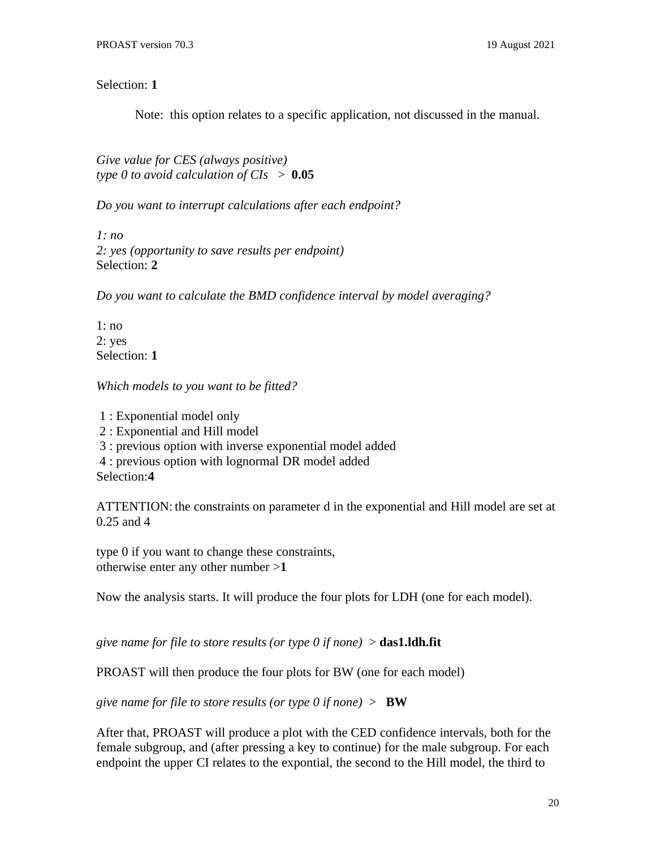Selection: **1**

Note: this option relates to a specific application, not discussed in the manual.

*Give value for CES (always positive) type 0 to avoid calculation of CIs* > **0.05**

*Do you want to interrupt calculations after each endpoint?*

*1: no 2: yes (opportunity to save results per endpoint)* Selection: **2**

*Do you want to calculate the BMD confidence interval by model averaging?*

1: no 2: yes Selection: **1**

*Which models to you want to be fitted?*

 : Exponential model only : Exponential and Hill model : previous option with inverse exponential model added : previous option with lognormal DR model added

Selection:**4**

ATTENTION: the constraints on parameter d in the exponential and Hill model are set at 0.25 and 4

type 0 if you want to change these constraints, otherwise enter any other number >**1**

Now the analysis starts. It will produce the four plots for LDH (one for each model).

*give name for file to store results (or type 0 if none)* > **das1.ldh.fit**

PROAST will then produce the four plots for BW (one for each model)

*give name for file to store results (or type 0 if none)* > **BW**

After that, PROAST will produce a plot with the CED confidence intervals, both for the female subgroup, and (after pressing a key to continue) for the male subgroup. For each endpoint the upper CI relates to the expontial, the second to the Hill model, the third to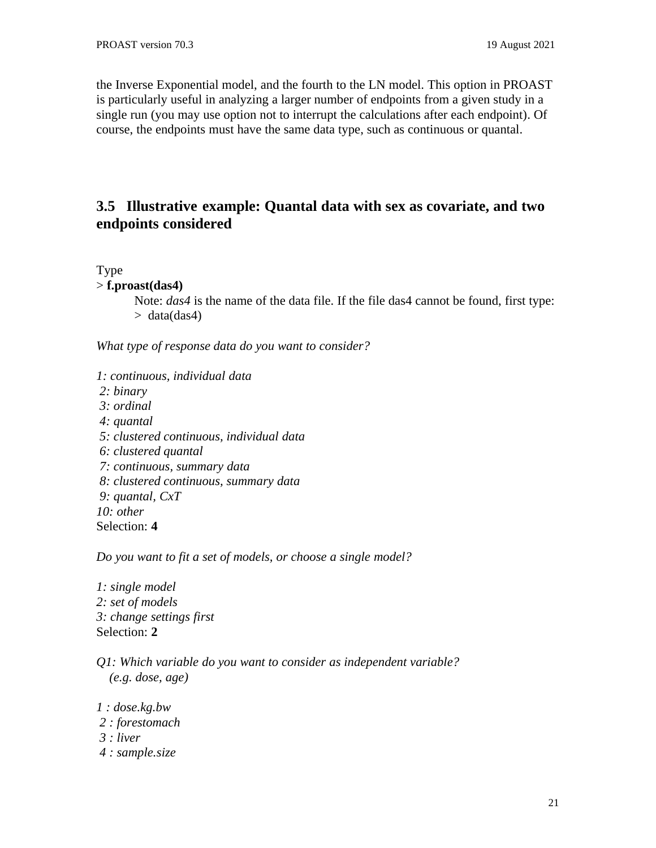the Inverse Exponential model, and the fourth to the LN model. This option in PROAST is particularly useful in analyzing a larger number of endpoints from a given study in a single run (you may use option not to interrupt the calculations after each endpoint). Of course, the endpoints must have the same data type, such as continuous or quantal.

# <span id="page-20-0"></span>**3.5 Illustrative example: Quantal data with sex as covariate, and two endpoints considered**

Type

> **f.proast(das4)**

Note: *das4* is the name of the data file. If the file das4 cannot be found, first type:  $>$  data(das4)

*What type of response data do you want to consider?*

*1: continuous, individual data 2: binary 3: ordinal 4: quantal 5: clustered continuous, individual data 6: clustered quantal 7: continuous, summary data 8: clustered continuous, summary data 9: quantal, CxT 10: other* Selection: **4**

*Do you want to fit a set of models, or choose a single model?*

- *1: single model 2: set of models 3: change settings first* Selection: **2**
- *Q1: Which variable do you want to consider as independent variable? (e.g. dose, age)*
- *1 : dose.kg.bw*
- *2 : forestomach*
- *3 : liver*
- *4 : sample.size*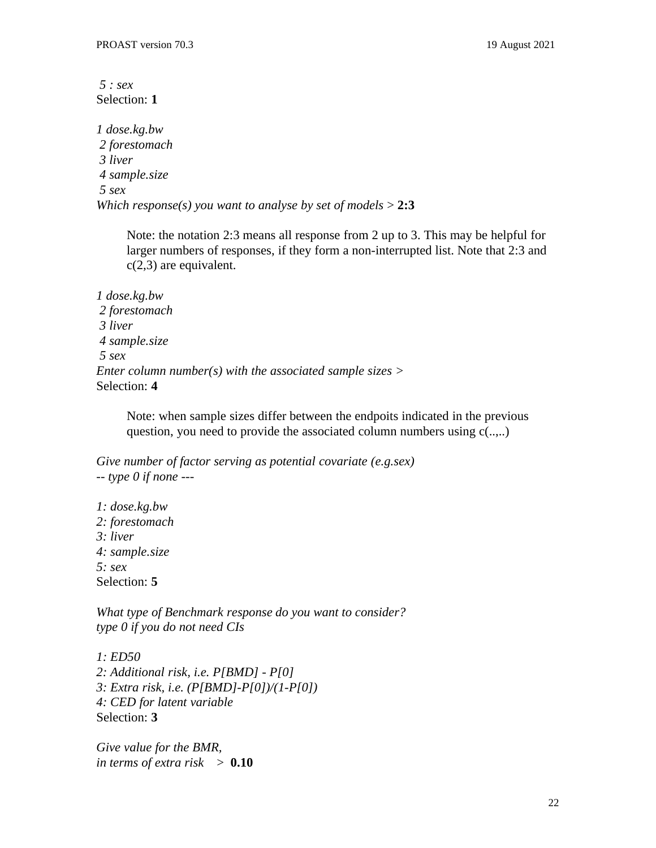*5 : sex* Selection: **1**

*1 dose.kg.bw 2 forestomach 3 liver 4 sample.size 5 sex Which response(s) you want to analyse by set of models* > **2:3**

Note: the notation 2:3 means all response from 2 up to 3. This may be helpful for larger numbers of responses, if they form a non-interrupted list. Note that 2:3 and c(2,3) are equivalent.

*1 dose.kg.bw 2 forestomach 3 liver 4 sample.size 5 sex Enter column number(s) with the associated sample sizes >* Selection: **4**

Note: when sample sizes differ between the endpoits indicated in the previous question, you need to provide the associated column numbers using c(..,..)

*Give number of factor serving as potential covariate (e.g.sex) -- type 0 if none ---*

*1: dose.kg.bw 2: forestomach 3: liver 4: sample.size 5: sex* Selection: **5**

*What type of Benchmark response do you want to consider? type 0 if you do not need CIs*

*1: ED50 2: Additional risk, i.e. P[BMD] - P[0] 3: Extra risk, i.e. (P[BMD]-P[0])/(1-P[0]) 4: CED for latent variable* Selection: **3**

*Give value for the BMR, in terms of extra risk* > **0.10**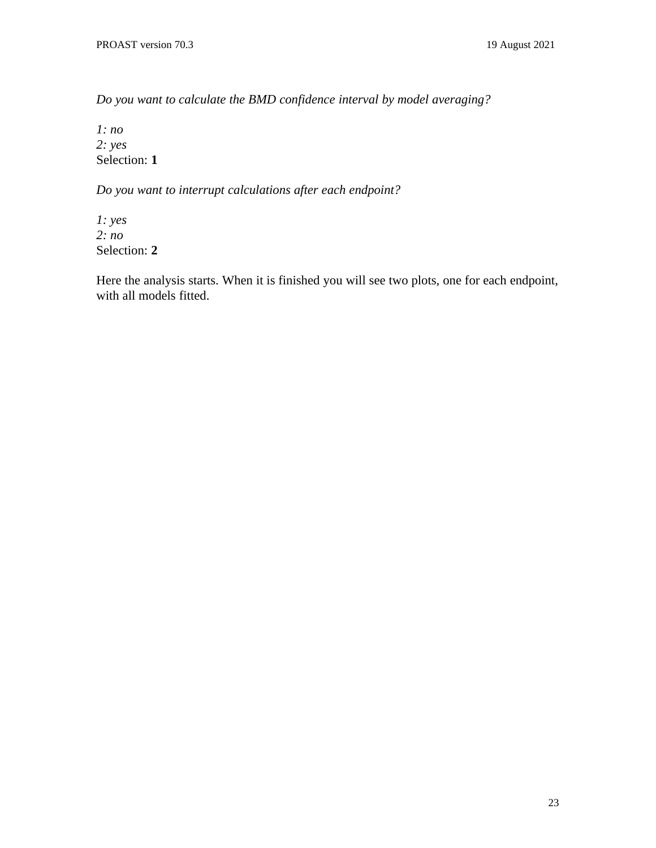*Do you want to calculate the BMD confidence interval by model averaging?*

*1: no 2: yes* Selection: **1**

*Do you want to interrupt calculations after each endpoint?*

*1: yes 2: no* Selection: **2**

Here the analysis starts. When it is finished you will see two plots, one for each endpoint, with all models fitted.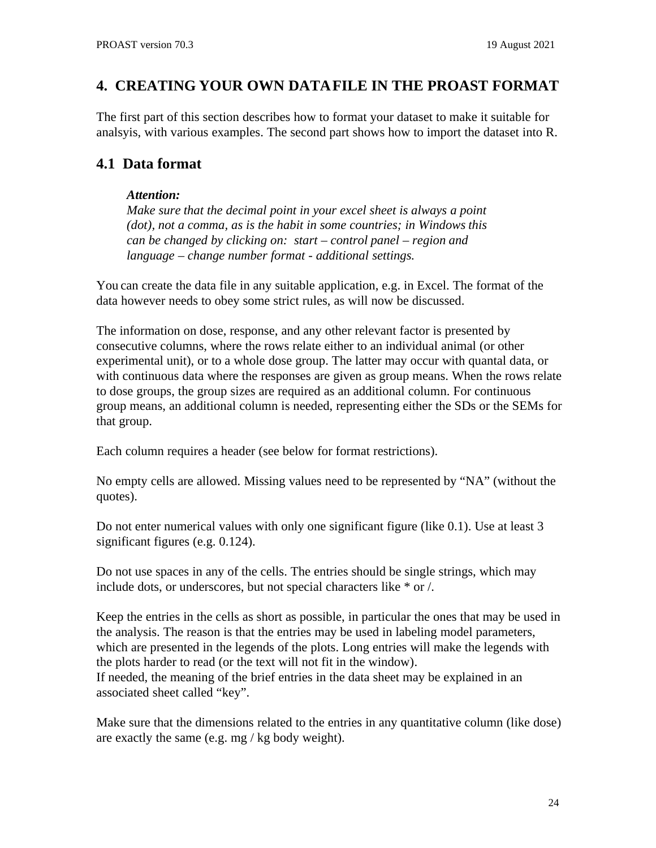# <span id="page-23-0"></span>**4. CREATING YOUR OWN DATAFILE IN THE PROAST FORMAT**

The first part of this section describes how to format your dataset to make it suitable for analsyis, with various examples. The second part shows how to import the dataset into R.

# <span id="page-23-1"></span>**4.1 Data format**

#### *Attention:*

*Make sure that the decimal point in your excel sheet is always a point (dot), not a comma, as is the habit in some countries; in Windows this can be changed by clicking on: start – control panel – region and language – change number format - additional settings.*

You can create the data file in any suitable application, e.g. in Excel. The format of the data however needs to obey some strict rules, as will now be discussed.

The information on dose, response, and any other relevant factor is presented by consecutive columns, where the rows relate either to an individual animal (or other experimental unit), or to a whole dose group. The latter may occur with quantal data, or with continuous data where the responses are given as group means. When the rows relate to dose groups, the group sizes are required as an additional column. For continuous group means, an additional column is needed, representing either the SDs or the SEMs for that group.

Each column requires a header (see below for format restrictions).

No empty cells are allowed. Missing values need to be represented by "NA" (without the quotes).

Do not enter numerical values with only one significant figure (like 0.1). Use at least 3 significant figures (e.g. 0.124).

Do not use spaces in any of the cells. The entries should be single strings, which may include dots, or underscores, but not special characters like \* or /.

Keep the entries in the cells as short as possible, in particular the ones that may be used in the analysis. The reason is that the entries may be used in labeling model parameters, which are presented in the legends of the plots. Long entries will make the legends with the plots harder to read (or the text will not fit in the window). If needed, the meaning of the brief entries in the data sheet may be explained in an associated sheet called "key".

Make sure that the dimensions related to the entries in any quantitative column (like dose) are exactly the same (e.g. mg / kg body weight).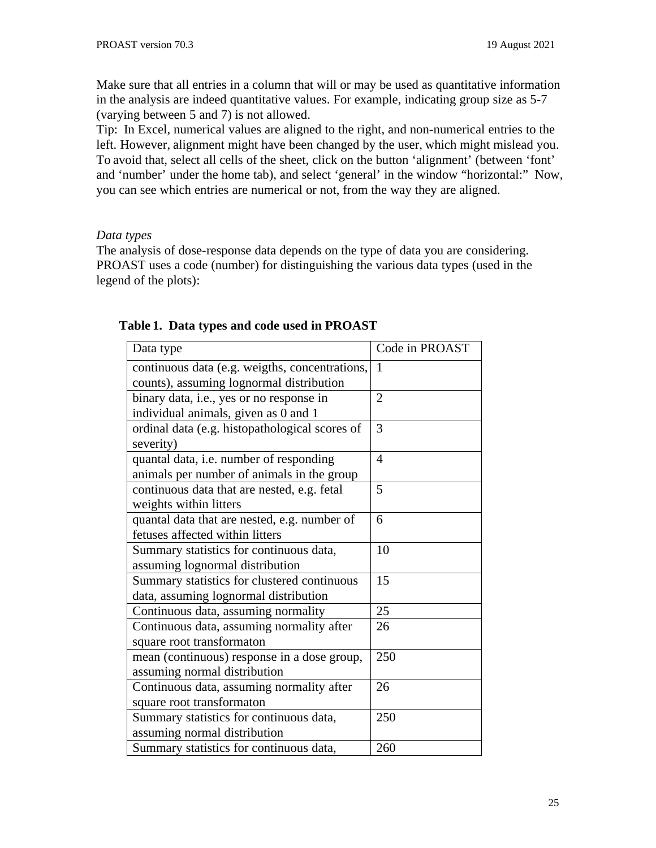Make sure that all entries in a column that will or may be used as quantitative information in the analysis are indeed quantitative values. For example, indicating group size as 5-7 (varying between 5 and 7) is not allowed.

Tip: In Excel, numerical values are aligned to the right, and non-numerical entries to the left. However, alignment might have been changed by the user, which might mislead you. To avoid that, select all cells of the sheet, click on the button 'alignment' (between 'font' and 'number' under the home tab), and select 'general' in the window "horizontal:" Now, you can see which entries are numerical or not, from the way they are aligned.

#### *Data types*

The analysis of dose-response data depends on the type of data you are considering. PROAST uses a code (number) for distinguishing the various data types (used in the legend of the plots):

| Data type                                      | Code in PROAST |
|------------------------------------------------|----------------|
| continuous data (e.g. weigths, concentrations, | $\mathbf{1}$   |
| counts), assuming lognormal distribution       |                |
| binary data, i.e., yes or no response in       | $\overline{2}$ |
| individual animals, given as 0 and 1           |                |
| ordinal data (e.g. histopathological scores of | 3              |
| severity)                                      |                |
| quantal data, i.e. number of responding        | 4              |
| animals per number of animals in the group     |                |
| continuous data that are nested, e.g. fetal    | 5              |
| weights within litters                         |                |
| quantal data that are nested, e.g. number of   | 6              |
| fetuses affected within litters                |                |
| Summary statistics for continuous data,        | 10             |
| assuming lognormal distribution                |                |
| Summary statistics for clustered continuous    | 15             |
| data, assuming lognormal distribution          |                |
| Continuous data, assuming normality            | 25             |
| Continuous data, assuming normality after      | 26             |
| square root transformaton                      |                |
| mean (continuous) response in a dose group,    | 250            |
| assuming normal distribution                   |                |
| Continuous data, assuming normality after      | 26             |
| square root transformaton                      |                |
| Summary statistics for continuous data,        | 250            |
| assuming normal distribution                   |                |
| Summary statistics for continuous data,        | 260            |

#### **Table 1. Data types and code used in PROAST**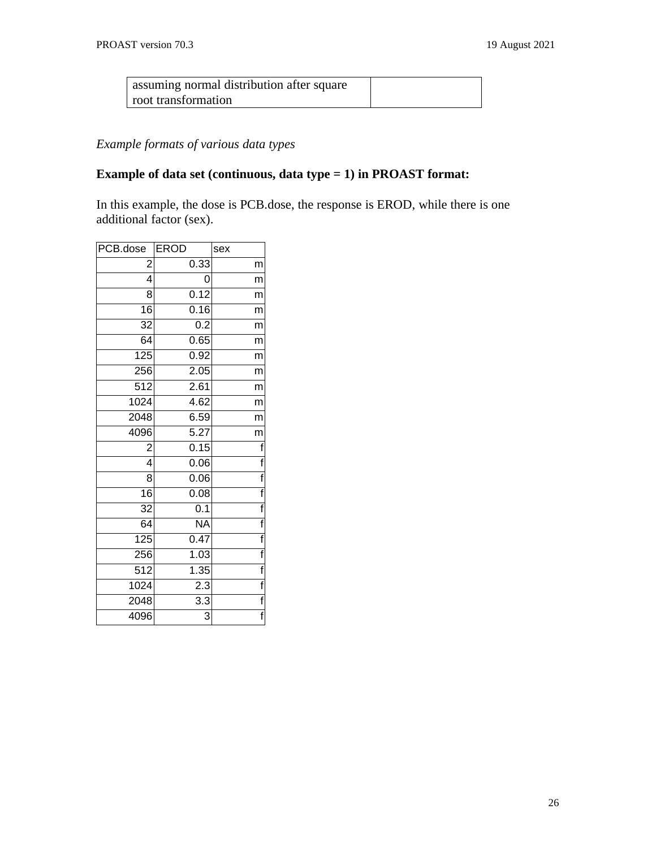| assuming normal distribution after square |  |
|-------------------------------------------|--|
| root transformation                       |  |

# *Example formats of various data types*

# **Example of data set (continuous, data type = 1) in PROAST format:**

In this example, the dose is PCB.dose, the response is EROD, while there is one additional factor (sex).

| PCB.dose         | <b>EROD</b>              | sex                     |
|------------------|--------------------------|-------------------------|
| 2                | 0.33                     | m                       |
| 4                | 0                        | m                       |
| 8                | 0.12                     | m                       |
| $\overline{16}$  | 0.16                     | m                       |
| 32               | 0.2                      | m                       |
| $\overline{64}$  | 0.65                     | m                       |
| 125              | $\overline{0.92}$        | m                       |
| 256              | 2.05                     | m                       |
| $\overline{512}$ | 2.61                     | m                       |
| 1024             | 4.62                     | m                       |
| 2048             | 6.59                     | m                       |
| 4096             | $\overline{5.27}$        | m                       |
| 2                | 0.15                     | f                       |
| 4                | 0.06                     | f                       |
| 8                | 0.06                     | f                       |
| $\overline{16}$  | 0.08                     | $\overline{\mathsf{f}}$ |
| $\overline{32}$  | $\overline{0.1}$         | $\overline{f}$          |
| 64               | $\overline{\mathsf{NA}}$ | $\overline{f}$          |
| $\overline{125}$ | 0.47                     | $\overline{f}$          |
| 256              | 1.03                     | $\overline{f}$          |
| 512              | 1.35                     | $\overline{f}$          |
| 1024             | 2.3                      | $\overline{f}$          |
| 2048             | 3.3                      | $\overline{f}$          |
| 4096             | 3                        | $\overline{f}$          |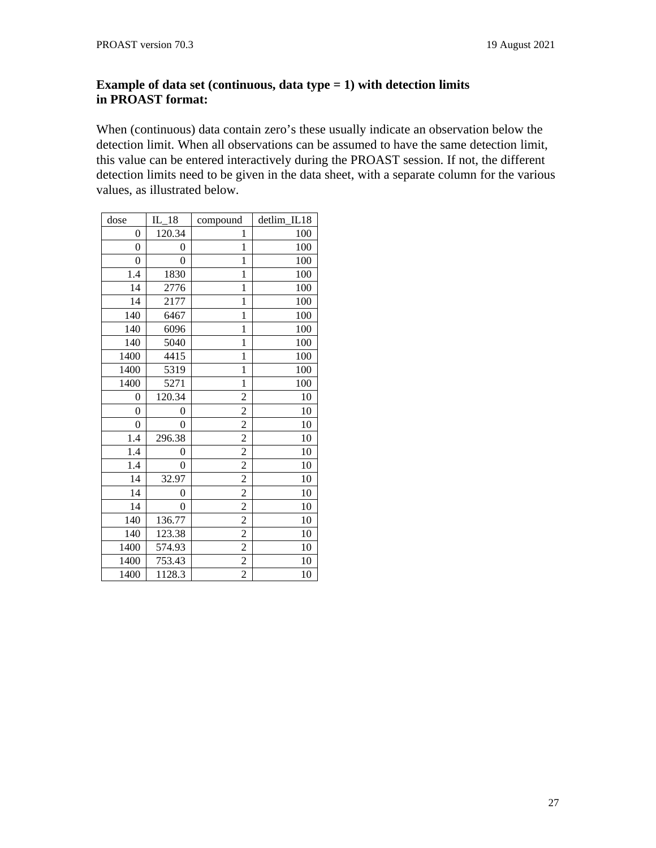### **Example of data set (continuous, data type = 1) with detection limits in PROAST format:**

When (continuous) data contain zero's these usually indicate an observation below the detection limit. When all observations can be assumed to have the same detection limit, this value can be entered interactively during the PROAST session. If not, the different detection limits need to be given in the data sheet, with a separate column for the various values, as illustrated below.

| dose           | $IL_18$ | compound       | detlim IL18 |
|----------------|---------|----------------|-------------|
| 0              | 120.34  | 1              | 100         |
| $\overline{0}$ | 0       | $\mathbf{1}$   | 100         |
| 0              | 0       | $\mathbf{1}$   | 100         |
| 1.4            | 1830    | $\mathbf{1}$   | 100         |
| 14             | 2776    | $\overline{1}$ | 100         |
| 14             | 2177    | $\mathbf{1}$   | 100         |
| 140            | 6467    | $\mathbf{1}$   | 100         |
| 140            | 6096    | $\mathbf{1}$   | 100         |
| 140            | 5040    | $\mathbf{1}$   | 100         |
| 1400           | 4415    | $\overline{1}$ | 100         |
| 1400           | 5319    | $\mathbf{1}$   | 100         |
| 1400           | 5271    | $\mathbf{1}$   | 100         |
| 0              | 120.34  | $\overline{2}$ | 10          |
| 0              | 0       | $\overline{2}$ | 10          |
| 0              | 0       | $\overline{c}$ | 10          |
| 1.4            | 296.38  | $\overline{c}$ | 10          |
| 1.4            | 0       | $\overline{c}$ | 10          |
| 1.4            | 0       | $\overline{c}$ | 10          |
| 14             | 32.97   | $\overline{c}$ | 10          |
| 14             | 0       | $\overline{a}$ | 10          |
| 14             | 0       | $\overline{c}$ | 10          |
| 140            | 136.77  | $\overline{2}$ | 10          |
| 140            | 123.38  | $\overline{c}$ | 10          |
| 1400           | 574.93  | $\overline{c}$ | 10          |
| 1400           | 753.43  | $\overline{a}$ | 10          |
| 1400           | 1128.3  | $\overline{2}$ | 10          |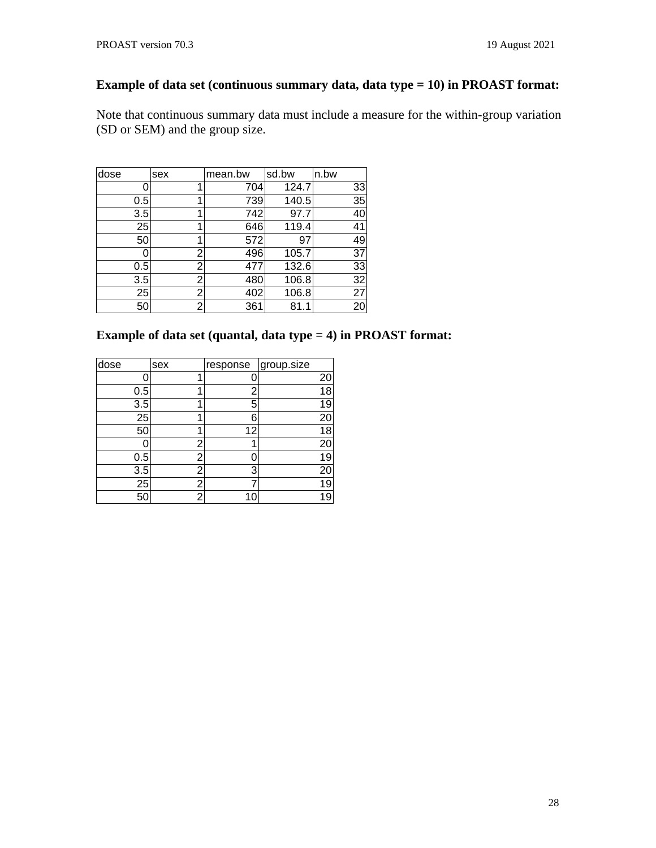### **Example of data set (continuous summary data, data type = 10) in PROAST format:**

Note that continuous summary data must include a measure for the within-group variation (SD or SEM) and the group size.

| dose | sex | mean.bw | sd.bw | n.bw |
|------|-----|---------|-------|------|
|      | 1   | 704     | 124.7 | 33   |
| 0.5  | 1   | 739     | 140.5 | 35   |
| 3.5  | 1   | 742     | 97.7  | 40   |
| 25   | 1   | 646     | 119.4 | 41   |
| 50   | 1   | 572     | 97    | 49   |
|      | 2   | 496     | 105.7 | 37   |
| 0.5  | 2   | 477     | 132.6 | 33   |
| 3.5  | 2   | 480     | 106.8 | 32   |
| 25   | 2   | 402     | 106.8 | 27   |
| 50   | 2   | 361     | 81.1  | 20   |

### **Example of data set (quantal, data type = 4) in PROAST format:**

| dose            | sex | response | group.size |
|-----------------|-----|----------|------------|
|                 | 1   |          | 20         |
| 0.5             | 1   | 2        | 18         |
| 3.5             | 1   | 5        | 19         |
| 25              | 1   | 6        | 20         |
| 50              | 1   | 12       | 18         |
| n               | 2   |          | 20         |
| 0.5             | 2   |          | 19         |
| 3.5             | 2   | 3        | 20         |
| $\overline{25}$ | 2   |          | 19         |
| 50              | 2   | 10       | 19         |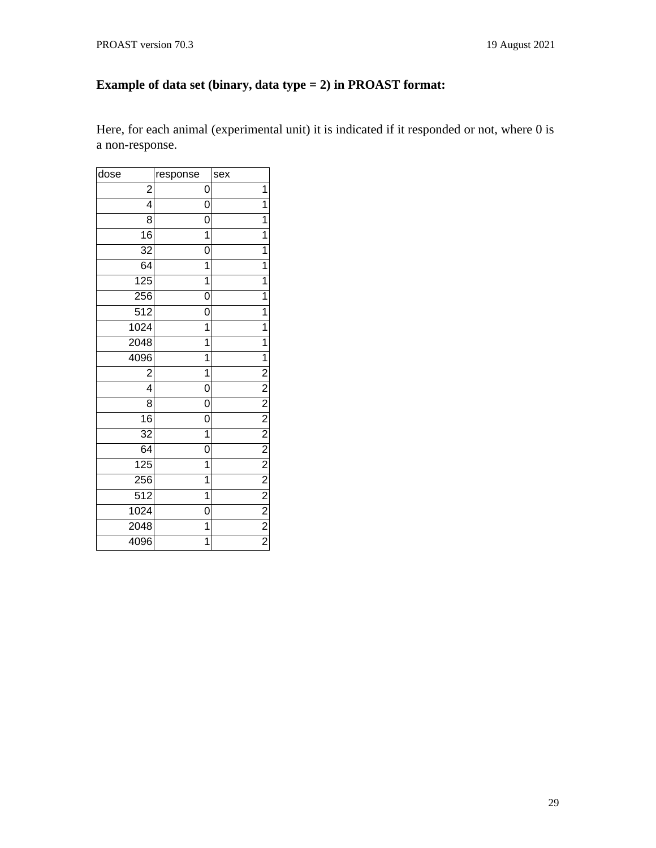# **Example of data set (binary, data type = 2) in PROAST format:**

Here, for each animal (experimental unit) it is indicated if it responded or not, where 0 is a non-response.

| dose             | response       | sex                                                                   |
|------------------|----------------|-----------------------------------------------------------------------|
| $\overline{c}$   | 0              | 1                                                                     |
| 4                | 0              | 1                                                                     |
| 8                | 0              | 1                                                                     |
| 16               | $\mathbf{1}$   | $\mathbf{1}$                                                          |
| 32               | 0              | 1                                                                     |
| 64               | 1              | $\mathbf{1}$                                                          |
| 125              | $\mathbf{1}$   | $\overline{1}$                                                        |
| 256              | 0              | 1                                                                     |
| 512              | 0              | 1                                                                     |
| 1024             | $\mathbf{1}$   | 1                                                                     |
| 2048             | $\overline{1}$ | 1                                                                     |
| 4096             | $\mathbf{1}$   | $\mathbf{1}$                                                          |
| $\overline{c}$   | $\overline{1}$ | $\overline{2}$                                                        |
| 4                | 0              |                                                                       |
| 8                | 0              |                                                                       |
| 16               | 0              |                                                                       |
| 32               | $\overline{1}$ |                                                                       |
| 64               | 0              |                                                                       |
| 125              | $\overline{1}$ |                                                                       |
| 256              | 1              |                                                                       |
| $\overline{512}$ | $\overline{1}$ | $\frac{2}{2}$ $\frac{2}{2}$ $\frac{2}{2}$ $\frac{2}{2}$ $\frac{2}{2}$ |
| 1024             | 0              |                                                                       |
| 2048             | 1              |                                                                       |
| 4096             | 1              |                                                                       |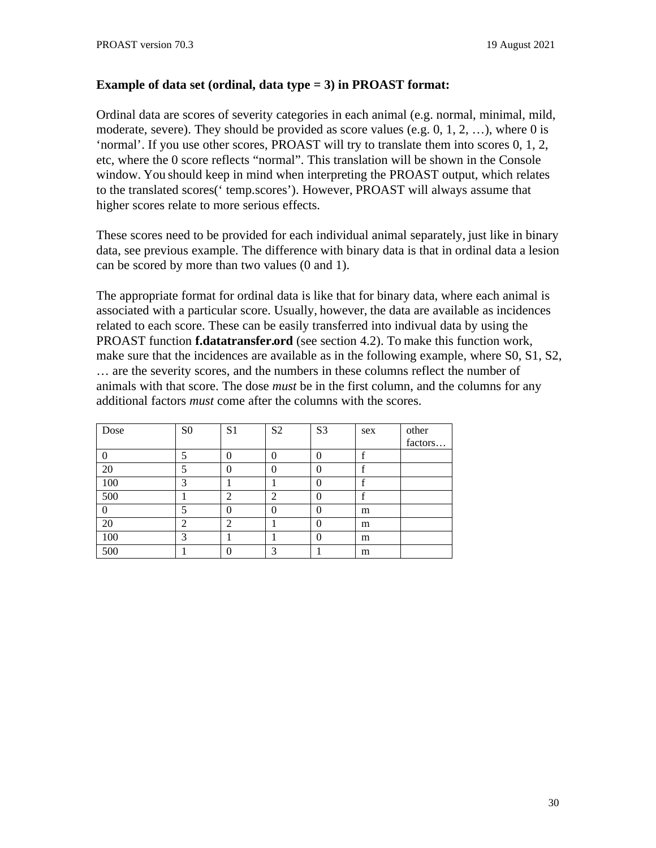### **Example of data set (ordinal, data type = 3) in PROAST format:**

Ordinal data are scores of severity categories in each animal (e.g. normal, minimal, mild, moderate, severe). They should be provided as score values (e.g.  $0, 1, 2, \ldots$ ), where 0 is 'normal'. If you use other scores, PROAST will try to translate them into scores 0, 1, 2, etc, where the 0 score reflects "normal". This translation will be shown in the Console window. You should keep in mind when interpreting the PROAST output, which relates to the translated scores(' temp.scores'). However, PROAST will always assume that higher scores relate to more serious effects.

These scores need to be provided for each individual animal separately, just like in binary data, see previous example. The difference with binary data is that in ordinal data a lesion can be scored by more than two values (0 and 1).

The appropriate format for ordinal data is like that for binary data, where each animal is associated with a particular score. Usually, however, the data are available as incidences related to each score. These can be easily transferred into indivual data by using the PROAST function **f.datatransfer.ord** (see section 4.2). To make this function work, make sure that the incidences are available as in the following example, where S0, S1, S2, … are the severity scores, and the numbers in these columns reflect the number of animals with that score. The dose *must* be in the first column, and the columns for any additional factors *must* come after the columns with the scores.

| Dose | S <sub>0</sub> | S1            | S <sub>2</sub> | S <sub>3</sub> | sex | other   |
|------|----------------|---------------|----------------|----------------|-----|---------|
|      |                |               |                |                |     | factors |
|      | 5              | 0             | O              | $\Omega$       | f   |         |
| 20   | 5              | 0             | O              | $\Omega$       | f   |         |
| 100  | 3              |               |                | $\theta$       | f   |         |
| 500  |                | 2             | ר              | $\Omega$       | f   |         |
| 0    | 5              | 0             | 0              | $\theta$       | m   |         |
| 20   | $\mathcal{D}$  | $\mathcal{P}$ |                | $\Omega$       | m   |         |
| 100  | 3              |               |                | $\theta$       | m   |         |
| 500  |                | 0             | 3              |                | m   |         |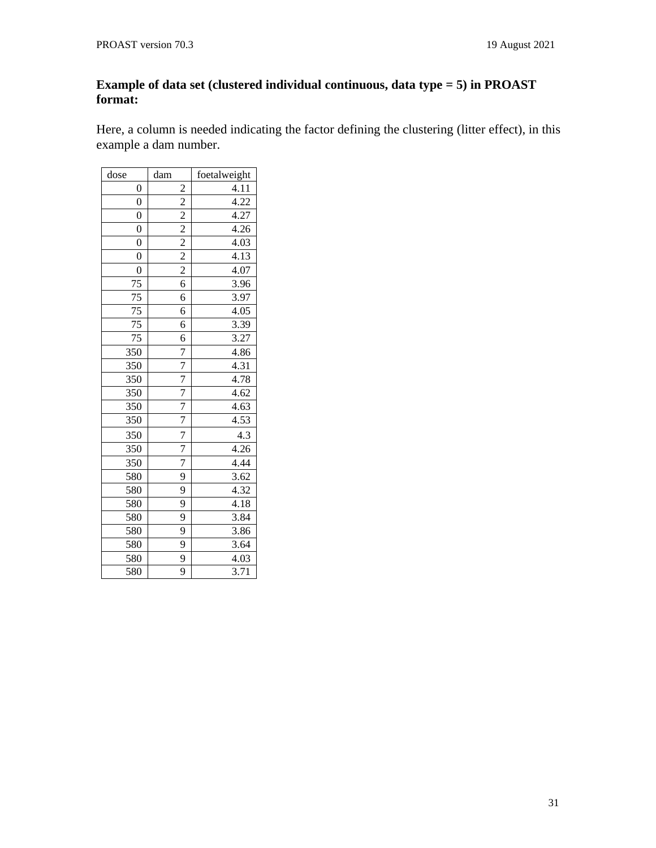### **Example of data set (clustered individual continuous, data type = 5) in PROAST format:**

Here, a column is needed indicating the factor defining the clustering (litter effect), in this example a dam number.

| dose            | dam            | foetalweight      |
|-----------------|----------------|-------------------|
| 0               | $\overline{a}$ | 4.11              |
| $\overline{0}$  | $\overline{2}$ | 4.22              |
| $\overline{0}$  |                | 4.27              |
| $\overline{0}$  | $\frac{2}{2}$  | 4.26              |
| $\overline{0}$  |                | 4.03              |
| $\overline{0}$  | $\frac{2}{2}$  | 4.13              |
| $\overline{0}$  |                | 4.07              |
| 75              | $\overline{6}$ | 3.96              |
| 75              | 6              | 3.97              |
| $\overline{75}$ | 6              | 4.05              |
| 75              | 6              | 3.39              |
| 75              | 6              | 3.27              |
| 350             |                | 4.86              |
| 350             | $\frac{7}{7}$  | 4.31              |
| 350             | $\frac{7}{7}$  | 4.78              |
| 350             |                | 4.62              |
| 350             | $\overline{7}$ | 4.63              |
| 350             | $\overline{7}$ | 4.53              |
| 350             | 7              | 4.3               |
| 350             | $\overline{7}$ | 4.26              |
| 350             | $\overline{7}$ | 4.44              |
| 580             | 9              | 3.62              |
| 580             | 9              | 4.32              |
| 580             | 9              | 4.18              |
| 580             | 9              | 3.84              |
| 580             | 9              | 3.86              |
| 580             | 9              | 3.64              |
| 580             | 9              | 4.03              |
| 580             | $\overline{9}$ | $\overline{3.71}$ |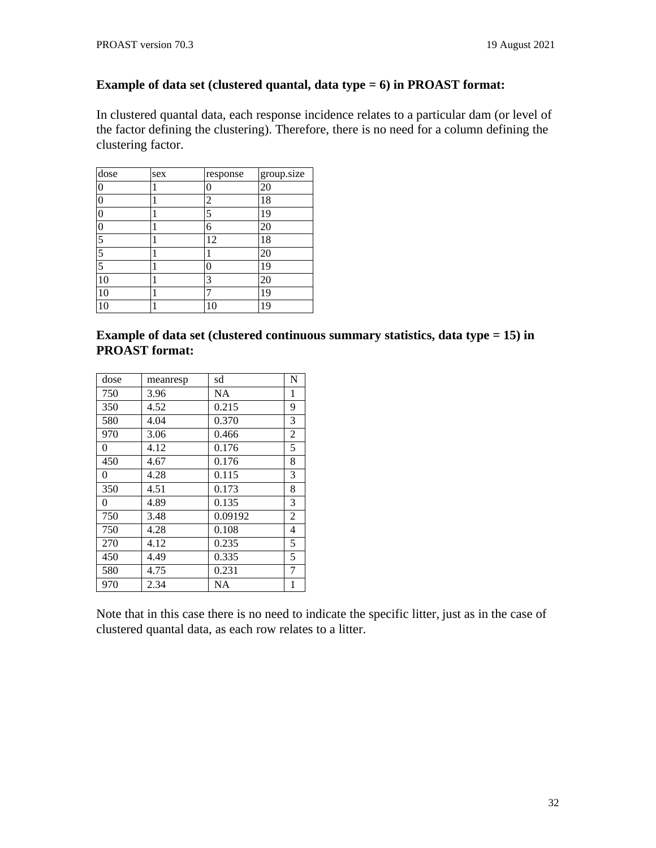#### **Example of data set (clustered quantal, data type = 6) in PROAST format:**

In clustered quantal data, each response incidence relates to a particular dam (or level of the factor defining the clustering). Therefore, there is no need for a column defining the clustering factor.

| dose             | sex | response | group.size |
|------------------|-----|----------|------------|
| 0                | 1   | 0        | 20         |
| $\boldsymbol{0}$ | 1   | 2        | 18         |
| 0                | 1   | 5        | 19         |
| $\boldsymbol{0}$ | 1   | 6        | 20         |
| 5                | 1   | 12       | 18         |
| 5                | 1   |          | 20         |
| $\overline{5}$   | 1   | 0        | 19         |
| 10               | 1   | 3        | 20         |
| 10               | 1   | 7        | 19         |
| 10               | 1   | 10       | 19         |

**Example of data set (clustered continuous summary statistics, data type = 15) in PROAST format:**

| dose | meanresp | sd      | N              |
|------|----------|---------|----------------|
| 750  | 3.96     | NA      | $\mathbf{1}$   |
| 350  | 4.52     | 0.215   | 9              |
| 580  | 4.04     | 0.370   | 3              |
| 970  | 3.06     | 0.466   | $\overline{2}$ |
| 0    | 4.12     | 0.176   | 5              |
| 450  | 4.67     | 0.176   | 8              |
| 0    | 4.28     | 0.115   | 3              |
| 350  | 4.51     | 0.173   | 8              |
| 0    | 4.89     | 0.135   | 3              |
| 750  | 3.48     | 0.09192 | $\overline{2}$ |
| 750  | 4.28     | 0.108   | 4              |
| 270  | 4.12     | 0.235   | 5              |
| 450  | 4.49     | 0.335   | 5              |
| 580  | 4.75     | 0.231   | 7              |
| 970  | 2.34     | NA      | $\mathbf{1}$   |

Note that in this case there is no need to indicate the specific litter, just as in the case of clustered quantal data, as each row relates to a litter.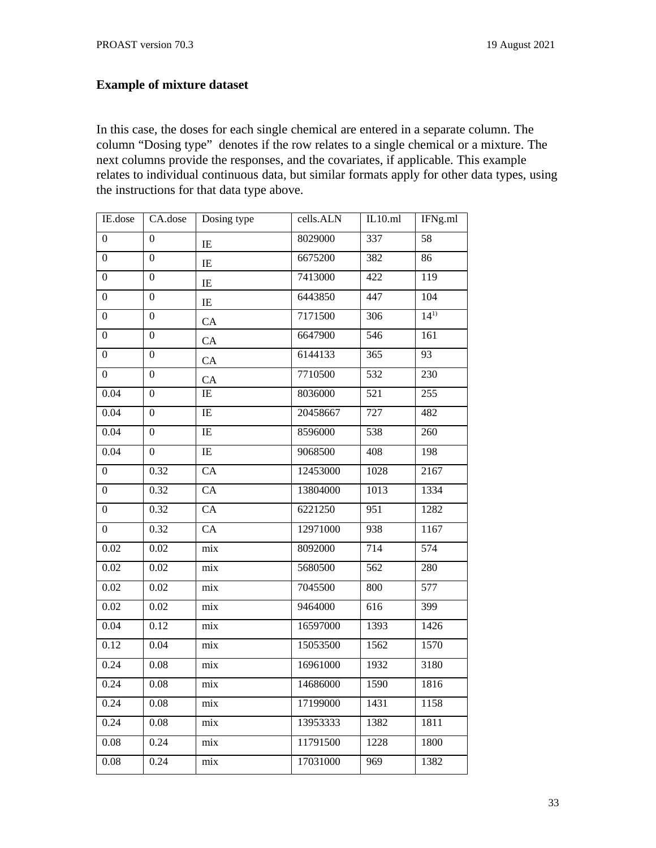# **Example of mixture dataset**

In this case, the doses for each single chemical are entered in a separate column. The column "Dosing type" denotes if the row relates to a single chemical or a mixture. The next columns provide the responses, and the covariates, if applicable. This example relates to individual continuous data, but similar formats apply for other data types, using the instructions for that data type above.

| IE.dose           | CA.dose          | Dosing type      | cells.ALN | IL10.ml          | IFNg.ml          |
|-------------------|------------------|------------------|-----------|------------------|------------------|
| $\overline{0}$    | $\overline{0}$   | $\rm IE$         | 8029000   | 337              | $\overline{58}$  |
| $\overline{0}$    | $\overline{0}$   | IE               | 6675200   | 382              | 86               |
| 0                 | 0                | $\rm IE$         | 7413000   | $\overline{422}$ | 119              |
| $\boldsymbol{0}$  | 0                | $\rm IE$         | 6443850   | 447              | $\overline{104}$ |
| 0                 | 0                | CA               | 7171500   | 306              | $14^{1}$         |
| $\boldsymbol{0}$  | $\overline{0}$   | CA               | 6647900   | 546              | 161              |
| $\overline{0}$    | $\overline{0}$   | CA               | 6144133   | 365              | $\overline{93}$  |
| $\overline{0}$    | $\overline{0}$   | CA               | 7710500   | 532              | 230              |
| 0.04              | 0                | IE               | 8036000   | 521              | 255              |
| 0.04              | 0                | $\rm IE$         | 20458667  | 727              | 482              |
| 0.04              | $\boldsymbol{0}$ | $\rm IE$         | 8596000   | 538              | 260              |
| $\overline{0.04}$ | 0                | $\rm IE$         | 9068500   | 408              | 198              |
| $\overline{0}$    | 0.32             | $\overline{CA}$  | 12453000  | 1028             | 2167             |
| 0                 | 0.32             | CA               | 13804000  | 1013             | 1334             |
| $\overline{0}$    | 0.32             | CA               | 6221250   | 951              | 1282             |
| 0                 | 0.32             | $\overline{CA}$  | 12971000  | 938              | 1167             |
| 0.02              | 0.02             | $\mbox{mix}$     | 8092000   | 714              | 574              |
| 0.02              | 0.02             | mix              | 5680500   | 562              | 280              |
| 0.02              | 0.02             | mix              | 7045500   | 800              | 577              |
| 0.02              | 0.02             | $\mbox{mix}$     | 9464000   | 616              | 399              |
| 0.04              | 0.12             | $\mbox{mix}$     | 16597000  | 1393             | 1426             |
| 0.12              | 0.04             | $\mbox{mix}$     | 15053500  | 1562             | 1570             |
| 0.24              | 0.08             | $\overline{mix}$ | 16961000  | 1932             | 3180             |
| 0.24              | 0.08             | $\mbox{mix}$     | 14686000  | 1590             | 1816             |
| 0.24              | 0.08             | mix              | 17199000  | 1431             | 1158             |
| 0.24              | 0.08             | $\mbox{mix}$     | 13953333  | 1382             | 1811             |
| 0.08              | 0.24             | $\mbox{mix}$     | 11791500  | 1228             | 1800             |
| 0.08              | 0.24             | $\mbox{mix}$     | 17031000  | 969              | 1382             |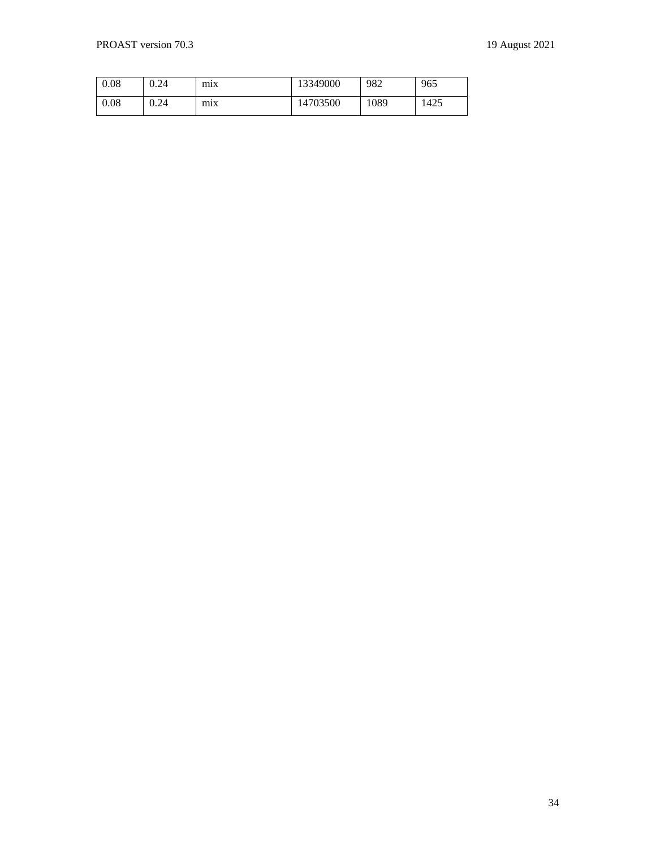| 0.08 | 0.24 | mıx | 13349000 | 982  | 965  |
|------|------|-----|----------|------|------|
| 0.08 | 0.24 | mıx | 14703500 | 1089 | 1425 |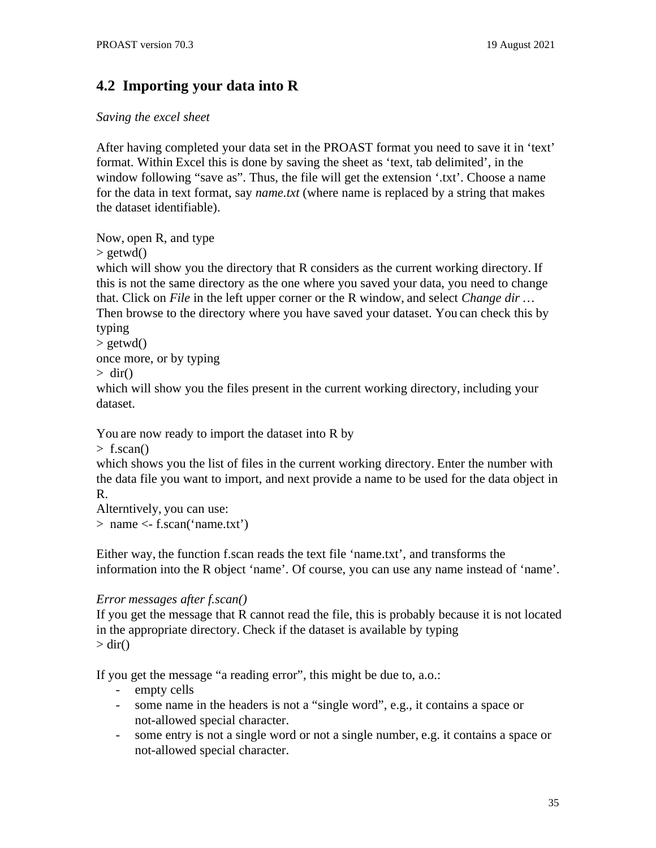# <span id="page-34-0"></span>**4.2 Importing your data into R**

### *Saving the excel sheet*

After having completed your data set in the PROAST format you need to save it in 'text' format. Within Excel this is done by saving the sheet as 'text, tab delimited', in the window following "save as". Thus, the file will get the extension '.txt'. Choose a name for the data in text format, say *name.txt* (where name is replaced by a string that makes the dataset identifiable).

Now, open R, and type

 $>$  getwd()

which will show you the directory that R considers as the current working directory. If this is not the same directory as the one where you saved your data, you need to change that. Click on *File* in the left upper corner or the R window, and select *Change dir …* Then browse to the directory where you have saved your dataset. You can check this by

typing

 $>$  getwd()

once more, or by typing

 $>$  dir()

which will show you the files present in the current working directory, including your dataset.

You are now ready to import the dataset into R by

 $>$  f.scan()

which shows you the list of files in the current working directory. Enter the number with the data file you want to import, and next provide a name to be used for the data object in R.

Alterntively, you can use: > name <- f.scan('name.txt')

Either way, the function f.scan reads the text file 'name.txt', and transforms the information into the R object 'name'. Of course, you can use any name instead of 'name'.

### *Error messages after f.scan()*

If you get the message that R cannot read the file, this is probably because it is not located in the appropriate directory. Check if the dataset is available by typing  $>$  dir()

If you get the message "a reading error", this might be due to, a.o.:

- empty cells
- some name in the headers is not a "single word", e.g., it contains a space or not-allowed special character.
- some entry is not a single word or not a single number, e.g. it contains a space or not-allowed special character.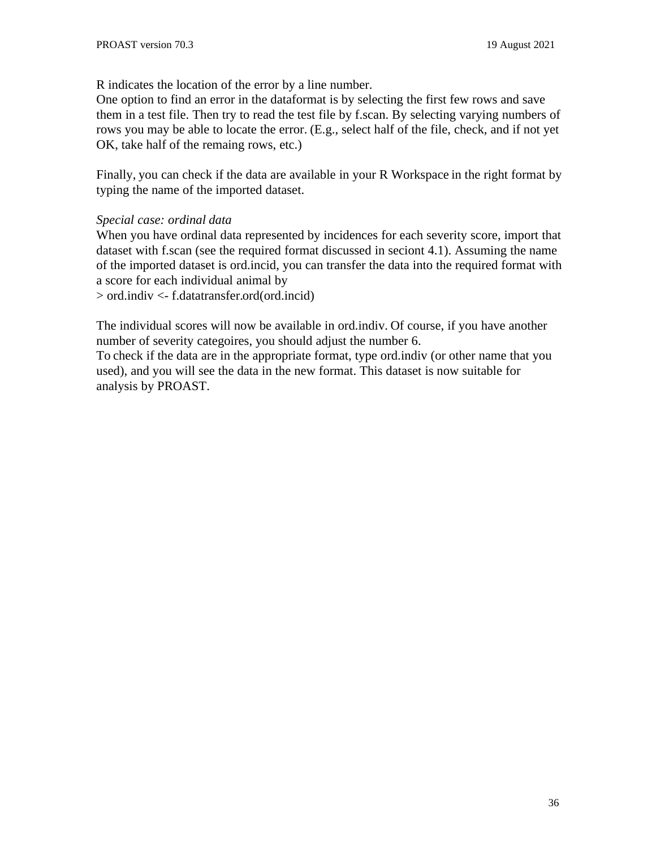R indicates the location of the error by a line number.

One option to find an error in the dataformat is by selecting the first few rows and save them in a test file. Then try to read the test file by f.scan. By selecting varying numbers of rows you may be able to locate the error. (E.g., select half of the file, check, and if not yet OK, take half of the remaing rows, etc.)

Finally, you can check if the data are available in your R Workspace in the right format by typing the name of the imported dataset.

### *Special case: ordinal data*

When you have ordinal data represented by incidences for each severity score, import that dataset with f.scan (see the required format discussed in seciont 4.1). Assuming the name of the imported dataset is ord.incid, you can transfer the data into the required format with a score for each individual animal by

> ord.indiv <- f.datatransfer.ord(ord.incid)

The individual scores will now be available in ord.indiv. Of course, if you have another number of severity categoires, you should adjust the number 6.

To check if the data are in the appropriate format, type ord.indiv (or other name that you used), and you will see the data in the new format. This dataset is now suitable for analysis by PROAST.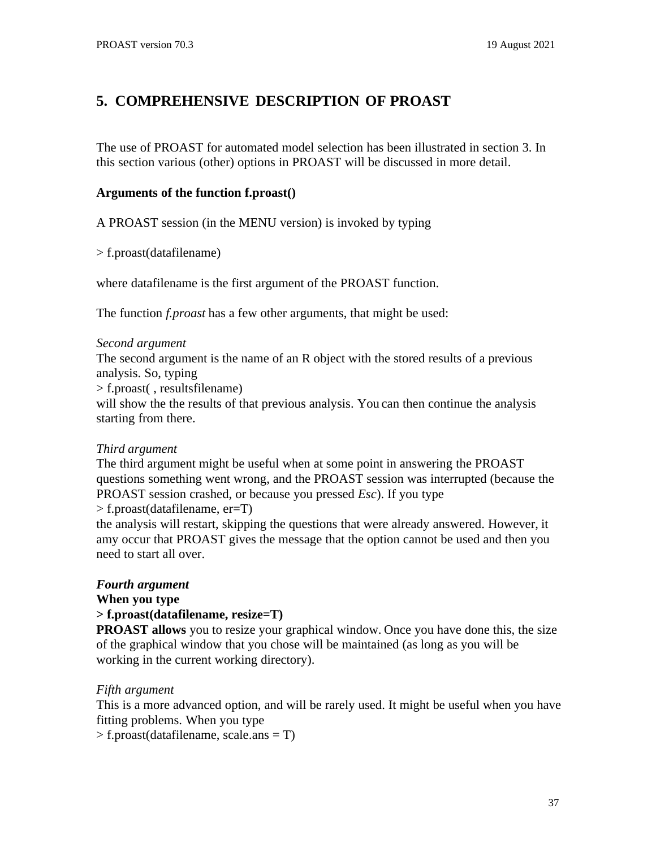# **5. COMPREHENSIVE DESCRIPTION OF PROAST**

The use of PROAST for automated model selection has been illustrated in section 3. In this section various (other) options in PROAST will be discussed in more detail.

### **Arguments of the function f.proast()**

A PROAST session (in the MENU version) is invoked by typing

> f.proast(datafilename)

where datafilename is the first argument of the PROAST function.

The function *f.proast* has a few other arguments, that might be used:

#### *Second argument*

The second argument is the name of an R object with the stored results of a previous analysis. So, typing

> f.proast( , resultsfilename)

will show the the results of that previous analysis. You can then continue the analysis starting from there.

#### *Third argument*

The third argument might be useful when at some point in answering the PROAST questions something went wrong, and the PROAST session was interrupted (because the PROAST session crashed, or because you pressed *Esc*). If you type

#### > f.proast(datafilename, er=T)

the analysis will restart, skipping the questions that were already answered. However, it amy occur that PROAST gives the message that the option cannot be used and then you need to start all over.

## *Fourth argument*

**When you type**

#### **> f.proast(datafilename, resize=T)**

**PROAST allows** you to resize your graphical window. Once you have done this, the size of the graphical window that you chose will be maintained (as long as you will be working in the current working directory).

#### *Fifth argument*

This is a more advanced option, and will be rarely used. It might be useful when you have fitting problems. When you type

> f.proast(datafilename, scale.ans = T)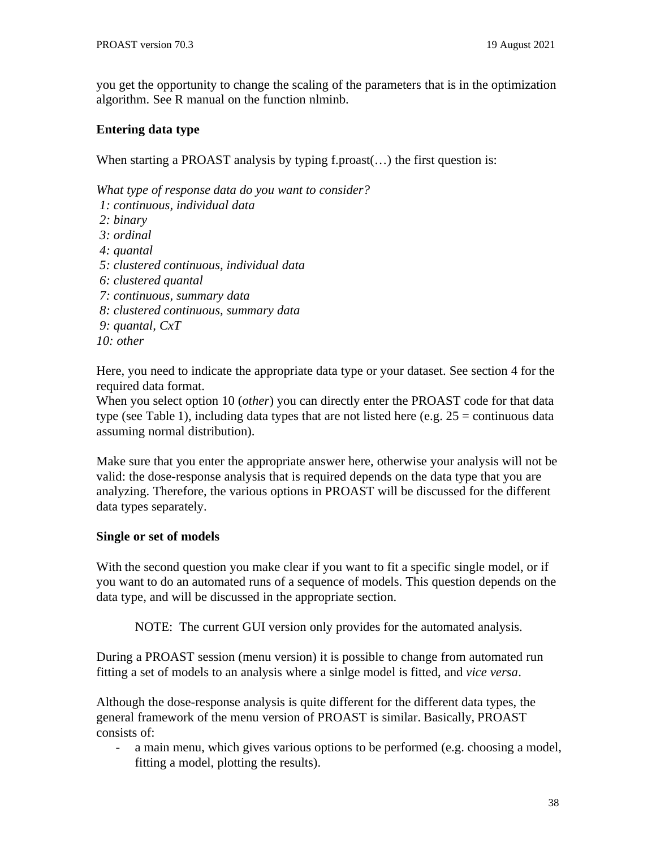you get the opportunity to change the scaling of the parameters that is in the optimization algorithm. See R manual on the function nlminb.

## **Entering data type**

When starting a PROAST analysis by typing f.proast(...) the first question is:

*What type of response data do you want to consider?*

- *1: continuous, individual data*
- *2: binary*
- *3: ordinal*
- *4: quantal*
- *5: clustered continuous, individual data*
- *6: clustered quantal*
- *7: continuous, summary data*
- *8: clustered continuous, summary data*
- *9: quantal, CxT*

*10: other*

Here, you need to indicate the appropriate data type or your dataset. See section 4 for the required data format.

When you select option 10 (*other*) you can directly enter the PROAST code for that data type (see Table 1), including data types that are not listed here (e.g.  $25 =$  continuous data assuming normal distribution).

Make sure that you enter the appropriate answer here, otherwise your analysis will not be valid: the dose-response analysis that is required depends on the data type that you are analyzing. Therefore, the various options in PROAST will be discussed for the different data types separately.

## **Single or set of models**

With the second question you make clear if you want to fit a specific single model, or if you want to do an automated runs of a sequence of models. This question depends on the data type, and will be discussed in the appropriate section.

NOTE: The current GUI version only provides for the automated analysis.

During a PROAST session (menu version) it is possible to change from automated run fitting a set of models to an analysis where a sinlge model is fitted, and *vice versa*.

Although the dose-response analysis is quite different for the different data types, the general framework of the menu version of PROAST is similar. Basically, PROAST consists of:

- a main menu, which gives various options to be performed (e.g. choosing a model, fitting a model, plotting the results).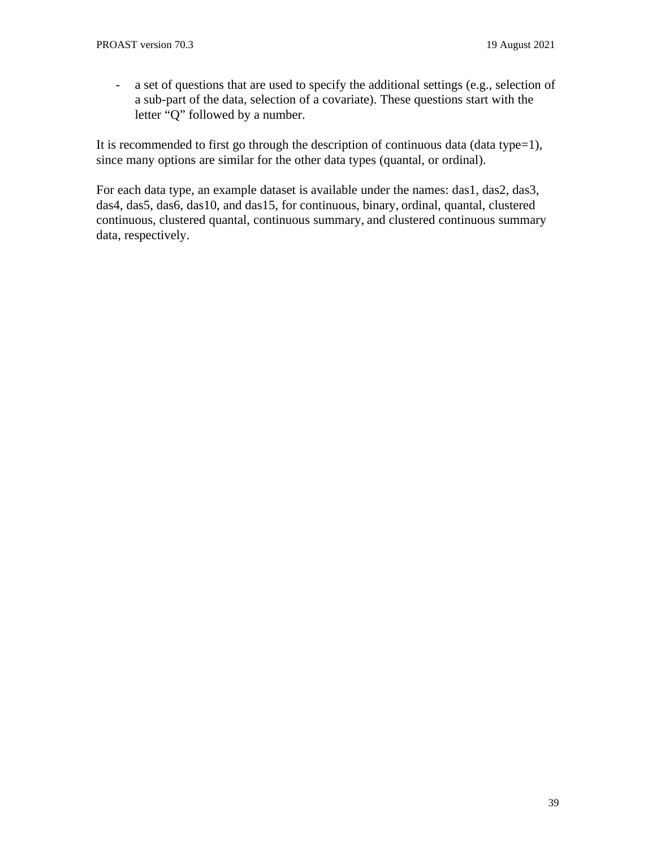- a set of questions that are used to specify the additional settings (e.g., selection of a sub-part of the data, selection of a covariate). These questions start with the letter "Q" followed by a number.

It is recommended to first go through the description of continuous data (data type=1), since many options are similar for the other data types (quantal, or ordinal).

For each data type, an example dataset is available under the names: das1, das2, das3, das4, das5, das6, das10, and das15, for continuous, binary, ordinal, quantal, clustered continuous, clustered quantal, continuous summary, and clustered continuous summary data, respectively.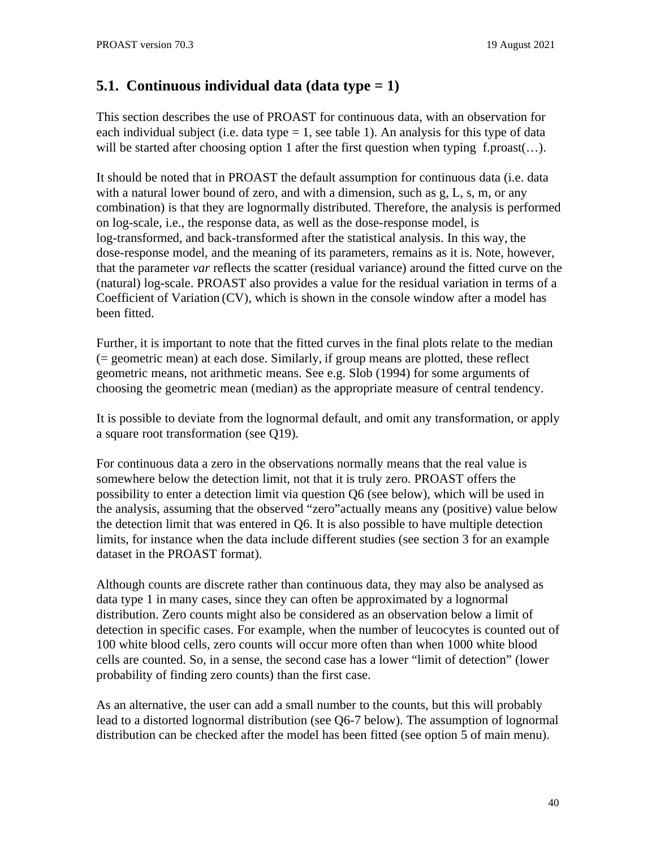# **5.1. Continuous individual data (data type = 1)**

This section describes the use of PROAST for continuous data, with an observation for each individual subject (i.e. data type  $= 1$ , see table 1). An analysis for this type of data will be started after choosing option 1 after the first question when typing f.proast(...).

It should be noted that in PROAST the default assumption for continuous data (i.e. data with a natural lower bound of zero, and with a dimension, such as g, L, s, m, or any combination) is that they are lognormally distributed. Therefore, the analysis is performed on log-scale, i.e., the response data, as well as the dose-response model, is log-transformed, and back-transformed after the statistical analysis. In this way, the dose-response model, and the meaning of its parameters, remains as it is. Note, however, that the parameter *var* reflects the scatter (residual variance) around the fitted curve on the (natural) log-scale. PROAST also provides a value for the residual variation in terms of a Coefficient of Variation (CV), which is shown in the console window after a model has been fitted.

Further, it is important to note that the fitted curves in the final plots relate to the median (= geometric mean) at each dose. Similarly, if group means are plotted, these reflect geometric means, not arithmetic means. See e.g. Slob (1994) for some arguments of choosing the geometric mean (median) as the appropriate measure of central tendency.

It is possible to deviate from the lognormal default, and omit any transformation, or apply a square root transformation (see Q19).

For continuous data a zero in the observations normally means that the real value is somewhere below the detection limit, not that it is truly zero. PROAST offers the possibility to enter a detection limit via question Q6 (see below), which will be used in the analysis, assuming that the observed "zero"actually means any (positive) value below the detection limit that was entered in Q6. It is also possible to have multiple detection limits, for instance when the data include different studies (see section 3 for an example dataset in the PROAST format).

Although counts are discrete rather than continuous data, they may also be analysed as data type 1 in many cases, since they can often be approximated by a lognormal distribution. Zero counts might also be considered as an observation below a limit of detection in specific cases. For example, when the number of leucocytes is counted out of 100 white blood cells, zero counts will occur more often than when 1000 white blood cells are counted. So, in a sense, the second case has a lower "limit of detection" (lower probability of finding zero counts) than the first case.

As an alternative, the user can add a small number to the counts, but this will probably lead to a distorted lognormal distribution (see Q6-7 below). The assumption of lognormal distribution can be checked after the model has been fitted (see option 5 of main menu).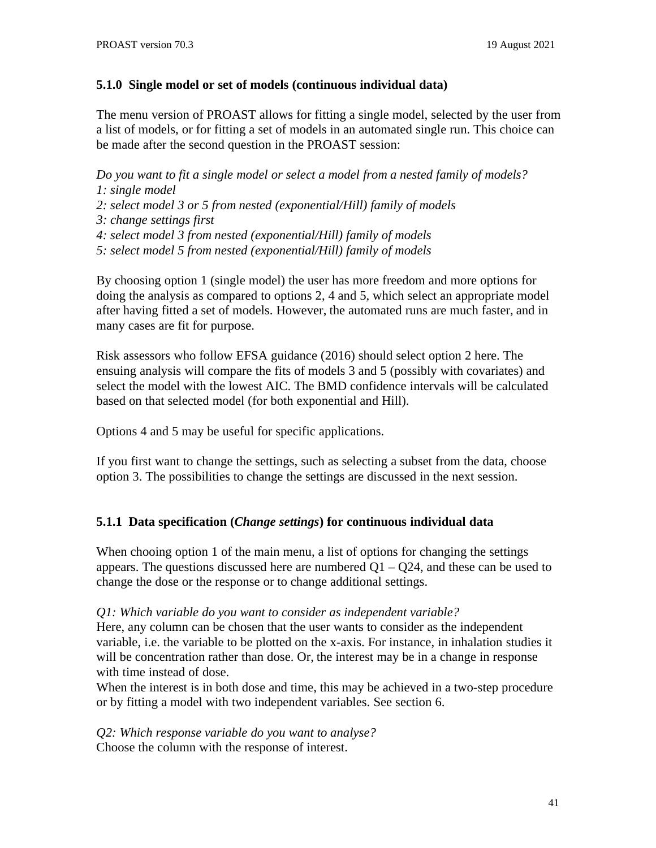## **5.1.0 Single model or set of models (continuous individual data)**

The menu version of PROAST allows for fitting a single model, selected by the user from a list of models, or for fitting a set of models in an automated single run. This choice can be made after the second question in the PROAST session:

*Do you want to fit a single model or select a model from a nested family of models? 1: single model*

*2: select model 3 or 5 from nested (exponential/Hill) family of models*

- *3: change settings first*
- *4: select model 3 from nested (exponential/Hill) family of models*

*5: select model 5 from nested (exponential/Hill) family of models*

By choosing option 1 (single model) the user has more freedom and more options for doing the analysis as compared to options 2, 4 and 5, which select an appropriate model after having fitted a set of models. However, the automated runs are much faster, and in many cases are fit for purpose.

Risk assessors who follow EFSA guidance (2016) should select option 2 here. The ensuing analysis will compare the fits of models 3 and 5 (possibly with covariates) and select the model with the lowest AIC. The BMD confidence intervals will be calculated based on that selected model (for both exponential and Hill).

Options 4 and 5 may be useful for specific applications.

If you first want to change the settings, such as selecting a subset from the data, choose option 3. The possibilities to change the settings are discussed in the next session.

# **5.1.1 Data specification (***Change settings***) for continuous individual data**

When chooing option 1 of the main menu, a list of options for changing the settings appears. The questions discussed here are numbered  $Q1 - Q24$ , and these can be used to change the dose or the response or to change additional settings.

## *Q1: Which variable do you want to consider as independent variable?*

Here, any column can be chosen that the user wants to consider as the independent variable, i.e. the variable to be plotted on the x-axis. For instance, in inhalation studies it will be concentration rather than dose. Or, the interest may be in a change in response with time instead of dose.

When the interest is in both dose and time, this may be achieved in a two-step procedure or by fitting a model with two independent variables. See section 6.

*Q2: Which response variable do you want to analyse?* Choose the column with the response of interest.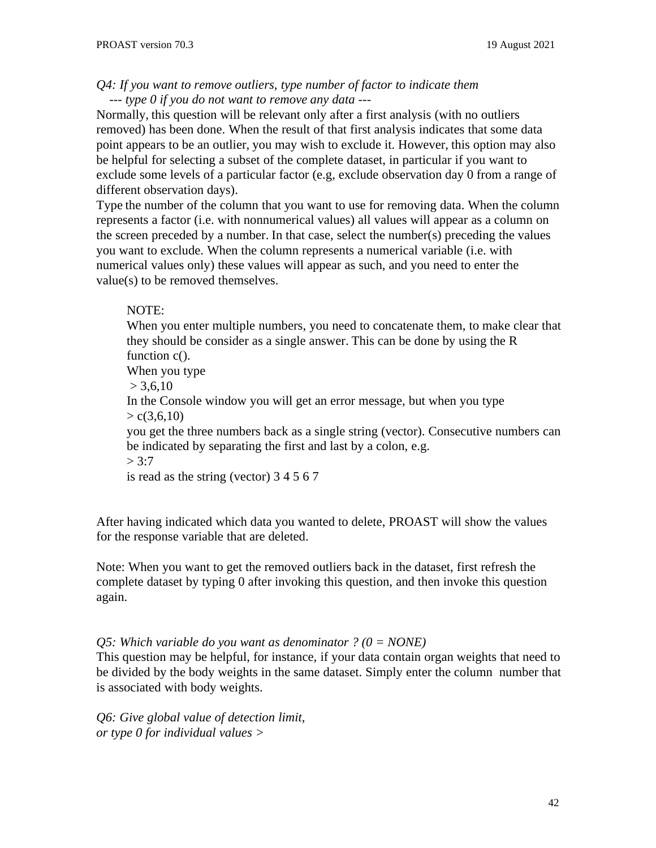#### *Q4: If you want to remove outliers, type number of factor to indicate them --- type 0 if you do not want to remove any data ---*

Normally, this question will be relevant only after a first analysis (with no outliers removed) has been done. When the result of that first analysis indicates that some data point appears to be an outlier, you may wish to exclude it. However, this option may also be helpful for selecting a subset of the complete dataset, in particular if you want to exclude some levels of a particular factor (e.g, exclude observation day 0 from a range of different observation days).

Type the number of the column that you want to use for removing data. When the column represents a factor (i.e. with nonnumerical values) all values will appear as a column on the screen preceded by a number. In that case, select the number(s) preceding the values you want to exclude. When the column represents a numerical variable (i.e. with numerical values only) these values will appear as such, and you need to enter the value(s) to be removed themselves.

#### NOTE:

When you enter multiple numbers, you need to concatenate them, to make clear that they should be consider as a single answer. This can be done by using the R function c().

When you type

 $> 3,6,10$ 

In the Console window you will get an error message, but when you type  $> c(3,6,10)$ 

you get the three numbers back as a single string (vector). Consecutive numbers can be indicated by separating the first and last by a colon, e.g.

 $> 3:7$ 

is read as the string (vector) 3 4 5 6 7

After having indicated which data you wanted to delete, PROAST will show the values for the response variable that are deleted.

Note: When you want to get the removed outliers back in the dataset, first refresh the complete dataset by typing 0 after invoking this question, and then invoke this question again.

*Q5: Which variable do you want as denominator ? (0 = NONE)*

This question may be helpful, for instance, if your data contain organ weights that need to be divided by the body weights in the same dataset. Simply enter the column number that is associated with body weights.

*Q6: Give global value of detection limit, or type 0 for individual values >*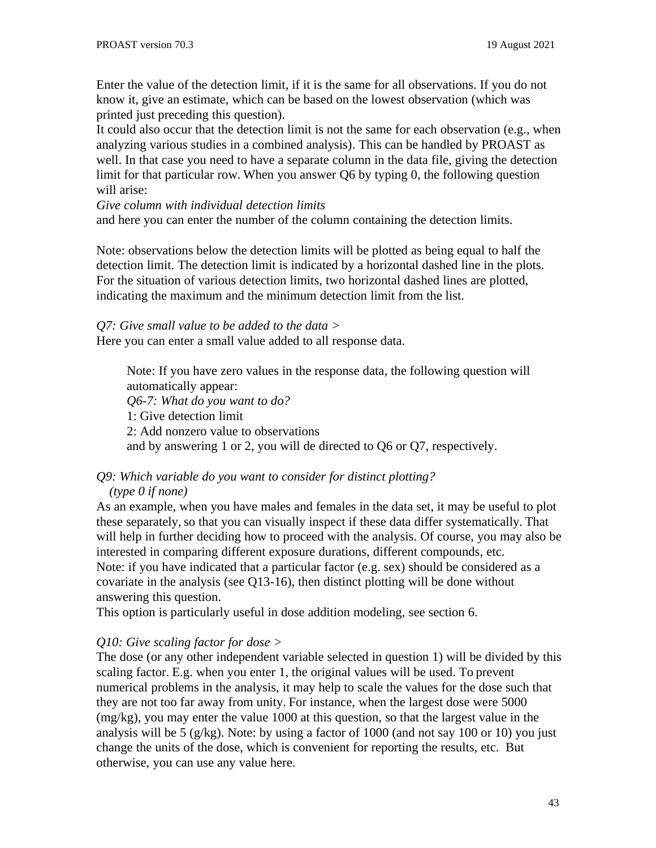Enter the value of the detection limit, if it is the same for all observations. If you do not know it, give an estimate, which can be based on the lowest observation (which was printed just preceding this question).

It could also occur that the detection limit is not the same for each observation (e.g., when analyzing various studies in a combined analysis). This can be handled by PROAST as well. In that case you need to have a separate column in the data file, giving the detection limit for that particular row. When you answer Q6 by typing 0, the following question will arise:

*Give column with individual detection limits*

and here you can enter the number of the column containing the detection limits.

Note: observations below the detection limits will be plotted as being equal to half the detection limit. The detection limit is indicated by a horizontal dashed line in the plots. For the situation of various detection limits, two horizontal dashed lines are plotted, indicating the maximum and the minimum detection limit from the list.

*Q7: Give small value to be added to the data >* Here you can enter a small value added to all response data.

Note: If you have zero values in the response data, the following question will automatically appear: *Q6-7: What do you want to do?* 1: Give detection limit 2: Add nonzero value to observations and by answering 1 or 2, you will de directed to Q6 or Q7, respectively.

# *Q9: Which variable do you want to consider for distinct plotting?*

## *(type 0 if none)*

As an example, when you have males and females in the data set, it may be useful to plot these separately, so that you can visually inspect if these data differ systematically. That will help in further deciding how to proceed with the analysis. Of course, you may also be interested in comparing different exposure durations, different compounds, etc. Note: if you have indicated that a particular factor (e.g. sex) should be considered as a covariate in the analysis (see Q13-16), then distinct plotting will be done without answering this question.

This option is particularly useful in dose addition modeling, see section 6.

# *Q10: Give scaling factor for dose >*

The dose (or any other independent variable selected in question 1) will be divided by this scaling factor. E.g. when you enter 1, the original values will be used. To prevent numerical problems in the analysis, it may help to scale the values for the dose such that they are not too far away from unity. For instance, when the largest dose were 5000 (mg/kg), you may enter the value 1000 at this question, so that the largest value in the analysis will be 5 (g/kg). Note: by using a factor of 1000 (and not say 100 or 10) you just change the units of the dose, which is convenient for reporting the results, etc. But otherwise, you can use any value here.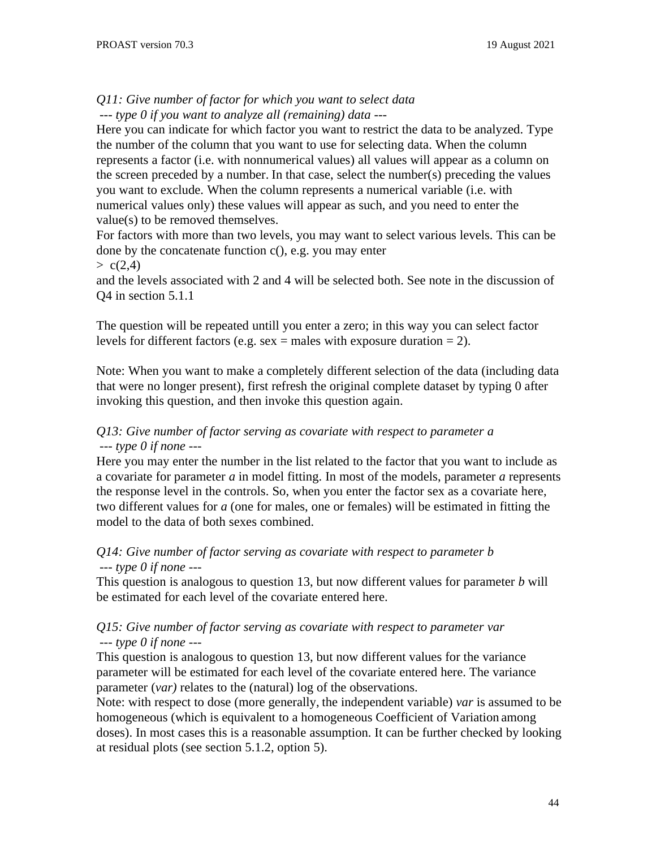# *Q11: Give number of factor for which you want to select data*

*--- type 0 if you want to analyze all (remaining) data ---*

Here you can indicate for which factor you want to restrict the data to be analyzed. Type the number of the column that you want to use for selecting data. When the column represents a factor (i.e. with nonnumerical values) all values will appear as a column on the screen preceded by a number. In that case, select the number(s) preceding the values you want to exclude. When the column represents a numerical variable (i.e. with numerical values only) these values will appear as such, and you need to enter the value(s) to be removed themselves.

For factors with more than two levels, you may want to select various levels. This can be done by the concatenate function c(), e.g. you may enter

 $> c(2,4)$ 

and the levels associated with 2 and 4 will be selected both. See note in the discussion of Q4 in section 5.1.1

The question will be repeated untill you enter a zero; in this way you can select factor levels for different factors (e.g. sex  $=$  males with exposure duration  $=$  2).

Note: When you want to make a completely different selection of the data (including data that were no longer present), first refresh the original complete dataset by typing 0 after invoking this question, and then invoke this question again.

## *Q13: Give number of factor serving as covariate with respect to parameter a --- type 0 if none ---*

Here you may enter the number in the list related to the factor that you want to include as a covariate for parameter *a* in model fitting. In most of the models, parameter *a* represents the response level in the controls. So, when you enter the factor sex as a covariate here, two different values for *a* (one for males, one or females) will be estimated in fitting the model to the data of both sexes combined.

# *Q14: Give number of factor serving as covariate with respect to parameter b --- type 0 if none ---*

This question is analogous to question 13, but now different values for parameter *b* will be estimated for each level of the covariate entered here.

## *Q15: Give number of factor serving as covariate with respect to parameter var --- type 0 if none ---*

This question is analogous to question 13, but now different values for the variance parameter will be estimated for each level of the covariate entered here. The variance parameter (*var)* relates to the (natural) log of the observations.

Note: with respect to dose (more generally, the independent variable) *var* is assumed to be homogeneous (which is equivalent to a homogeneous Coefficient of Variation among doses). In most cases this is a reasonable assumption. It can be further checked by looking at residual plots (see section 5.1.2, option 5).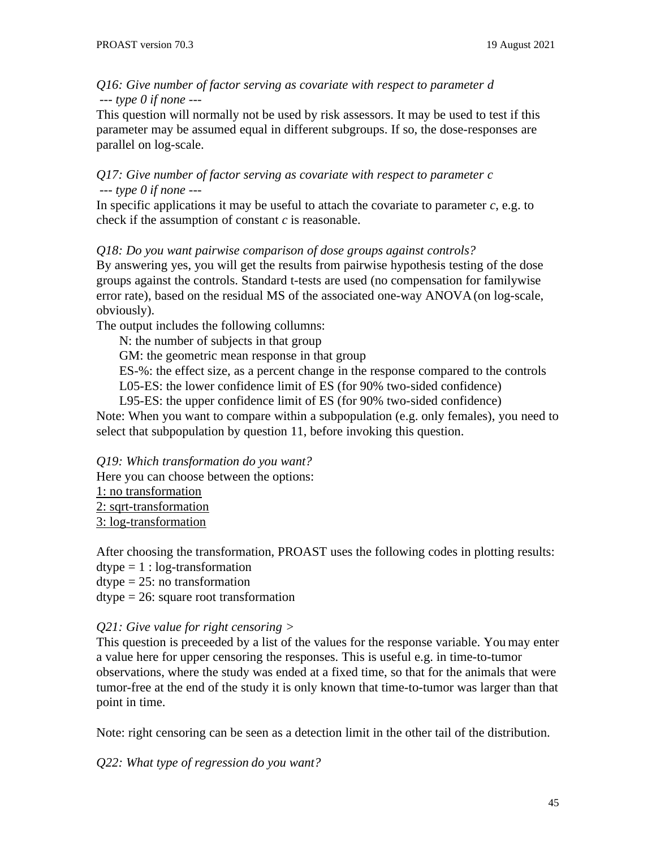*Q16: Give number of factor serving as covariate with respect to parameter d --- type 0 if none ---*

This question will normally not be used by risk assessors. It may be used to test if this parameter may be assumed equal in different subgroups. If so, the dose-responses are parallel on log-scale.

*Q17: Give number of factor serving as covariate with respect to parameter c --- type 0 if none ---*

In specific applications it may be useful to attach the covariate to parameter *c*, e.g. to check if the assumption of constant *c* is reasonable.

*Q18: Do you want pairwise comparison of dose groups against controls?*

By answering yes, you will get the results from pairwise hypothesis testing of the dose groups against the controls. Standard t-tests are used (no compensation for familywise error rate), based on the residual MS of the associated one-way ANOVA(on log-scale, obviously).

The output includes the following collumns:

N: the number of subjects in that group

GM: the geometric mean response in that group

ES-%: the effect size, as a percent change in the response compared to the controls L05-ES: the lower confidence limit of ES (for 90% two-sided confidence)

L95-ES: the upper confidence limit of ES (for 90% two-sided confidence)

Note: When you want to compare within a subpopulation (e.g. only females), you need to select that subpopulation by question 11, before invoking this question.

*Q19: Which transformation do you want?* Here you can choose between the options: 1: no transformation 2: sqrt-transformation 3: log-transformation

After choosing the transformation, PROAST uses the following codes in plotting results:

- $\text{dtype} = 1$ :  $\log\text{-}transformation$
- $\text{dtype} = 25$ : no transformation

dtype = 26: square root transformation

## *Q21: Give value for right censoring >*

This question is preceeded by a list of the values for the response variable. You may enter a value here for upper censoring the responses. This is useful e.g. in time-to-tumor observations, where the study was ended at a fixed time, so that for the animals that were tumor-free at the end of the study it is only known that time-to-tumor was larger than that point in time.

Note: right censoring can be seen as a detection limit in the other tail of the distribution.

*Q22: What type of regression do you want?*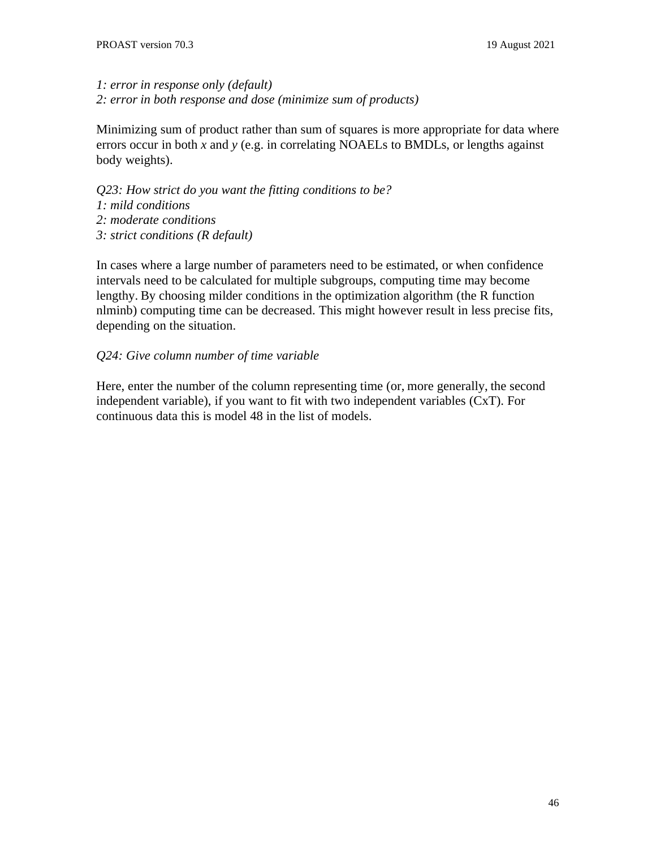# *1: error in response only (default)*

*2: error in both response and dose (minimize sum of products)*

Minimizing sum of product rather than sum of squares is more appropriate for data where errors occur in both *x* and *y* (e.g. in correlating NOAELs to BMDLs, or lengths against body weights).

*Q23: How strict do you want the fitting conditions to be? 1: mild conditions 2: moderate conditions 3: strict conditions (R default)*

In cases where a large number of parameters need to be estimated, or when confidence intervals need to be calculated for multiple subgroups, computing time may become lengthy. By choosing milder conditions in the optimization algorithm (the R function nlminb) computing time can be decreased. This might however result in less precise fits, depending on the situation.

## *Q24: Give column number of time variable*

Here, enter the number of the column representing time (or, more generally, the second independent variable), if you want to fit with two independent variables (CxT). For continuous data this is model 48 in the list of models.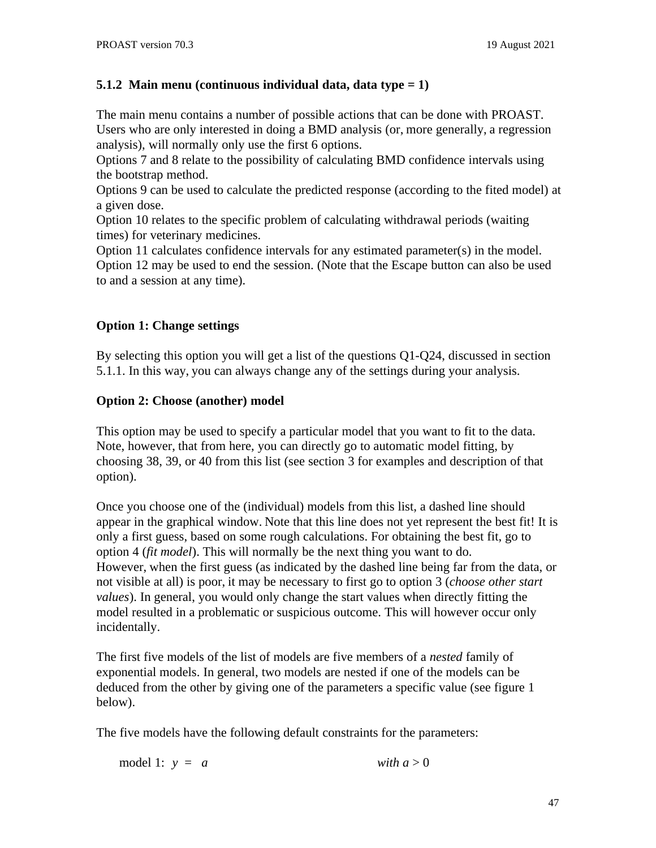# **5.1.2 Main menu (continuous individual data, data type = 1)**

The main menu contains a number of possible actions that can be done with PROAST. Users who are only interested in doing a BMD analysis (or, more generally, a regression analysis), will normally only use the first 6 options.

Options 7 and 8 relate to the possibility of calculating BMD confidence intervals using the bootstrap method.

Options 9 can be used to calculate the predicted response (according to the fited model) at a given dose.

Option 10 relates to the specific problem of calculating withdrawal periods (waiting times) for veterinary medicines.

Option 11 calculates confidence intervals for any estimated parameter( $s$ ) in the model. Option 12 may be used to end the session. (Note that the Escape button can also be used to and a session at any time).

# **Option 1: Change settings**

By selecting this option you will get a list of the questions Q1-Q24, discussed in section 5.1.1. In this way, you can always change any of the settings during your analysis.

## **Option 2: Choose (another) model**

This option may be used to specify a particular model that you want to fit to the data. Note, however, that from here, you can directly go to automatic model fitting, by choosing 38, 39, or 40 from this list (see section 3 for examples and description of that option).

Once you choose one of the (individual) models from this list, a dashed line should appear in the graphical window. Note that this line does not yet represent the best fit! It is only a first guess, based on some rough calculations. For obtaining the best fit, go to option 4 (*fit model*). This will normally be the next thing you want to do. However, when the first guess (as indicated by the dashed line being far from the data, or not visible at all) is poor, it may be necessary to first go to option 3 (*choose other start values*). In general, you would only change the start values when directly fitting the model resulted in a problematic or suspicious outcome. This will however occur only incidentally.

The first five models of the list of models are five members of a *nested* family of exponential models. In general, two models are nested if one of the models can be deduced from the other by giving one of the parameters a specific value (see figure 1 below).

The five models have the following default constraints for the parameters:

model 1:  $y = a$  *with*  $a > 0$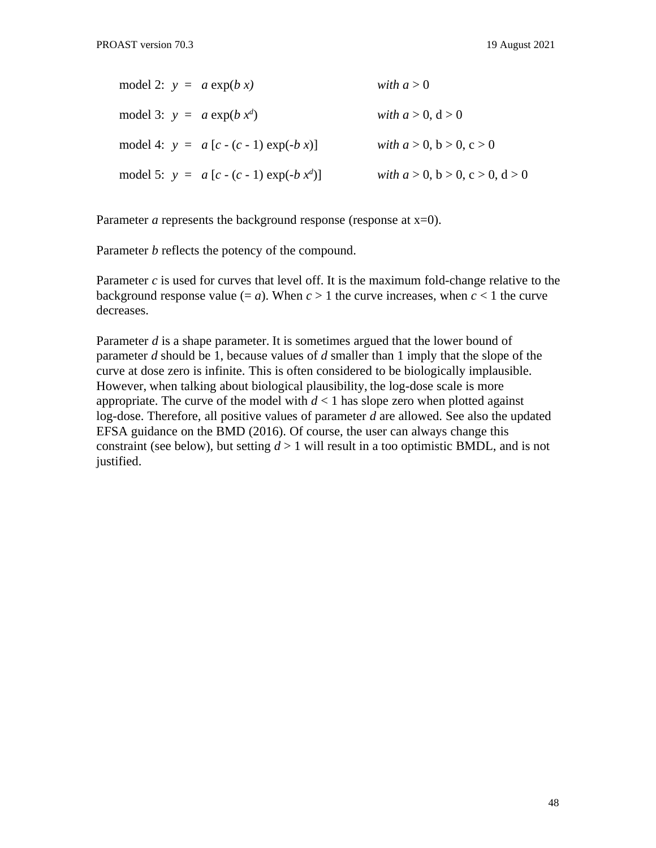| model 2: $y = a \exp(b x)$   |                                             | with $a > 0$                               |
|------------------------------|---------------------------------------------|--------------------------------------------|
| model 3: $y = a \exp(b x^d)$ |                                             | with $a > 0$ , $d > 0$                     |
|                              | model 4: $y = a[c - (c - 1) \exp(-b x)]$    | with $a > 0$ , $b > 0$ , $c > 0$           |
|                              | model 5: $y = a [c - (c - 1) \exp(-b x^d)]$ | with $a > 0$ , $b > 0$ , $c > 0$ , $d > 0$ |

Parameter *a* represents the background response (response at x=0).

Parameter *b* reflects the potency of the compound.

Parameter *c* is used for curves that level off. It is the maximum fold-change relative to the background response value  $(= a)$ . When  $c > 1$  the curve increases, when  $c \le 1$  the curve decreases.

Parameter *d* is a shape parameter. It is sometimes argued that the lower bound of parameter *d* should be 1, because values of *d* smaller than 1 imply that the slope of the curve at dose zero is infinite. This is often considered to be biologically implausible. However, when talking about biological plausibility, the log-dose scale is more appropriate. The curve of the model with  $d \leq 1$  has slope zero when plotted against log-dose. Therefore, all positive values of parameter *d* are allowed. See also the updated EFSA guidance on the BMD (2016). Of course, the user can always change this constraint (see below), but setting *d* > 1 will result in a too optimistic BMDL, and is not justified.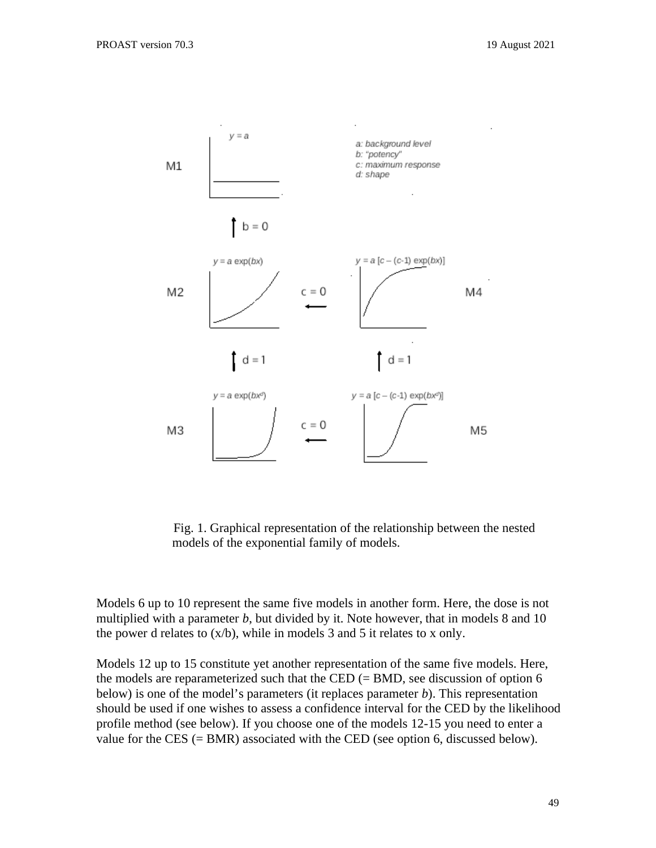

Fig. 1. Graphical representation of the relationship between the nested models of the exponential family of models.

Models 6 up to 10 represent the same five models in another form. Here, the dose is not multiplied with a parameter *b*, but divided by it. Note however, that in models 8 and 10 the power d relates to  $(x/b)$ , while in models 3 and 5 it relates to x only.

Models 12 up to 15 constitute yet another representation of the same five models. Here, the models are reparameterized such that the CED  $(= BMD)$ , see discussion of option 6 below) is one of the model's parameters (it replaces parameter *b*). This representation should be used if one wishes to assess a confidence interval for the CED by the likelihood profile method (see below). If you choose one of the models 12-15 you need to enter a value for the CES (= BMR) associated with the CED (see option 6, discussed below).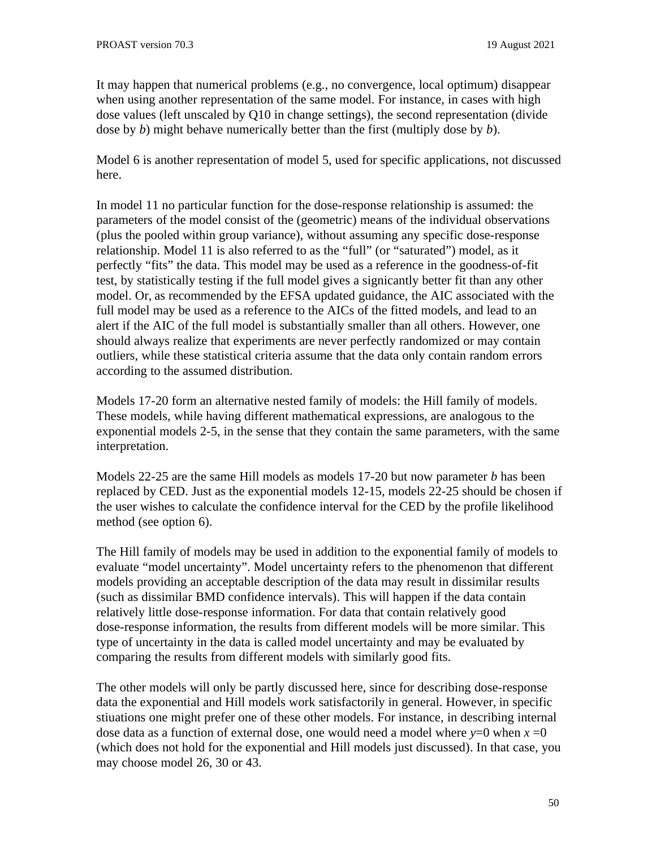It may happen that numerical problems (e.g., no convergence, local optimum) disappear when using another representation of the same model. For instance, in cases with high dose values (left unscaled by Q10 in change settings), the second representation (divide dose by *b*) might behave numerically better than the first (multiply dose by *b*).

Model 6 is another representation of model 5, used for specific applications, not discussed here.

In model 11 no particular function for the dose-response relationship is assumed: the parameters of the model consist of the (geometric) means of the individual observations (plus the pooled within group variance), without assuming any specific dose-response relationship. Model 11 is also referred to as the "full" (or "saturated") model, as it perfectly "fits" the data. This model may be used as a reference in the goodness-of-fit test, by statistically testing if the full model gives a signicantly better fit than any other model. Or, as recommended by the EFSA updated guidance, the AIC associated with the full model may be used as a reference to the AICs of the fitted models, and lead to an alert if the AIC of the full model is substantially smaller than all others. However, one should always realize that experiments are never perfectly randomized or may contain outliers, while these statistical criteria assume that the data only contain random errors according to the assumed distribution.

Models 17-20 form an alternative nested family of models: the Hill family of models. These models, while having different mathematical expressions, are analogous to the exponential models 2-5, in the sense that they contain the same parameters, with the same interpretation.

Models 22-25 are the same Hill models as models 17-20 but now parameter *b* has been replaced by CED. Just as the exponential models 12-15, models 22-25 should be chosen if the user wishes to calculate the confidence interval for the CED by the profile likelihood method (see option 6).

The Hill family of models may be used in addition to the exponential family of models to evaluate "model uncertainty". Model uncertainty refers to the phenomenon that different models providing an acceptable description of the data may result in dissimilar results (such as dissimilar BMD confidence intervals). This will happen if the data contain relatively little dose-response information. For data that contain relatively good dose-response information, the results from different models will be more similar. This type of uncertainty in the data is called model uncertainty and may be evaluated by comparing the results from different models with similarly good fits.

The other models will only be partly discussed here, since for describing dose-response data the exponential and Hill models work satisfactorily in general. However, in specific stiuations one might prefer one of these other models. For instance, in describing internal dose data as a function of external dose, one would need a model where  $y=0$  when  $x=0$ (which does not hold for the exponential and Hill models just discussed). In that case, you may choose model 26, 30 or 43.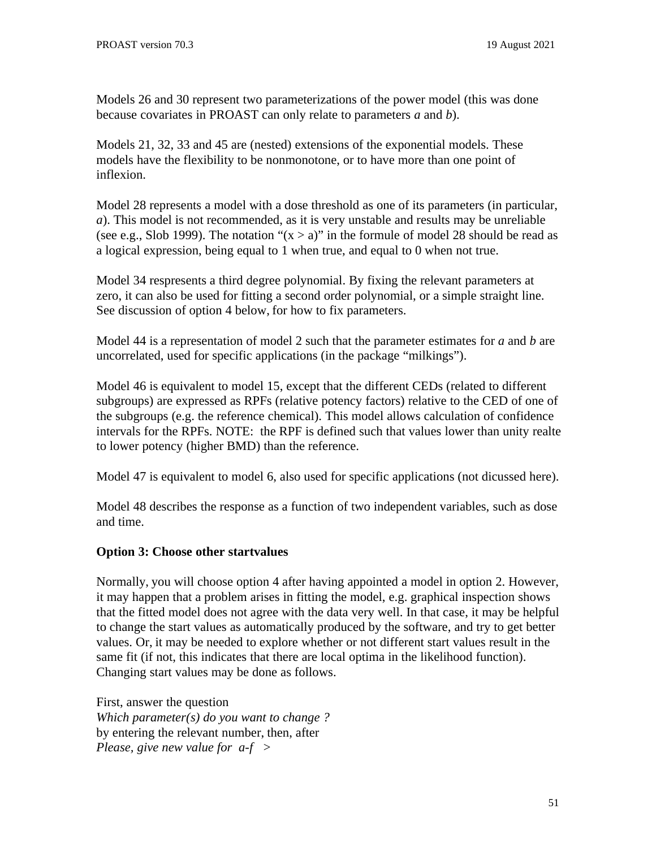Models 26 and 30 represent two parameterizations of the power model (this was done because covariates in PROAST can only relate to parameters *a* and *b*).

Models 21, 32, 33 and 45 are (nested) extensions of the exponential models. These models have the flexibility to be nonmonotone, or to have more than one point of inflexion.

Model 28 represents a model with a dose threshold as one of its parameters (in particular, *a*). This model is not recommended, as it is very unstable and results may be unreliable (see e.g., Slob 1999). The notation " $(x > a)$ " in the formule of model 28 should be read as a logical expression, being equal to 1 when true, and equal to 0 when not true.

Model 34 respresents a third degree polynomial. By fixing the relevant parameters at zero, it can also be used for fitting a second order polynomial, or a simple straight line. See discussion of option 4 below, for how to fix parameters.

Model 44 is a representation of model 2 such that the parameter estimates for *a* and *b* are uncorrelated, used for specific applications (in the package "milkings").

Model 46 is equivalent to model 15, except that the different CEDs (related to different subgroups) are expressed as RPFs (relative potency factors) relative to the CED of one of the subgroups (e.g. the reference chemical). This model allows calculation of confidence intervals for the RPFs. NOTE: the RPF is defined such that values lower than unity realte to lower potency (higher BMD) than the reference.

Model 47 is equivalent to model 6, also used for specific applications (not dicussed here).

Model 48 describes the response as a function of two independent variables, such as dose and time.

## **Option 3: Choose other startvalues**

Normally, you will choose option 4 after having appointed a model in option 2. However, it may happen that a problem arises in fitting the model, e.g. graphical inspection shows that the fitted model does not agree with the data very well. In that case, it may be helpful to change the start values as automatically produced by the software, and try to get better values. Or, it may be needed to explore whether or not different start values result in the same fit (if not, this indicates that there are local optima in the likelihood function). Changing start values may be done as follows.

First, answer the question *Which parameter(s) do you want to change ?* by entering the relevant number, then, after *Please, give new value for a-f >*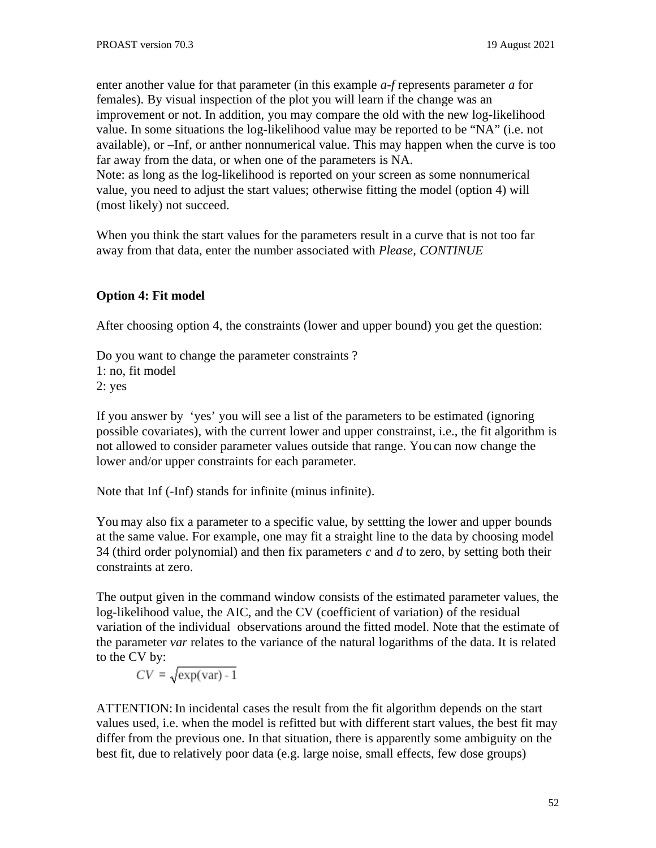enter another value for that parameter (in this example *a-f* represents parameter *a* for females). By visual inspection of the plot you will learn if the change was an improvement or not. In addition, you may compare the old with the new log-likelihood value. In some situations the log-likelihood value may be reported to be "NA" (i.e. not available), or –Inf, or anther nonnumerical value. This may happen when the curve is too far away from the data, or when one of the parameters is NA. Note: as long as the log-likelihood is reported on your screen as some nonnumerical value, you need to adjust the start values; otherwise fitting the model (option 4) will (most likely) not succeed.

When you think the start values for the parameters result in a curve that is not too far away from that data, enter the number associated with *Please, CONTINUE*

# **Option 4: Fit model**

After choosing option 4, the constraints (lower and upper bound) you get the question:

Do you want to change the parameter constraints ? 1: no, fit model 2: yes

If you answer by 'yes' you will see a list of the parameters to be estimated (ignoring possible covariates), with the current lower and upper constrainst, i.e., the fit algorithm is not allowed to consider parameter values outside that range. You can now change the lower and/or upper constraints for each parameter.

Note that Inf (-Inf) stands for infinite (minus infinite).

You may also fix a parameter to a specific value, by settting the lower and upper bounds at the same value. For example, one may fit a straight line to the data by choosing model 34 (third order polynomial) and then fix parameters *c* and *d* to zero, by setting both their constraints at zero.

The output given in the command window consists of the estimated parameter values, the log-likelihood value, the AIC, and the CV (coefficient of variation) of the residual variation of the individual observations around the fitted model. Note that the estimate of the parameter *var* relates to the variance of the natural logarithms of the data. It is related to the CV by:

 $CV = \sqrt{\exp(var) - 1}$ 

ATTENTION: In incidental cases the result from the fit algorithm depends on the start values used, i.e. when the model is refitted but with different start values, the best fit may differ from the previous one. In that situation, there is apparently some ambiguity on the best fit, due to relatively poor data (e.g. large noise, small effects, few dose groups)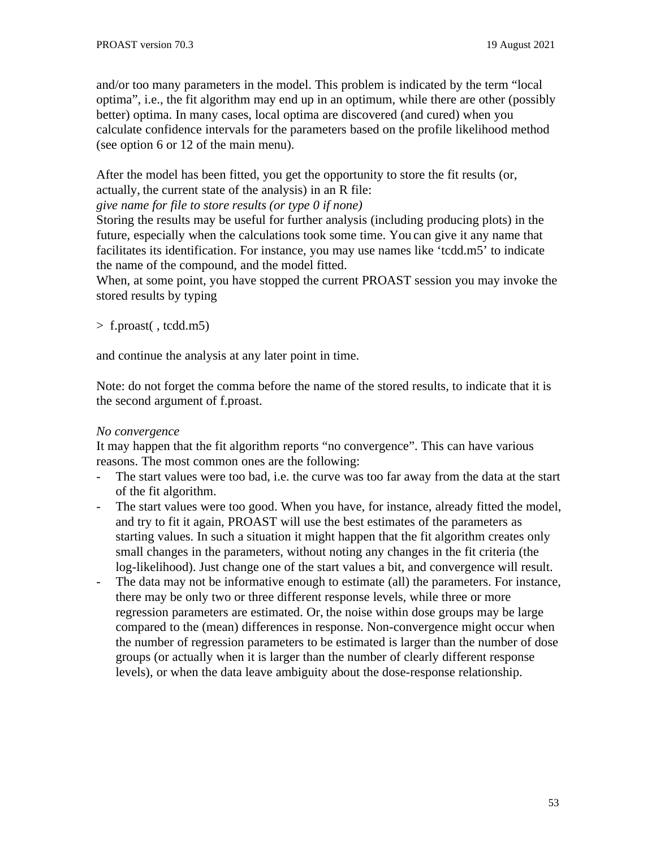and/or too many parameters in the model. This problem is indicated by the term "local optima", i.e., the fit algorithm may end up in an optimum, while there are other (possibly better) optima. In many cases, local optima are discovered (and cured) when you calculate confidence intervals for the parameters based on the profile likelihood method (see option 6 or 12 of the main menu).

After the model has been fitted, you get the opportunity to store the fit results (or, actually, the current state of the analysis) in an R file:

*give name for file to store results (or type 0 if none)*

Storing the results may be useful for further analysis (including producing plots) in the future, especially when the calculations took some time. You can give it any name that facilitates its identification. For instance, you may use names like 'tcdd.m5' to indicate the name of the compound, and the model fitted.

When, at some point, you have stopped the current PROAST session you may invoke the stored results by typing

```
> f.proast( , tcdd.m5)
```
and continue the analysis at any later point in time.

Note: do not forget the comma before the name of the stored results, to indicate that it is the second argument of f.proast.

# *No convergence*

It may happen that the fit algorithm reports "no convergence". This can have various reasons. The most common ones are the following:

- The start values were too bad, i.e. the curve was too far away from the data at the start of the fit algorithm.
- The start values were too good. When you have, for instance, already fitted the model, and try to fit it again, PROAST will use the best estimates of the parameters as starting values. In such a situation it might happen that the fit algorithm creates only small changes in the parameters, without noting any changes in the fit criteria (the log-likelihood). Just change one of the start values a bit, and convergence will result.
- The data may not be informative enough to estimate (all) the parameters. For instance, there may be only two or three different response levels, while three or more regression parameters are estimated. Or, the noise within dose groups may be large compared to the (mean) differences in response. Non-convergence might occur when the number of regression parameters to be estimated is larger than the number of dose groups (or actually when it is larger than the number of clearly different response levels), or when the data leave ambiguity about the dose-response relationship.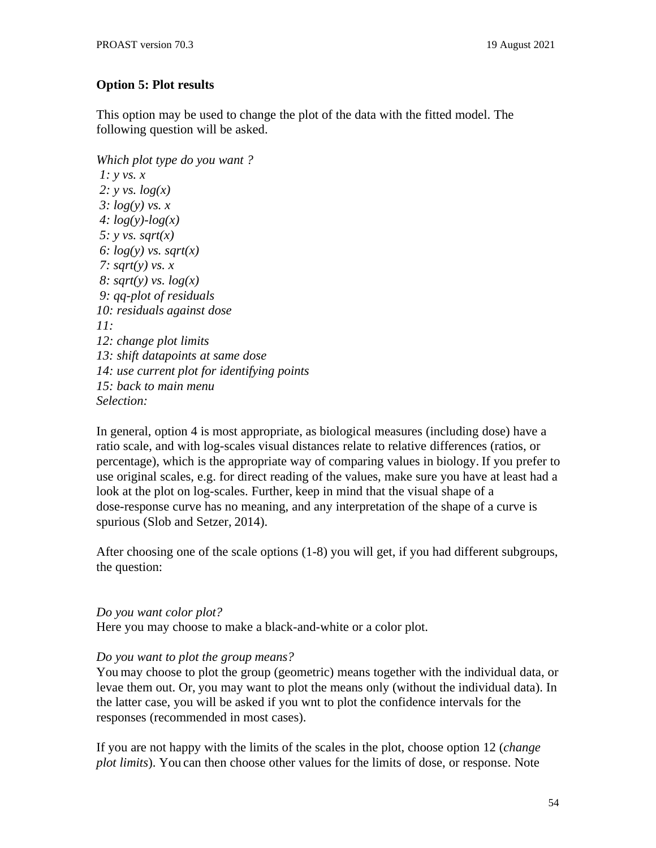## **Option 5: Plot results**

This option may be used to change the plot of the data with the fitted model. The following question will be asked.

```
Which plot type do you want ?
1: y vs. x
2: y vs. log(x)
3: log(y) vs. x
4: log(y)-log(x)
5: y vs. sqrt(x)
6: log(y) vs. sqrt(x)
7: sqrt(y) vs. x
8: sqrt(y) vs. log(x)
9: qq-plot of residuals
10: residuals against dose
11:
12: change plot limits
13: shift datapoints at same dose
14: use current plot for identifying points
15: back to main menu
Selection:
```
In general, option 4 is most appropriate, as biological measures (including dose) have a ratio scale, and with log-scales visual distances relate to relative differences (ratios, or percentage), which is the appropriate way of comparing values in biology. If you prefer to use original scales, e.g. for direct reading of the values, make sure you have at least had a look at the plot on log-scales. Further, keep in mind that the visual shape of a dose-response curve has no meaning, and any interpretation of the shape of a curve is spurious (Slob and Setzer, 2014).

After choosing one of the scale options (1-8) you will get, if you had different subgroups, the question:

#### *Do you want color plot?*

Here you may choose to make a black-and-white or a color plot.

## *Do you want to plot the group means?*

You may choose to plot the group (geometric) means together with the individual data, or levae them out. Or, you may want to plot the means only (without the individual data). In the latter case, you will be asked if you wnt to plot the confidence intervals for the responses (recommended in most cases).

If you are not happy with the limits of the scales in the plot, choose option 12 (*change plot limits*). You can then choose other values for the limits of dose, or response. Note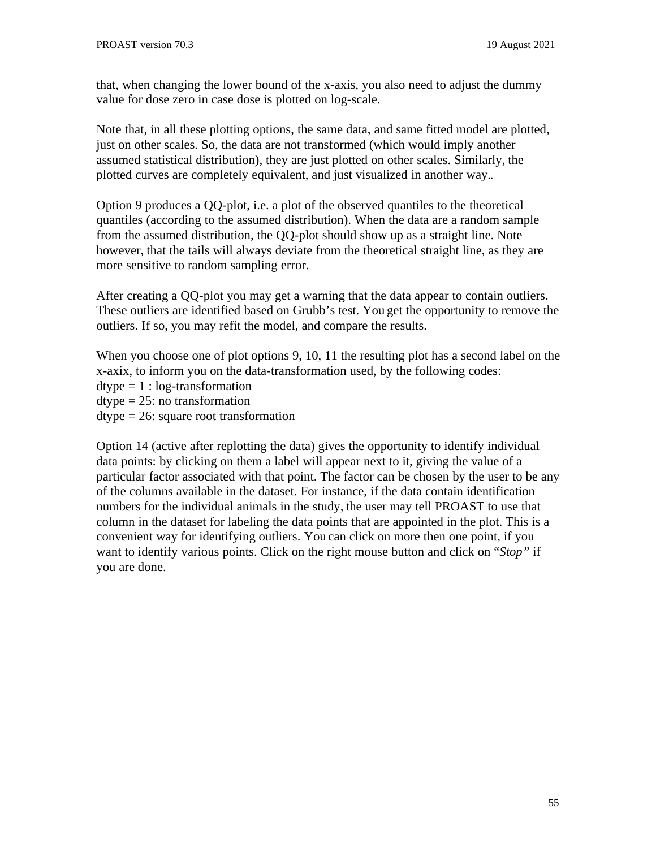that, when changing the lower bound of the x-axis, you also need to adjust the dummy value for dose zero in case dose is plotted on log-scale.

Note that, in all these plotting options, the same data, and same fitted model are plotted, just on other scales. So, the data are not transformed (which would imply another assumed statistical distribution), they are just plotted on other scales. Similarly, the plotted curves are completely equivalent, and just visualized in another way..

Option 9 produces a QQ-plot, i.e. a plot of the observed quantiles to the theoretical quantiles (according to the assumed distribution). When the data are a random sample from the assumed distribution, the QQ-plot should show up as a straight line. Note however, that the tails will always deviate from the theoretical straight line, as they are more sensitive to random sampling error.

After creating a QQ-plot you may get a warning that the data appear to contain outliers. These outliers are identified based on Grubb's test. You get the opportunity to remove the outliers. If so, you may refit the model, and compare the results.

When you choose one of plot options 9, 10, 11 the resulting plot has a second label on the x-axix, to inform you on the data-transformation used, by the following codes:  $\text{dtype} = 1$ :  $\log\text{-}transformation$  $\text{dtype} = 25$ : no transformation dtype = 26: square root transformation

Option 14 (active after replotting the data) gives the opportunity to identify individual data points: by clicking on them a label will appear next to it, giving the value of a particular factor associated with that point. The factor can be chosen by the user to be any of the columns available in the dataset. For instance, if the data contain identification numbers for the individual animals in the study, the user may tell PROAST to use that column in the dataset for labeling the data points that are appointed in the plot. This is a convenient way for identifying outliers. You can click on more then one point, if you want to identify various points. Click on the right mouse button and click on "*Stop"* if you are done.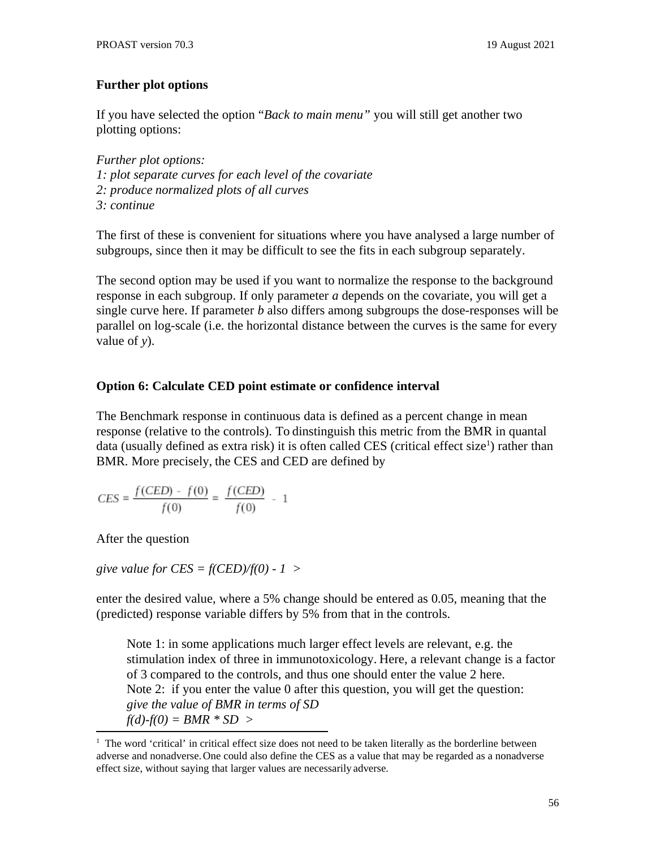## **Further plot options**

If you have selected the option "*Back to main menu"* you will still get another two plotting options:

*Further plot options: 1: plot separate curves for each level of the covariate 2: produce normalized plots of all curves 3: continue*

The first of these is convenient for situations where you have analysed a large number of subgroups, since then it may be difficult to see the fits in each subgroup separately.

The second option may be used if you want to normalize the response to the background response in each subgroup. If only parameter *a* depends on the covariate, you will get a single curve here. If parameter *b* also differs among subgroups the dose-responses will be parallel on log-scale (i.e. the horizontal distance between the curves is the same for every value of *y*).

## **Option 6: Calculate CED point estimate or confidence interval**

The Benchmark response in continuous data is defined as a percent change in mean response (relative to the controls). To dinstinguish this metric from the BMR in quantal data (usually defined as extra risk) it is often called CES (critical effect size<sup>1</sup>) rather than BMR. More precisely, the CES and CED are defined by

$$
CES = \frac{f(CED) - f(0)}{f(0)} = \frac{f(CED)}{f(0)} - 1
$$

After the question

*give value for CES = f(CED)/f(0) - 1 >*

enter the desired value, where a 5% change should be entered as 0.05, meaning that the (predicted) response variable differs by 5% from that in the controls.

Note 1: in some applications much larger effect levels are relevant, e.g. the stimulation index of three in immunotoxicology. Here, a relevant change is a factor of 3 compared to the controls, and thus one should enter the value 2 here. Note 2: if you enter the value 0 after this question, you will get the question: *give the value of BMR in terms of SD f(d)-f(0) = BMR \* SD >*

 $1$  The word 'critical' in critical effect size does not need to be taken literally as the borderline between adverse and nonadverse.One could also define the CES as a value that may be regarded as a nonadverse effect size, without saying that larger values are necessarily adverse.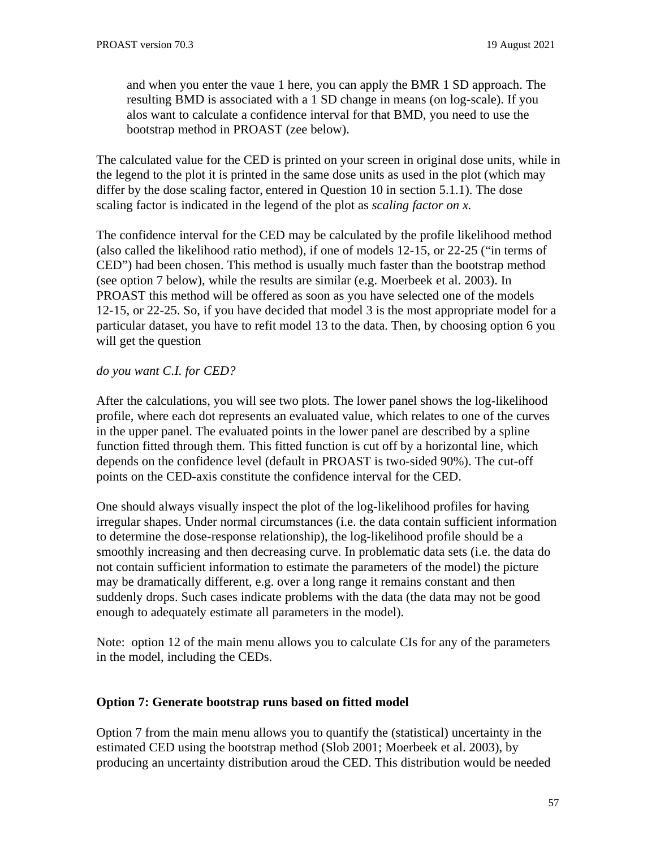and when you enter the vaue 1 here, you can apply the BMR 1 SD approach. The resulting BMD is associated with a 1 SD change in means (on log-scale). If you alos want to calculate a confidence interval for that BMD, you need to use the bootstrap method in PROAST (zee below).

The calculated value for the CED is printed on your screen in original dose units, while in the legend to the plot it is printed in the same dose units as used in the plot (which may differ by the dose scaling factor, entered in Question 10 in section 5.1.1). The dose scaling factor is indicated in the legend of the plot as *scaling factor on x.*

The confidence interval for the CED may be calculated by the profile likelihood method (also called the likelihood ratio method), if one of models 12-15, or 22-25 ("in terms of CED") had been chosen. This method is usually much faster than the bootstrap method (see option 7 below), while the results are similar (e.g. Moerbeek et al. 2003). In PROAST this method will be offered as soon as you have selected one of the models 12-15, or 22-25. So, if you have decided that model 3 is the most appropriate model for a particular dataset, you have to refit model 13 to the data. Then, by choosing option 6 you will get the question

#### *do you want C.I. for CED?*

After the calculations, you will see two plots. The lower panel shows the log-likelihood profile, where each dot represents an evaluated value, which relates to one of the curves in the upper panel. The evaluated points in the lower panel are described by a spline function fitted through them. This fitted function is cut off by a horizontal line, which depends on the confidence level (default in PROAST is two-sided 90%). The cut-off points on the CED-axis constitute the confidence interval for the CED.

One should always visually inspect the plot of the log-likelihood profiles for having irregular shapes. Under normal circumstances (i.e. the data contain sufficient information to determine the dose-response relationship), the log-likelihood profile should be a smoothly increasing and then decreasing curve. In problematic data sets (i.e. the data do not contain sufficient information to estimate the parameters of the model) the picture may be dramatically different, e.g. over a long range it remains constant and then suddenly drops. Such cases indicate problems with the data (the data may not be good enough to adequately estimate all parameters in the model).

Note: option 12 of the main menu allows you to calculate CIs for any of the parameters in the model, including the CEDs.

## **Option 7: Generate bootstrap runs based on fitted model**

Option 7 from the main menu allows you to quantify the (statistical) uncertainty in the estimated CED using the bootstrap method (Slob 2001; Moerbeek et al. 2003), by producing an uncertainty distribution aroud the CED. This distribution would be needed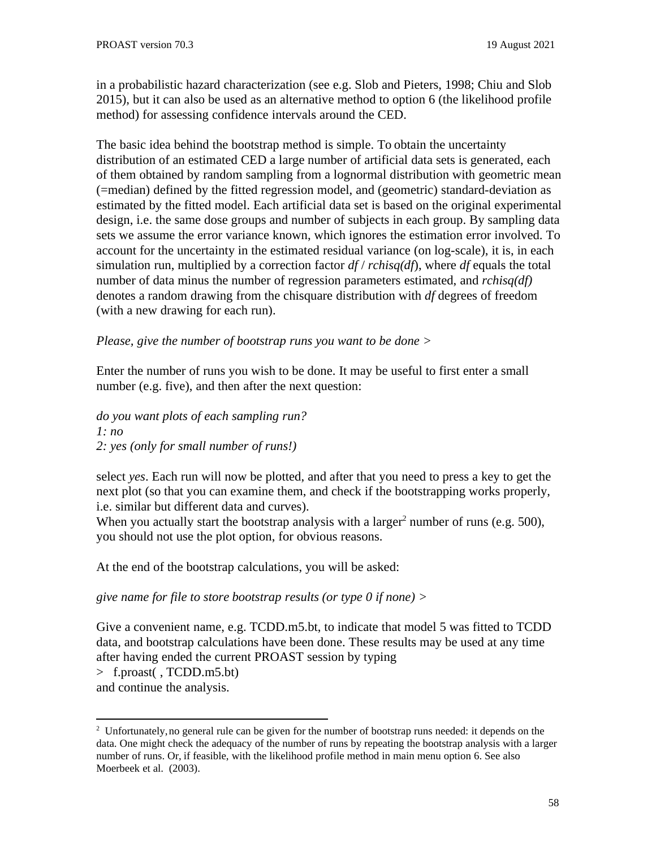in a probabilistic hazard characterization (see e.g. Slob and Pieters, 1998; Chiu and Slob 2015), but it can also be used as an alternative method to option 6 (the likelihood profile method) for assessing confidence intervals around the CED.

The basic idea behind the bootstrap method is simple. To obtain the uncertainty distribution of an estimated CED a large number of artificial data sets is generated, each of them obtained by random sampling from a lognormal distribution with geometric mean (=median) defined by the fitted regression model, and (geometric) standard-deviation as estimated by the fitted model. Each artificial data set is based on the original experimental design, i.e. the same dose groups and number of subjects in each group. By sampling data sets we assume the error variance known, which ignores the estimation error involved. To account for the uncertainty in the estimated residual variance (on log-scale), it is, in each simulation run, multiplied by a correction factor *df* / *rchisq(df*), where *df* equals the total number of data minus the number of regression parameters estimated, and *rchisq(df)* denotes a random drawing from the chisquare distribution with *df* degrees of freedom (with a new drawing for each run).

*Please, give the number of bootstrap runs you want to be done >*

Enter the number of runs you wish to be done. It may be useful to first enter a small number (e.g. five), and then after the next question:

*do you want plots of each sampling run? 1: no 2: yes (only for small number of runs!)*

select *yes*. Each run will now be plotted, and after that you need to press a key to get the next plot (so that you can examine them, and check if the bootstrapping works properly, i.e. similar but different data and curves).

When you actually start the bootstrap analysis with a larger<sup>2</sup> number of runs (e.g. 500), you should not use the plot option, for obvious reasons.

At the end of the bootstrap calculations, you will be asked:

*give name for file to store bootstrap results (or type 0 if none) >*

Give a convenient name, e.g. TCDD.m5.bt, to indicate that model 5 was fitted to TCDD data, and bootstrap calculations have been done. These results may be used at any time after having ended the current PROAST session by typing > f.proast( , TCDD.m5.bt) and continue the analysis.

<sup>&</sup>lt;sup>2</sup> Unfortunately, no general rule can be given for the number of bootstrap runs needed: it depends on the data. One might check the adequacy of the number of runs by repeating the bootstrap analysis with a larger number of runs. Or, if feasible, with the likelihood profile method in main menu option 6. See also Moerbeek et al. (2003).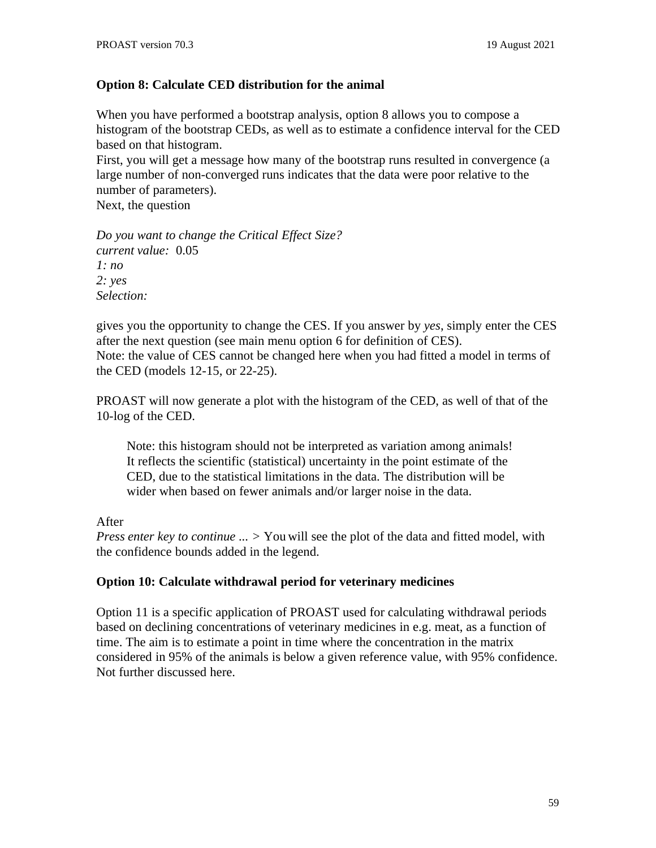## **Option 8: Calculate CED distribution for the animal**

When you have performed a bootstrap analysis, option 8 allows you to compose a histogram of the bootstrap CEDs, as well as to estimate a confidence interval for the CED based on that histogram.

First, you will get a message how many of the bootstrap runs resulted in convergence (a large number of non-converged runs indicates that the data were poor relative to the number of parameters).

Next, the question

*Do you want to change the Critical Effect Size? current value:* 0.05 *1: no 2: yes Selection:*

gives you the opportunity to change the CES. If you answer by *yes*, simply enter the CES after the next question (see main menu option 6 for definition of CES). Note: the value of CES cannot be changed here when you had fitted a model in terms of the CED (models 12-15, or 22-25).

PROAST will now generate a plot with the histogram of the CED, as well of that of the 10-log of the CED.

Note: this histogram should not be interpreted as variation among animals! It reflects the scientific (statistical) uncertainty in the point estimate of the CED, due to the statistical limitations in the data. The distribution will be wider when based on fewer animals and/or larger noise in the data.

## After

*Press enter key to continue ... >* You will see the plot of the data and fitted model, with the confidence bounds added in the legend.

## **Option 10: Calculate withdrawal period for veterinary medicines**

Option 11 is a specific application of PROAST used for calculating withdrawal periods based on declining concentrations of veterinary medicines in e.g. meat, as a function of time. The aim is to estimate a point in time where the concentration in the matrix considered in 95% of the animals is below a given reference value, with 95% confidence. Not further discussed here.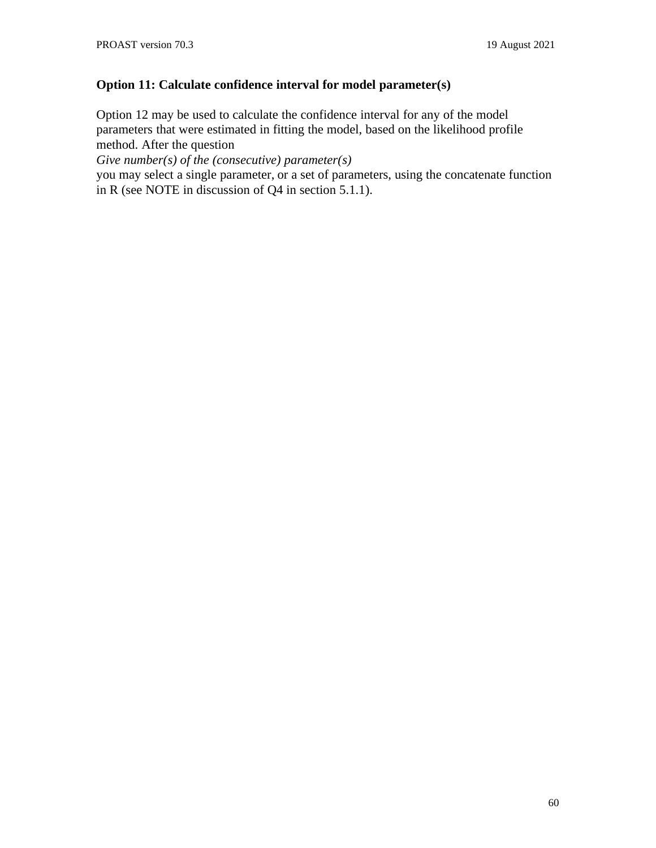# **Option 11: Calculate confidence interval for model parameter(s)**

Option 12 may be used to calculate the confidence interval for any of the model parameters that were estimated in fitting the model, based on the likelihood profile method. After the question

*Give number(s) of the (consecutive) parameter(s)*

you may select a single parameter, or a set of parameters, using the concatenate function in R (see NOTE in discussion of Q4 in section 5.1.1).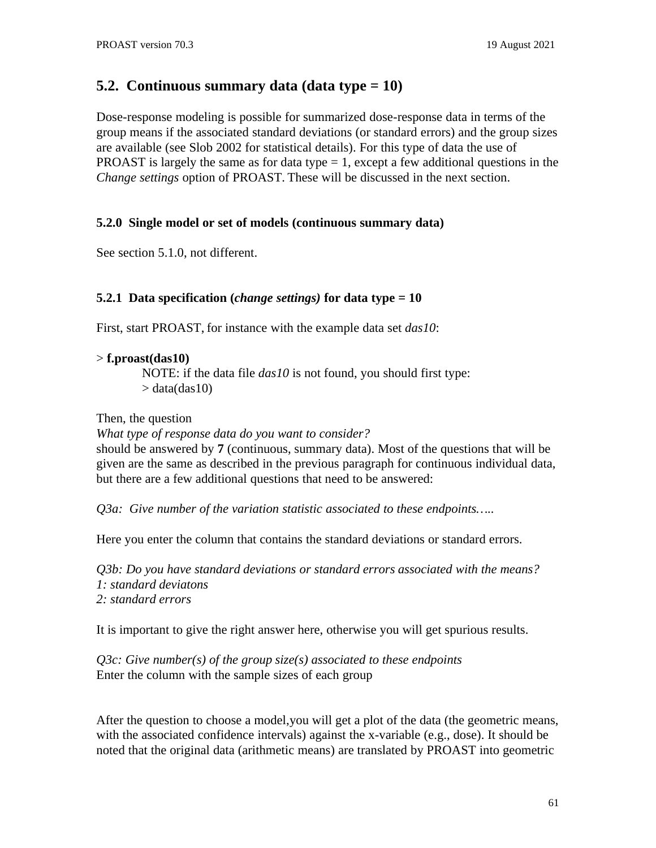# **5.2. Continuous summary data (data type = 10)**

Dose-response modeling is possible for summarized dose-response data in terms of the group means if the associated standard deviations (or standard errors) and the group sizes are available (see Slob 2002 for statistical details). For this type of data the use of **PROAST** is largely the same as for data type  $= 1$ , except a few additional questions in the *Change settings* option of PROAST. These will be discussed in the next section.

#### **5.2.0 Single model or set of models (continuous summary data)**

See section 5.1.0, not different.

#### **5.2.1 Data specification (***change settings)* **for data type = 10**

First, start PROAST, for instance with the example data set *das10*:

#### > **f.proast(das10)**

NOTE: if the data file *das10* is not found, you should first type:  $>$  data(das10)

Then, the question

*What type of response data do you want to consider?* should be answered by **7** (continuous, summary data). Most of the questions that will be given are the same as described in the previous paragraph for continuous individual data, but there are a few additional questions that need to be answered:

*Q3a: Give number of the variation statistic associated to these endpoints…..* 

Here you enter the column that contains the standard deviations or standard errors.

*Q3b: Do you have standard deviations or standard errors associated with the means? 1: standard deviatons 2: standard errors*

It is important to give the right answer here, otherwise you will get spurious results.

*Q3c: Give number(s) of the group size(s) associated to these endpoints* Enter the column with the sample sizes of each group

After the question to choose a model,you will get a plot of the data (the geometric means, with the associated confidence intervals) against the x-variable (e.g., dose). It should be noted that the original data (arithmetic means) are translated by PROAST into geometric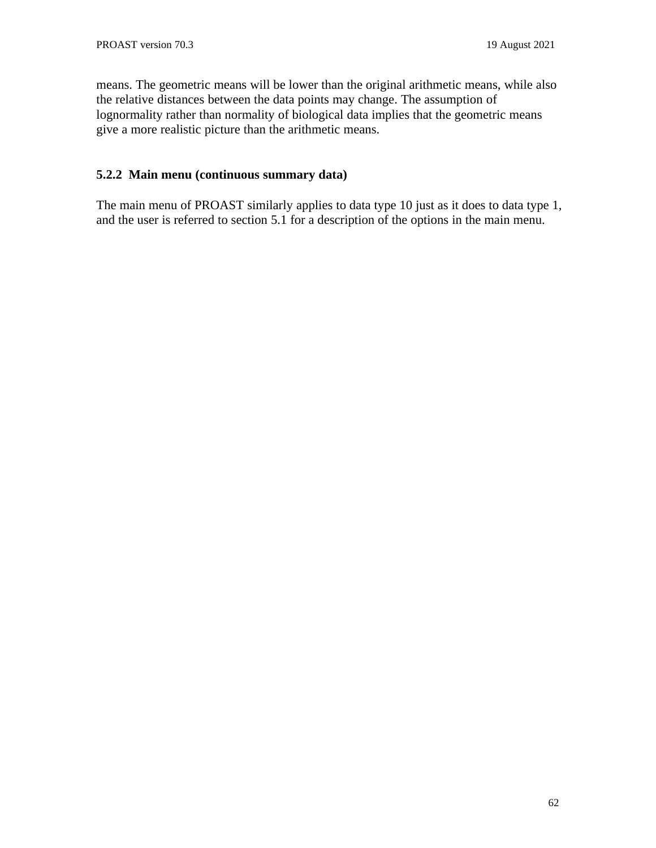means. The geometric means will be lower than the original arithmetic means, while also the relative distances between the data points may change. The assumption of lognormality rather than normality of biological data implies that the geometric means give a more realistic picture than the arithmetic means.

## **5.2.2 Main menu (continuous summary data)**

The main menu of PROAST similarly applies to data type 10 just as it does to data type 1, and the user is referred to section 5.1 for a description of the options in the main menu.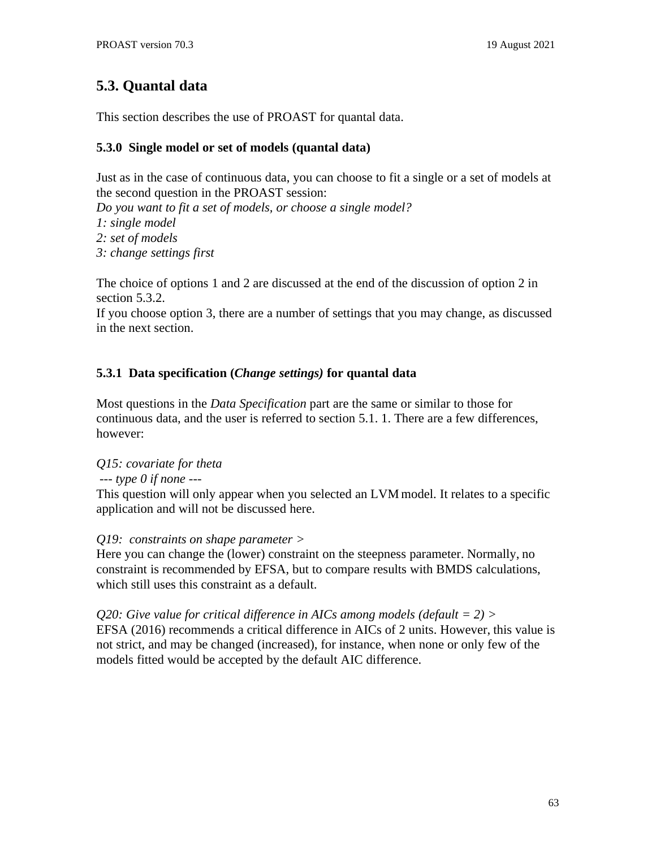# **5.3. Quantal data**

This section describes the use of PROAST for quantal data.

# **5.3.0 Single model or set of models (quantal data)**

Just as in the case of continuous data, you can choose to fit a single or a set of models at the second question in the PROAST session:

*Do you want to fit a set of models, or choose a single model? 1: single model 2: set of models*

*3: change settings first*

The choice of options 1 and 2 are discussed at the end of the discussion of option 2 in section 5.3.2.

If you choose option 3, there are a number of settings that you may change, as discussed in the next section.

# **5.3.1 Data specification (***Change settings)* **for quantal data**

Most questions in the *Data Specification* part are the same or similar to those for continuous data, and the user is referred to section 5.1. 1. There are a few differences, however:

# *Q15: covariate for theta*

*--- type 0 if none ---*

This question will only appear when you selected an LVM model. It relates to a specific application and will not be discussed here.

*Q19: constraints on shape parameter >*

Here you can change the (lower) constraint on the steepness parameter. Normally, no constraint is recommended by EFSA, but to compare results with BMDS calculations, which still uses this constraint as a default.

*Q20: Give value for critical difference in AICs among models (default = 2) >* EFSA (2016) recommends a critical difference in AICs of 2 units. However, this value is not strict, and may be changed (increased), for instance, when none or only few of the models fitted would be accepted by the default AIC difference.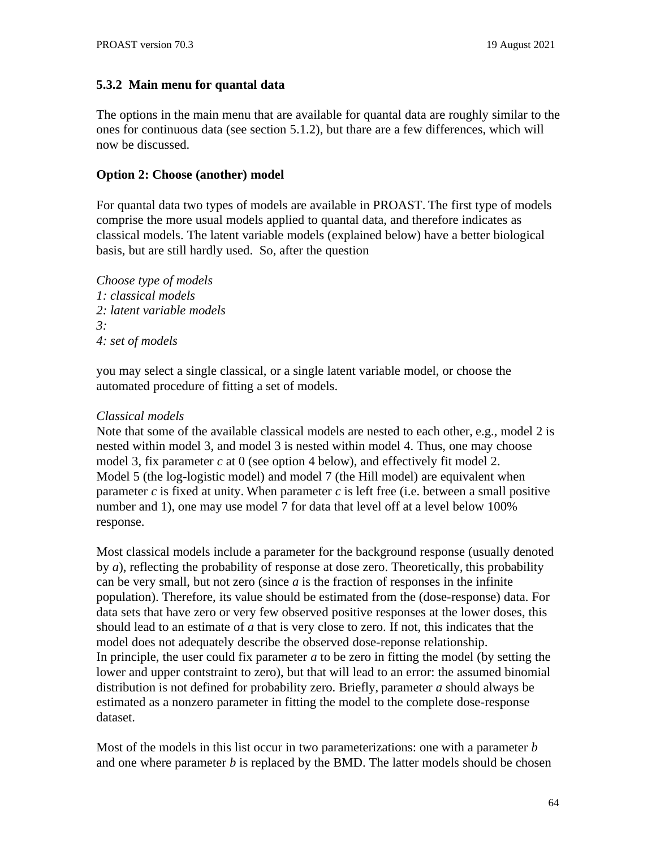#### **5.3.2 Main menu for quantal data**

The options in the main menu that are available for quantal data are roughly similar to the ones for continuous data (see section 5.1.2), but thare are a few differences, which will now be discussed.

#### **Option 2: Choose (another) model**

For quantal data two types of models are available in PROAST. The first type of models comprise the more usual models applied to quantal data, and therefore indicates as classical models. The latent variable models (explained below) have a better biological basis, but are still hardly used. So, after the question

*Choose type of models 1: classical models 2: latent variable models 3: 4: set of models*

you may select a single classical, or a single latent variable model, or choose the automated procedure of fitting a set of models.

#### *Classical models*

Note that some of the available classical models are nested to each other, e.g., model 2 is nested within model 3, and model 3 is nested within model 4. Thus, one may choose model 3, fix parameter *c* at 0 (see option 4 below), and effectively fit model 2. Model 5 (the log-logistic model) and model 7 (the Hill model) are equivalent when parameter *c* is fixed at unity. When parameter *c* is left free (i.e. between a small positive number and 1), one may use model 7 for data that level off at a level below 100% response.

Most classical models include a parameter for the background response (usually denoted by *a*), reflecting the probability of response at dose zero. Theoretically, this probability can be very small, but not zero (since *a* is the fraction of responses in the infinite population). Therefore, its value should be estimated from the (dose-response) data. For data sets that have zero or very few observed positive responses at the lower doses, this should lead to an estimate of *a* that is very close to zero. If not, this indicates that the model does not adequately describe the observed dose-reponse relationship. In principle, the user could fix parameter *a* to be zero in fitting the model (by setting the lower and upper contstraint to zero), but that will lead to an error: the assumed binomial distribution is not defined for probability zero. Briefly, parameter *a* should always be estimated as a nonzero parameter in fitting the model to the complete dose-response dataset.

Most of the models in this list occur in two parameterizations: one with a parameter *b* and one where parameter *b* is replaced by the BMD. The latter models should be chosen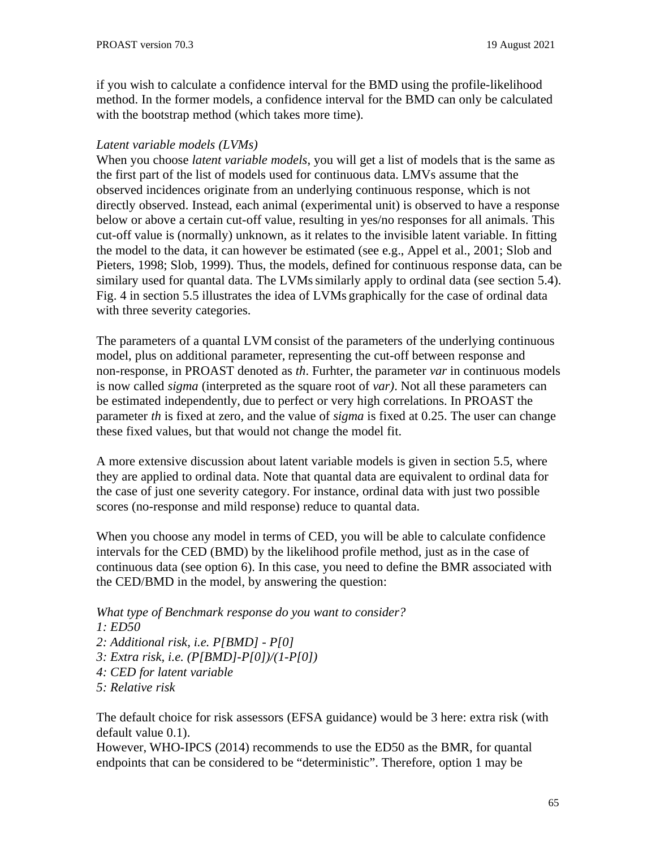if you wish to calculate a confidence interval for the BMD using the profile-likelihood method. In the former models, a confidence interval for the BMD can only be calculated with the bootstrap method (which takes more time).

### *Latent variable models (LVMs)*

When you choose *latent variable models*, you will get a list of models that is the same as the first part of the list of models used for continuous data. LMVs assume that the observed incidences originate from an underlying continuous response, which is not directly observed. Instead, each animal (experimental unit) is observed to have a response below or above a certain cut-off value, resulting in yes/no responses for all animals. This cut-off value is (normally) unknown, as it relates to the invisible latent variable. In fitting the model to the data, it can however be estimated (see e.g., Appel et al., 2001; Slob and Pieters, 1998; Slob, 1999). Thus, the models, defined for continuous response data, can be similary used for quantal data. The LVMs similarly apply to ordinal data (see section 5.4). Fig. 4 in section 5.5 illustrates the idea of LVMs graphically for the case of ordinal data with three severity categories.

The parameters of a quantal LVM consist of the parameters of the underlying continuous model, plus on additional parameter, representing the cut-off between response and non-response, in PROAST denoted as *th*. Furhter, the parameter *var* in continuous models is now called *sigma* (interpreted as the square root of *var)*. Not all these parameters can be estimated independently, due to perfect or very high correlations. In PROAST the parameter *th* is fixed at zero, and the value of *sigma* is fixed at 0.25. The user can change these fixed values, but that would not change the model fit.

A more extensive discussion about latent variable models is given in section 5.5, where they are applied to ordinal data. Note that quantal data are equivalent to ordinal data for the case of just one severity category. For instance, ordinal data with just two possible scores (no-response and mild response) reduce to quantal data.

When you choose any model in terms of CED, you will be able to calculate confidence intervals for the CED (BMD) by the likelihood profile method, just as in the case of continuous data (see option 6). In this case, you need to define the BMR associated with the CED/BMD in the model, by answering the question:

*What type of Benchmark response do you want to consider?*

- *1: ED50*
- *2: Additional risk, i.e. P[BMD] - P[0]*
- *3: Extra risk, i.e. (P[BMD]-P[0])/(1-P[0])*
- *4: CED for latent variable*
- *5: Relative risk*

The default choice for risk assessors (EFSA guidance) would be 3 here: extra risk (with default value 0.1).

However, WHO-IPCS (2014) recommends to use the ED50 as the BMR, for quantal endpoints that can be considered to be "deterministic". Therefore, option 1 may be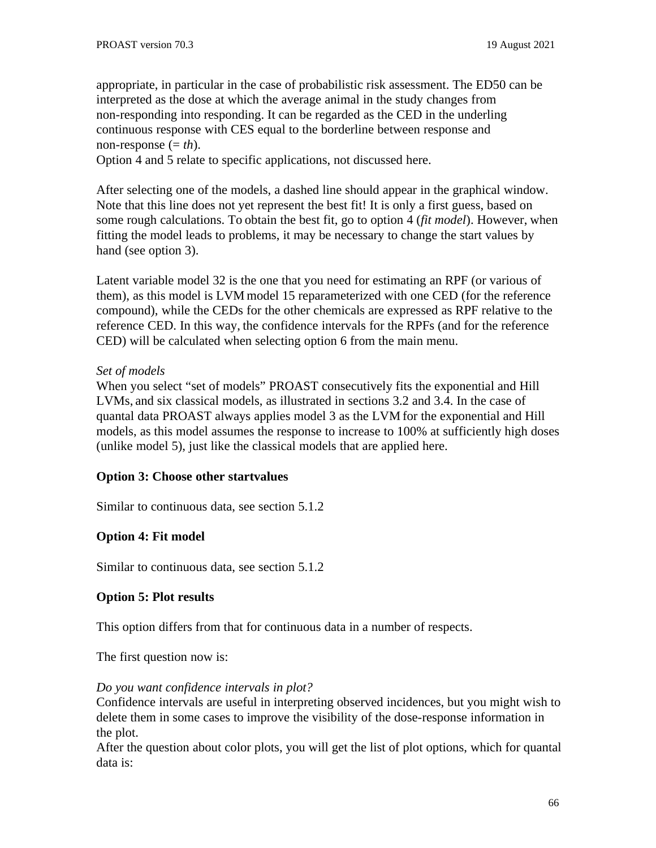appropriate, in particular in the case of probabilistic risk assessment. The ED50 can be interpreted as the dose at which the average animal in the study changes from non-responding into responding. It can be regarded as the CED in the underling continuous response with CES equal to the borderline between response and non-response (= *th*).

Option 4 and 5 relate to specific applications, not discussed here.

After selecting one of the models, a dashed line should appear in the graphical window. Note that this line does not yet represent the best fit! It is only a first guess, based on some rough calculations. To obtain the best fit, go to option 4 (*fit model*). However, when fitting the model leads to problems, it may be necessary to change the start values by hand (see option 3).

Latent variable model 32 is the one that you need for estimating an RPF (or various of them), as this model is LVM model 15 reparameterized with one CED (for the reference compound), while the CEDs for the other chemicals are expressed as RPF relative to the reference CED. In this way, the confidence intervals for the RPFs (and for the reference CED) will be calculated when selecting option 6 from the main menu.

## *Set of models*

When you select "set of models" PROAST consecutively fits the exponential and Hill LVMs, and six classical models, as illustrated in sections 3.2 and 3.4. In the case of quantal data PROAST always applies model 3 as the LVM for the exponential and Hill models, as this model assumes the response to increase to 100% at sufficiently high doses (unlike model 5), just like the classical models that are applied here.

# **Option 3: Choose other startvalues**

Similar to continuous data, see section 5.1.2

# **Option 4: Fit model**

Similar to continuous data, see section 5.1.2

## **Option 5: Plot results**

This option differs from that for continuous data in a number of respects.

The first question now is:

## *Do you want confidence intervals in plot?*

Confidence intervals are useful in interpreting observed incidences, but you might wish to delete them in some cases to improve the visibility of the dose-response information in the plot.

After the question about color plots, you will get the list of plot options, which for quantal data is: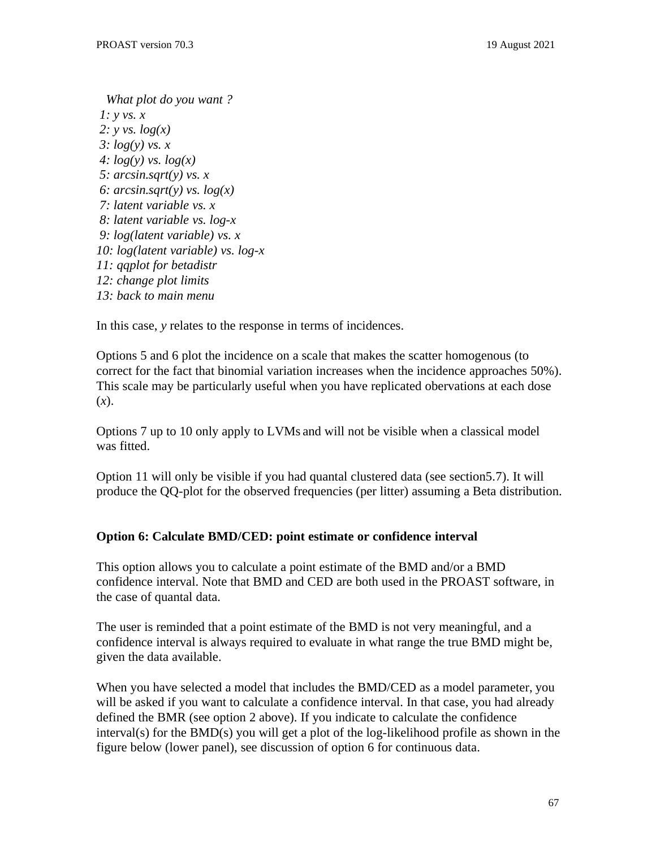*What plot do you want ? 1: y vs. x 2: y vs. log(x) 3: log(y) vs. x 4: log(y) vs. log(x) 5: arcsin.sqrt(y) vs. x 6: arcsin.sqrt(y) vs. log(x) 7: latent variable vs. x 8: latent variable vs. log-x 9: log(latent variable) vs. x 10: log(latent variable) vs. log-x 11: qqplot for betadistr 12: change plot limits 13: back to main menu*

In this case, *y* relates to the response in terms of incidences.

Options 5 and 6 plot the incidence on a scale that makes the scatter homogenous (to correct for the fact that binomial variation increases when the incidence approaches 50%). This scale may be particularly useful when you have replicated obervations at each dose (*x*).

Options 7 up to 10 only apply to LVMs and will not be visible when a classical model was fitted.

Option 11 will only be visible if you had quantal clustered data (see section5.7). It will produce the QQ-plot for the observed frequencies (per litter) assuming a Beta distribution.

# **Option 6: Calculate BMD/CED: point estimate or confidence interval**

This option allows you to calculate a point estimate of the BMD and/or a BMD confidence interval. Note that BMD and CED are both used in the PROAST software, in the case of quantal data.

The user is reminded that a point estimate of the BMD is not very meaningful, and a confidence interval is always required to evaluate in what range the true BMD might be, given the data available.

When you have selected a model that includes the BMD/CED as a model parameter, you will be asked if you want to calculate a confidence interval. In that case, you had already defined the BMR (see option 2 above). If you indicate to calculate the confidence interval(s) for the BMD(s) you will get a plot of the log-likelihood profile as shown in the figure below (lower panel), see discussion of option 6 for continuous data.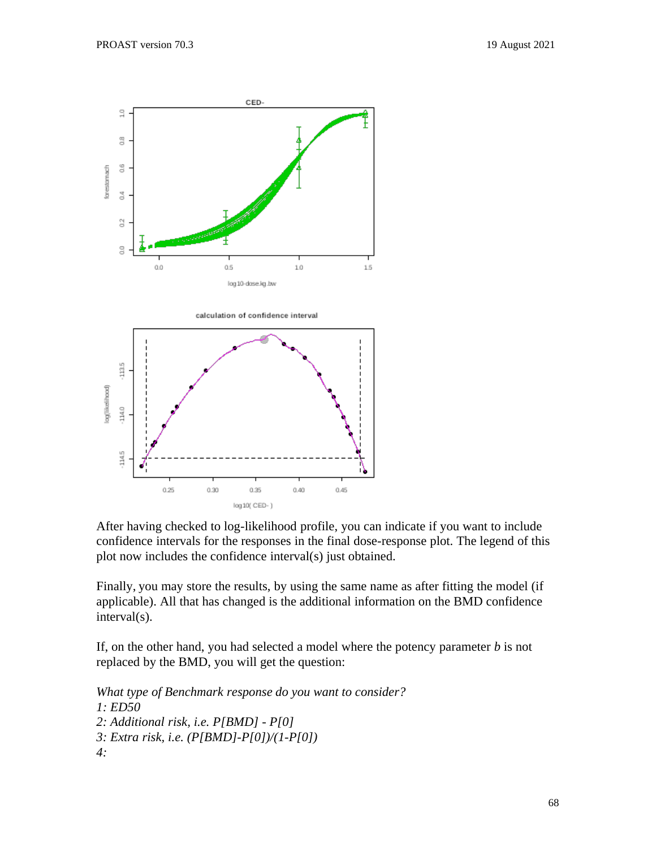

After having checked to log-likelihood profile, you can indicate if you want to include confidence intervals for the responses in the final dose-response plot. The legend of this plot now includes the confidence interval(s) just obtained.

Finally, you may store the results, by using the same name as after fitting the model (if applicable). All that has changed is the additional information on the BMD confidence interval(s).

If, on the other hand, you had selected a model where the potency parameter *b* is not replaced by the BMD, you will get the question:

*What type of Benchmark response do you want to consider? 1: ED50 2: Additional risk, i.e. P[BMD] - P[0] 3: Extra risk, i.e. (P[BMD]-P[0])/(1-P[0]) 4:*

log 10( CED-)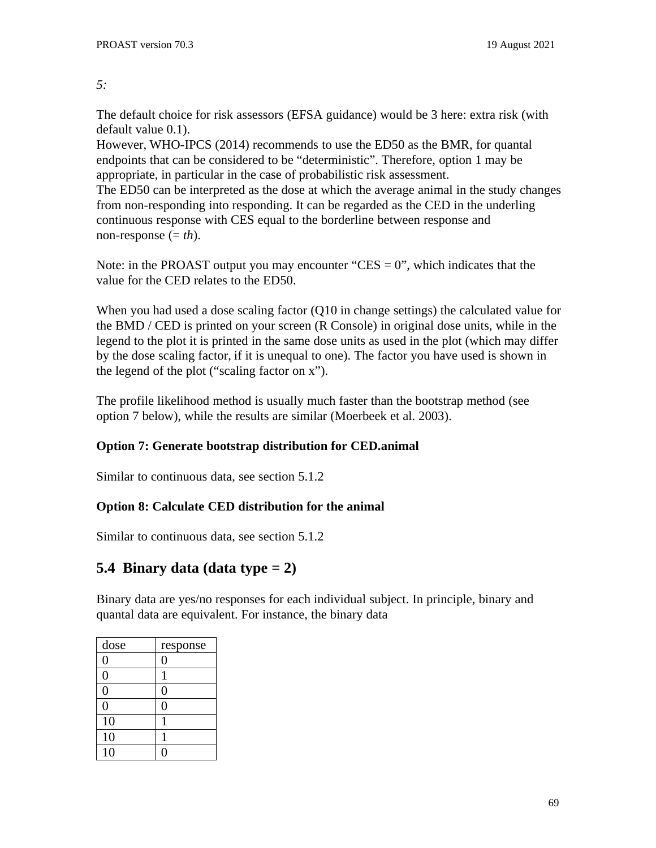#### *5:*

The default choice for risk assessors (EFSA guidance) would be 3 here: extra risk (with default value 0.1).

However, WHO-IPCS (2014) recommends to use the ED50 as the BMR, for quantal endpoints that can be considered to be "deterministic". Therefore, option 1 may be appropriate, in particular in the case of probabilistic risk assessment. The ED50 can be interpreted as the dose at which the average animal in the study changes from non-responding into responding. It can be regarded as the CED in the underling continuous response with CES equal to the borderline between response and non-response (= *th*).

Note: in the PROAST output you may encounter "CES  $= 0$ ", which indicates that the value for the CED relates to the ED50.

When you had used a dose scaling factor (Q10 in change settings) the calculated value for the BMD / CED is printed on your screen (R Console) in original dose units, while in the legend to the plot it is printed in the same dose units as used in the plot (which may differ by the dose scaling factor, if it is unequal to one). The factor you have used is shown in the legend of the plot ("scaling factor on x").

The profile likelihood method is usually much faster than the bootstrap method (see option 7 below), while the results are similar (Moerbeek et al. 2003).

# **Option 7: Generate bootstrap distribution for CED.animal**

Similar to continuous data, see section 5.1.2

# **Option 8: Calculate CED distribution for the animal**

Similar to continuous data, see section 5.1.2

# **5.4 Binary data (data type = 2)**

Binary data are yes/no responses for each individual subject. In principle, binary and quantal data are equivalent. For instance, the binary data

| dose           | response |  |
|----------------|----------|--|
| 0              | C        |  |
| $\overline{0}$ | 1        |  |
| $\overline{0}$ | 0        |  |
| $\overline{0}$ | 0        |  |
| 10             | 1        |  |
| 10             | 1        |  |
| 10             |          |  |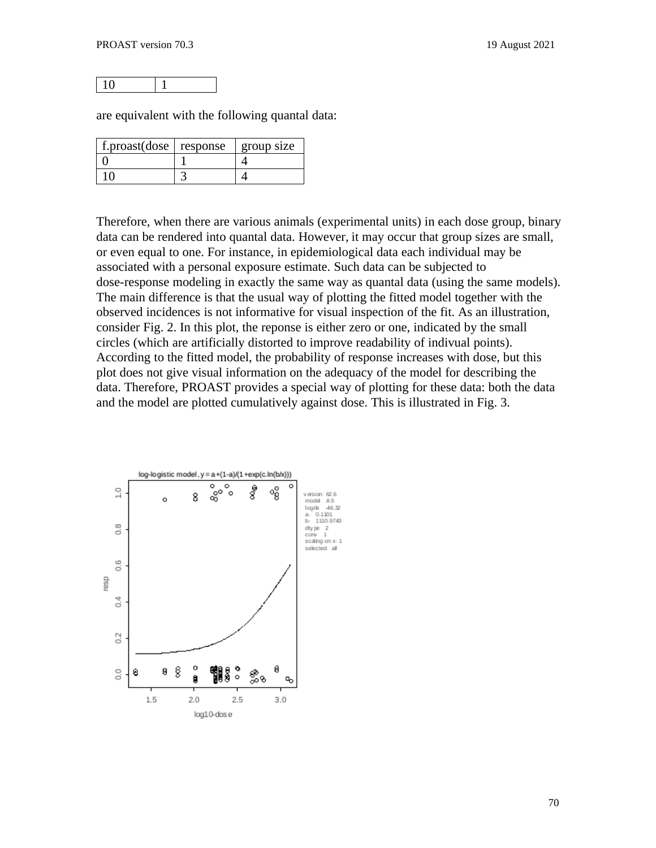10 1

are equivalent with the following quantal data:

| f.proast(dose $ $ response | group size |
|----------------------------|------------|
|                            |            |
|                            |            |

Therefore, when there are various animals (experimental units) in each dose group, binary data can be rendered into quantal data. However, it may occur that group sizes are small, or even equal to one. For instance, in epidemiological data each individual may be associated with a personal exposure estimate. Such data can be subjected to dose-response modeling in exactly the same way as quantal data (using the same models). The main difference is that the usual way of plotting the fitted model together with the observed incidences is not informative for visual inspection of the fit. As an illustration, consider Fig. 2. In this plot, the reponse is either zero or one, indicated by the small circles (which are artificially distorted to improve readability of indivual points). According to the fitted model, the probability of response increases with dose, but this plot does not give visual information on the adequacy of the model for describing the data. Therefore, PROAST provides a special way of plotting for these data: both the data and the model are plotted cumulatively against dose. This is illustrated in Fig. 3.

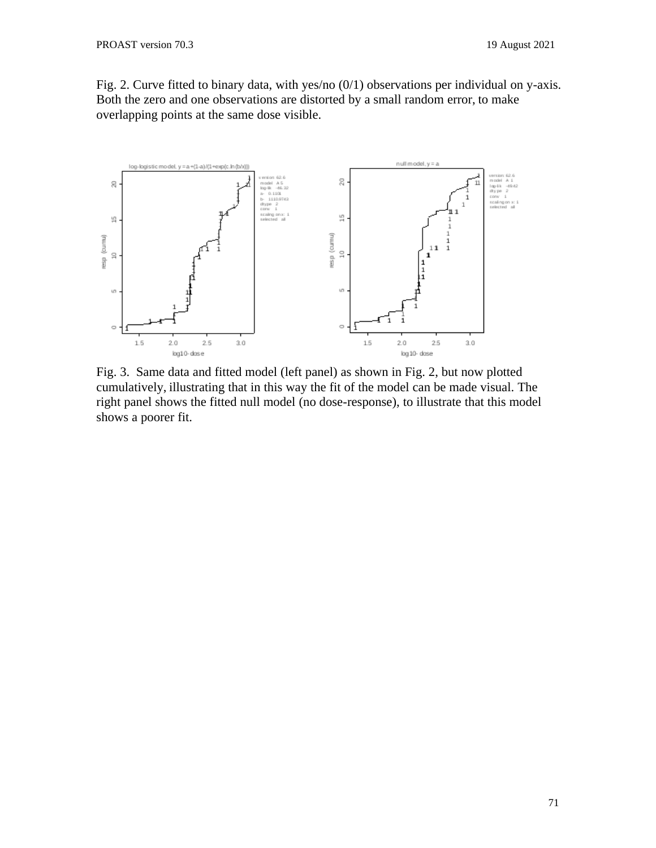Fig. 2. Curve fitted to binary data, with yes/no (0/1) observations per individual on y-axis. Both the zero and one observations are distorted by a small random error, to make overlapping points at the same dose visible.



Fig. 3. Same data and fitted model (left panel) as shown in Fig. 2, but now plotted cumulatively, illustrating that in this way the fit of the model can be made visual. The right panel shows the fitted null model (no dose-response), to illustrate that this model shows a poorer fit.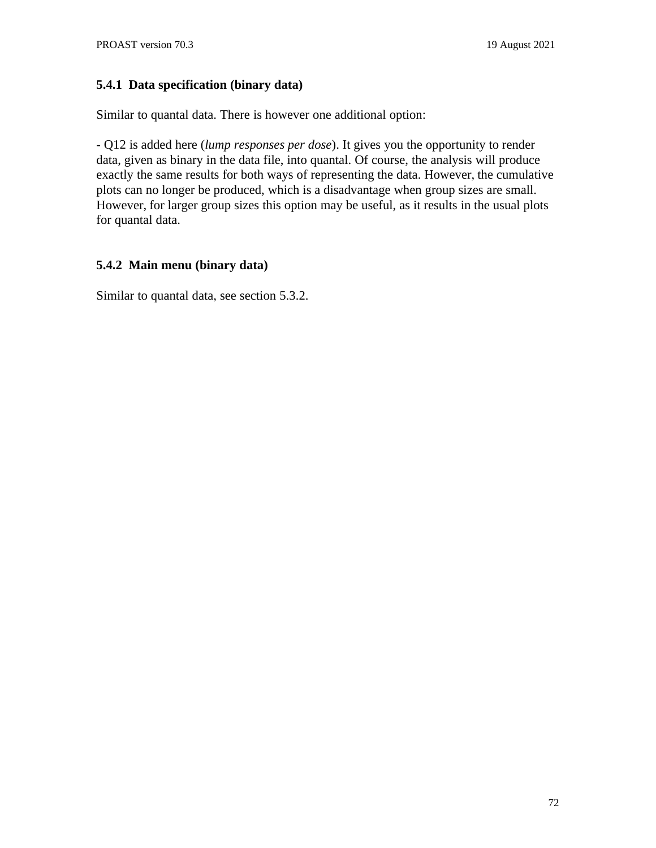# **5.4.1 Data specification (binary data)**

Similar to quantal data. There is however one additional option:

- Q12 is added here (*lump responses per dose*). It gives you the opportunity to render data, given as binary in the data file, into quantal. Of course, the analysis will produce exactly the same results for both ways of representing the data. However, the cumulative plots can no longer be produced, which is a disadvantage when group sizes are small. However, for larger group sizes this option may be useful, as it results in the usual plots for quantal data.

# **5.4.2 Main menu (binary data)**

Similar to quantal data, see section 5.3.2.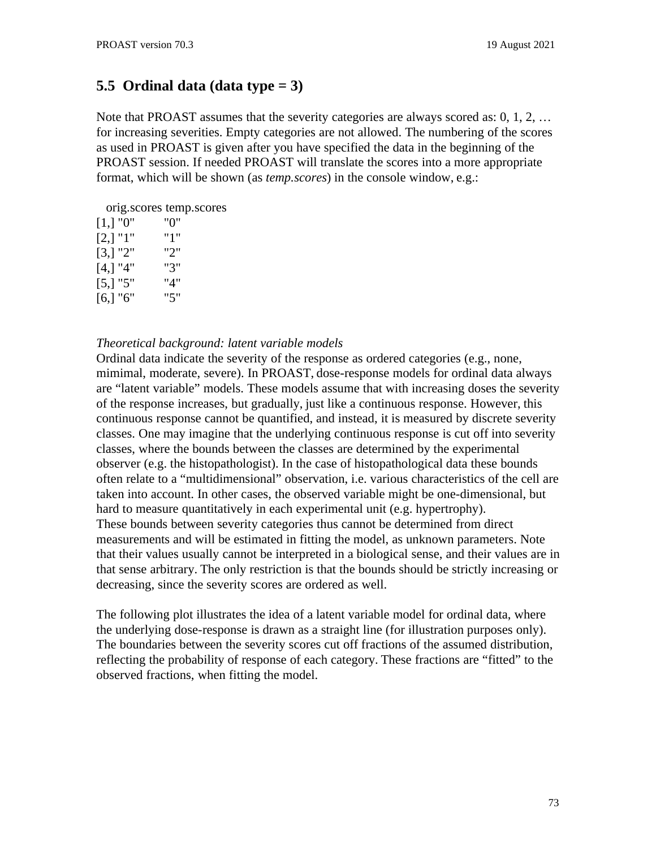# **5.5 Ordinal data (data type = 3)**

Note that PROAST assumes that the severity categories are always scored as: 0, 1, 2, … for increasing severities. Empty categories are not allowed. The numbering of the scores as used in PROAST is given after you have specified the data in the beginning of the PROAST session. If needed PROAST will translate the scores into a more appropriate format, which will be shown (as *temp.scores*) in the console window, e.g.:

orig.scores temp.scores

| $[1,]$ "0" | "0" |
|------------|-----|
| $[2,]$ "1" | "1" |
| [3,] "2"   | "2" |
| 4,  "4"    | "3" |
| [5,] "5"   | "4" |
| 16,1 "6"   | "5" |

### *Theoretical background: latent variable models*

Ordinal data indicate the severity of the response as ordered categories (e.g., none, mimimal, moderate, severe). In PROAST, dose-response models for ordinal data always are "latent variable" models. These models assume that with increasing doses the severity of the response increases, but gradually, just like a continuous response. However, this continuous response cannot be quantified, and instead, it is measured by discrete severity classes. One may imagine that the underlying continuous response is cut off into severity classes, where the bounds between the classes are determined by the experimental observer (e.g. the histopathologist). In the case of histopathological data these bounds often relate to a "multidimensional" observation, i.e. various characteristics of the cell are taken into account. In other cases, the observed variable might be one-dimensional, but hard to measure quantitatively in each experimental unit (e.g. hypertrophy). These bounds between severity categories thus cannot be determined from direct measurements and will be estimated in fitting the model, as unknown parameters. Note that their values usually cannot be interpreted in a biological sense, and their values are in that sense arbitrary. The only restriction is that the bounds should be strictly increasing or decreasing, since the severity scores are ordered as well.

The following plot illustrates the idea of a latent variable model for ordinal data, where the underlying dose-response is drawn as a straight line (for illustration purposes only). The boundaries between the severity scores cut off fractions of the assumed distribution, reflecting the probability of response of each category. These fractions are "fitted" to the observed fractions, when fitting the model.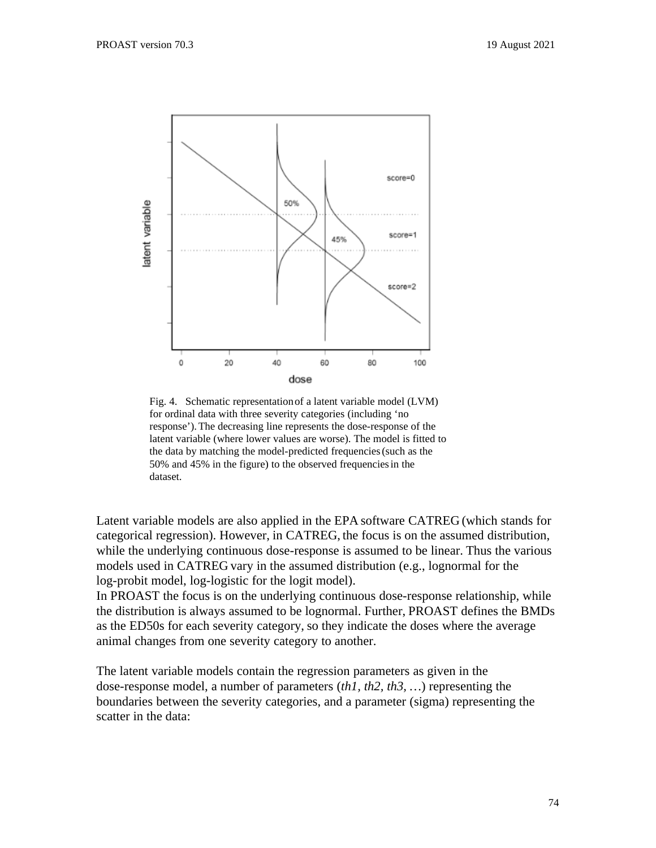

Fig. 4. Schematic representationof a latent variable model (LVM) for ordinal data with three severity categories (including 'no response').The decreasing line represents the dose-response of the latent variable (where lower values are worse). The model is fitted to the data by matching the model-predicted frequencies(such as the 50% and 45% in the figure) to the observed frequenciesin the dataset.

Latent variable models are also applied in the EPA software CATREG (which stands for categorical regression). However, in CATREG, the focus is on the assumed distribution, while the underlying continuous dose-response is assumed to be linear. Thus the various models used in CATREG vary in the assumed distribution (e.g., lognormal for the log-probit model, log-logistic for the logit model).

In PROAST the focus is on the underlying continuous dose-response relationship, while the distribution is always assumed to be lognormal. Further, PROAST defines the BMDs as the ED50s for each severity category, so they indicate the doses where the average animal changes from one severity category to another.

The latent variable models contain the regression parameters as given in the dose-response model, a number of parameters (*th1, th2, th3, …*) representing the boundaries between the severity categories, and a parameter (sigma) representing the scatter in the data: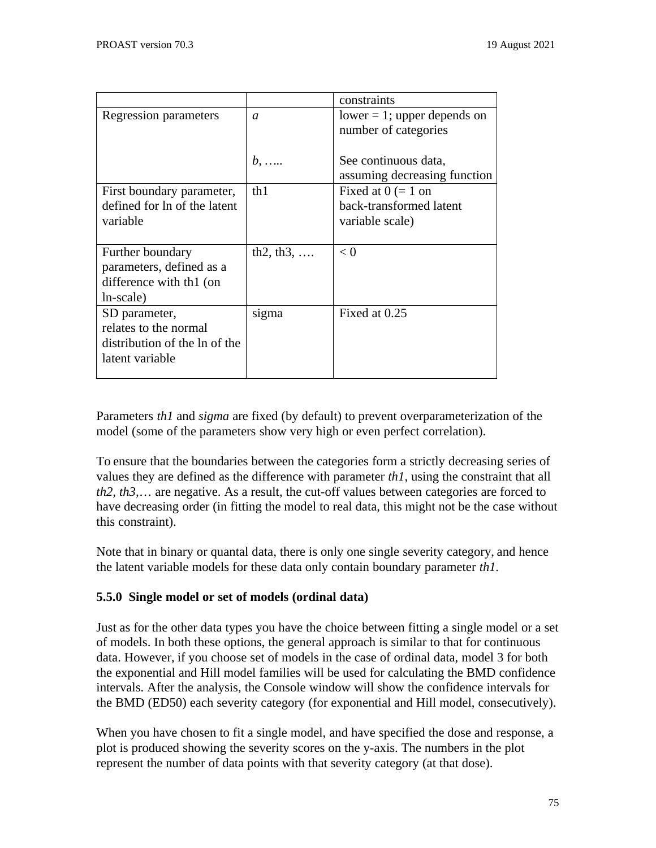|                               |                    | constraints                    |
|-------------------------------|--------------------|--------------------------------|
| Regression parameters         | $\sigma$           | $lower = 1$ ; upper depends on |
|                               |                    | number of categories           |
|                               |                    | See continuous data,           |
|                               | $b, \ldots$        | assuming decreasing function   |
| First boundary parameter,     | th1                | Fixed at $0 (= 1$ on           |
| defined for ln of the latent  |                    | back-transformed latent        |
| variable                      |                    | variable scale)                |
|                               |                    |                                |
| Further boundary              | $th2, th3, \ldots$ | $\leq 0$                       |
| parameters, defined as a      |                    |                                |
| difference with th1 (on       |                    |                                |
| ln-scale)                     |                    |                                |
| SD parameter,                 | sigma              | Fixed at 0.25                  |
| relates to the normal         |                    |                                |
| distribution of the ln of the |                    |                                |
| latent variable               |                    |                                |
|                               |                    |                                |

Parameters *th1* and *sigma* are fixed (by default) to prevent overparameterization of the model (some of the parameters show very high or even perfect correlation).

To ensure that the boundaries between the categories form a strictly decreasing series of values they are defined as the difference with parameter *th1*, using the constraint that all *th2, th3*,… are negative. As a result, the cut-off values between categories are forced to have decreasing order (in fitting the model to real data, this might not be the case without this constraint).

Note that in binary or quantal data, there is only one single severity category, and hence the latent variable models for these data only contain boundary parameter *th1.*

### **5.5.0 Single model or set of models (ordinal data)**

Just as for the other data types you have the choice between fitting a single model or a set of models. In both these options, the general approach is similar to that for continuous data. However, if you choose set of models in the case of ordinal data, model 3 for both the exponential and Hill model families will be used for calculating the BMD confidence intervals. After the analysis, the Console window will show the confidence intervals for the BMD (ED50) each severity category (for exponential and Hill model, consecutively).

When you have chosen to fit a single model, and have specified the dose and response, a plot is produced showing the severity scores on the y-axis. The numbers in the plot represent the number of data points with that severity category (at that dose).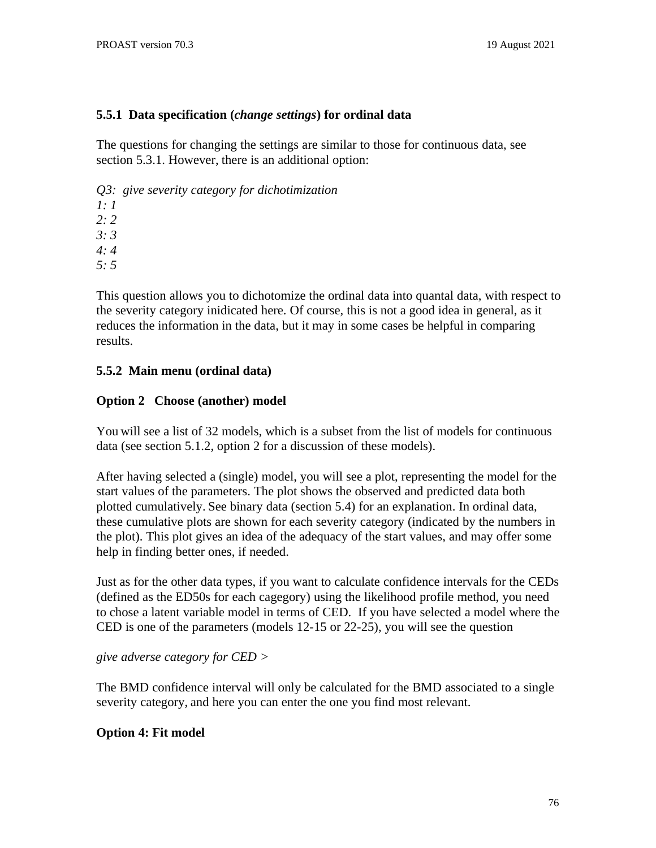### **5.5.1 Data specification (***change settings***) for ordinal data**

The questions for changing the settings are similar to those for continuous data, see section 5.3.1. However, there is an additional option:

*Q3: give severity category for dichotimization*

*1: 1 2: 2*

*3: 3*

*4: 4*

*5: 5*

This question allows you to dichotomize the ordinal data into quantal data, with respect to the severity category inidicated here. Of course, this is not a good idea in general, as it reduces the information in the data, but it may in some cases be helpful in comparing results.

## **5.5.2 Main menu (ordinal data)**

## **Option 2 Choose (another) model**

You will see a list of 32 models, which is a subset from the list of models for continuous data (see section 5.1.2, option 2 for a discussion of these models).

After having selected a (single) model, you will see a plot, representing the model for the start values of the parameters. The plot shows the observed and predicted data both plotted cumulatively. See binary data (section 5.4) for an explanation. In ordinal data, these cumulative plots are shown for each severity category (indicated by the numbers in the plot). This plot gives an idea of the adequacy of the start values, and may offer some help in finding better ones, if needed.

Just as for the other data types, if you want to calculate confidence intervals for the CEDs (defined as the ED50s for each cagegory) using the likelihood profile method, you need to chose a latent variable model in terms of CED. If you have selected a model where the CED is one of the parameters (models 12-15 or 22-25), you will see the question

*give adverse category for CED >*

The BMD confidence interval will only be calculated for the BMD associated to a single severity category, and here you can enter the one you find most relevant.

# **Option 4: Fit model**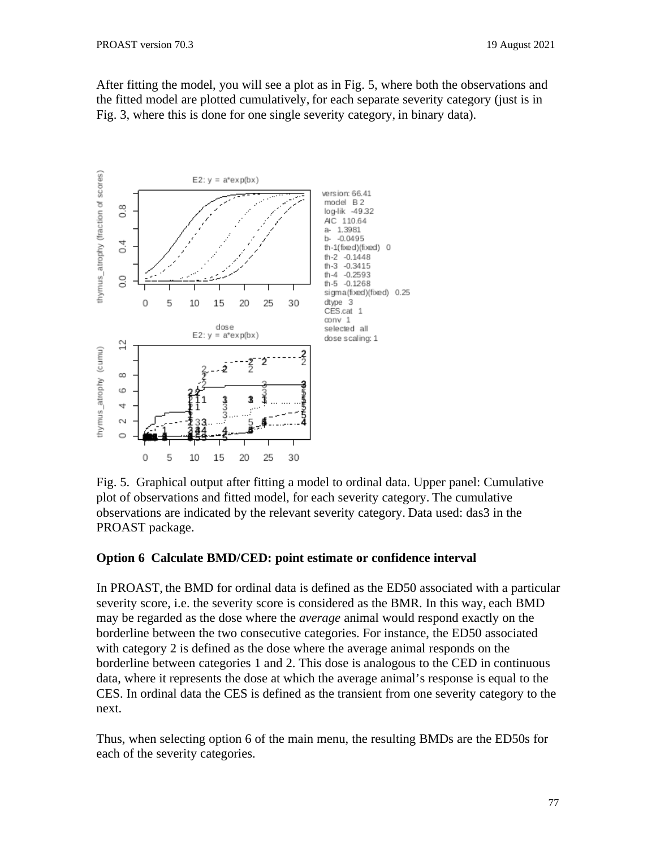After fitting the model, you will see a plot as in Fig. 5, where both the observations and the fitted model are plotted cumulatively, for each separate severity category (just is in Fig. 3, where this is done for one single severity category, in binary data).



Fig. 5. Graphical output after fitting a model to ordinal data. Upper panel: Cumulative plot of observations and fitted model, for each severity category. The cumulative observations are indicated by the relevant severity category. Data used: das3 in the PROAST package.

#### **Option 6 Calculate BMD/CED: point estimate or confidence interval**

In PROAST, the BMD for ordinal data is defined as the ED50 associated with a particular severity score, i.e. the severity score is considered as the BMR. In this way, each BMD may be regarded as the dose where the *average* animal would respond exactly on the borderline between the two consecutive categories. For instance, the ED50 associated with category 2 is defined as the dose where the average animal responds on the borderline between categories 1 and 2. This dose is analogous to the CED in continuous data, where it represents the dose at which the average animal's response is equal to the CES. In ordinal data the CES is defined as the transient from one severity category to the next.

Thus, when selecting option 6 of the main menu, the resulting BMDs are the ED50s for each of the severity categories.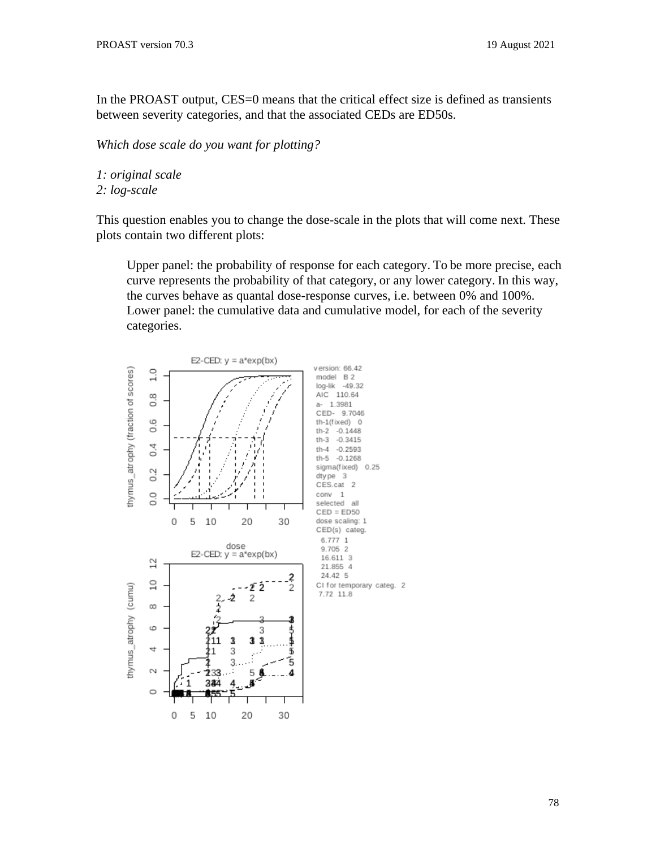In the PROAST output, CES=0 means that the critical effect size is defined as transients between severity categories, and that the associated CEDs are ED50s.

*Which dose scale do you want for plotting?*

*1: original scale*

*2: log-scale*

This question enables you to change the dose-scale in the plots that will come next. These plots contain two different plots:

Upper panel: the probability of response for each category. To be more precise, each curve represents the probability of that category, or any lower category. In this way, the curves behave as quantal dose-response curves, i.e. between 0% and 100%. Lower panel: the cumulative data and cumulative model, for each of the severity categories.

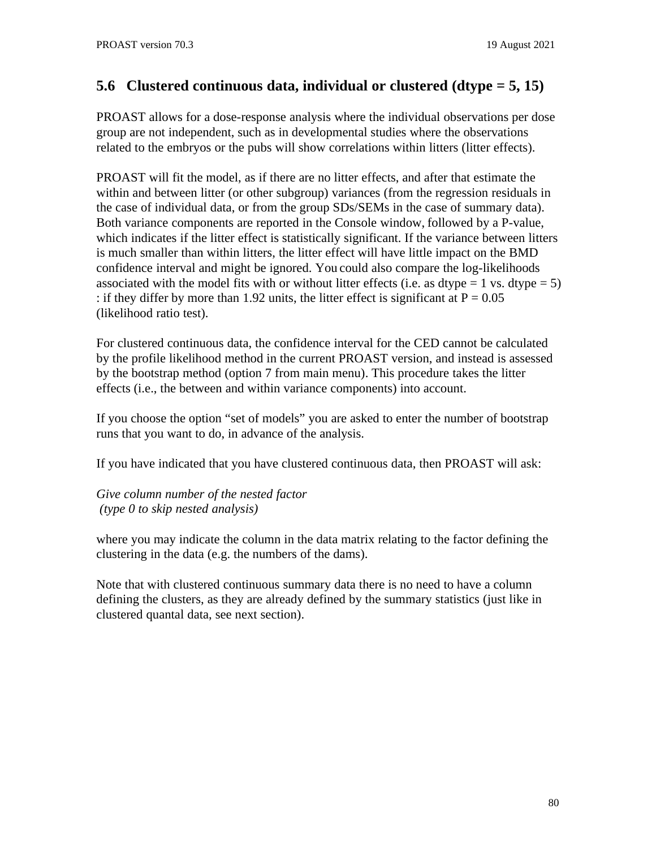# **5.6 Clustered continuous data, individual or clustered (dtype = 5, 15)**

PROAST allows for a dose-response analysis where the individual observations per dose group are not independent, such as in developmental studies where the observations related to the embryos or the pubs will show correlations within litters (litter effects).

PROAST will fit the model, as if there are no litter effects, and after that estimate the within and between litter (or other subgroup) variances (from the regression residuals in the case of individual data, or from the group SDs/SEMs in the case of summary data). Both variance components are reported in the Console window, followed by a P-value, which indicates if the litter effect is statistically significant. If the variance between litters is much smaller than within litters, the litter effect will have little impact on the BMD confidence interval and might be ignored. You could also compare the log-likelihoods associated with the model fits with or without litter effects (i.e. as dtype  $= 1$  vs. dtype  $= 5$ ) : if they differ by more than 1.92 units, the litter effect is significant at  $P = 0.05$ (likelihood ratio test).

For clustered continuous data, the confidence interval for the CED cannot be calculated by the profile likelihood method in the current PROAST version, and instead is assessed by the bootstrap method (option 7 from main menu). This procedure takes the litter effects (i.e., the between and within variance components) into account.

If you choose the option "set of models" you are asked to enter the number of bootstrap runs that you want to do, in advance of the analysis.

If you have indicated that you have clustered continuous data, then PROAST will ask:

*Give column number of the nested factor (type 0 to skip nested analysis)*

where you may indicate the column in the data matrix relating to the factor defining the clustering in the data (e.g. the numbers of the dams).

Note that with clustered continuous summary data there is no need to have a column defining the clusters, as they are already defined by the summary statistics (just like in clustered quantal data, see next section).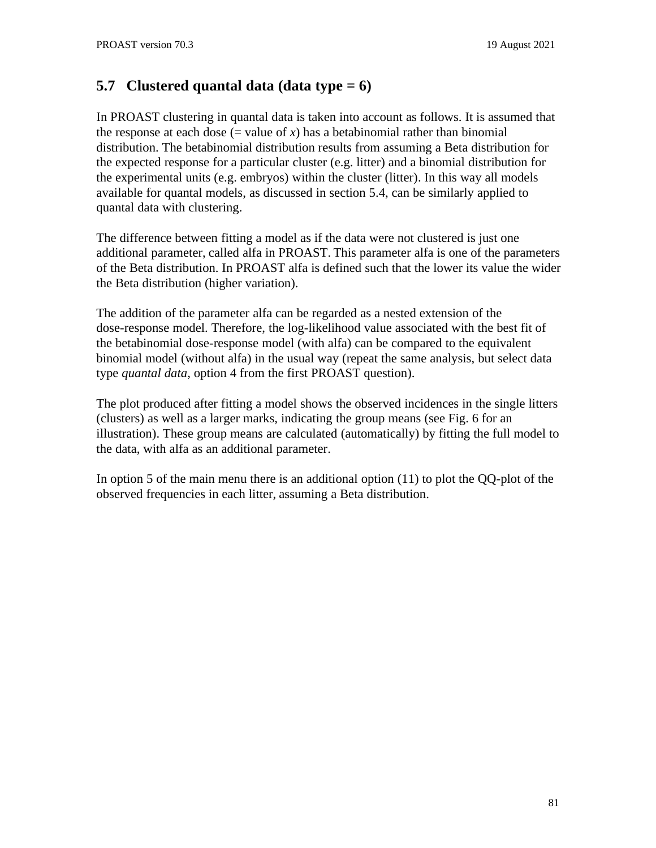# **5.7 Clustered quantal data (data type = 6)**

In PROAST clustering in quantal data is taken into account as follows. It is assumed that the response at each dose  $(=$  value of  $x)$  has a betabinomial rather than binomial distribution. The betabinomial distribution results from assuming a Beta distribution for the expected response for a particular cluster (e.g. litter) and a binomial distribution for the experimental units (e.g. embryos) within the cluster (litter). In this way all models available for quantal models, as discussed in section 5.4, can be similarly applied to quantal data with clustering.

The difference between fitting a model as if the data were not clustered is just one additional parameter, called alfa in PROAST. This parameter alfa is one of the parameters of the Beta distribution. In PROAST alfa is defined such that the lower its value the wider the Beta distribution (higher variation).

The addition of the parameter alfa can be regarded as a nested extension of the dose-response model. Therefore, the log-likelihood value associated with the best fit of the betabinomial dose-response model (with alfa) can be compared to the equivalent binomial model (without alfa) in the usual way (repeat the same analysis, but select data type *quantal data*, option 4 from the first PROAST question).

The plot produced after fitting a model shows the observed incidences in the single litters (clusters) as well as a larger marks, indicating the group means (see Fig. 6 for an illustration). These group means are calculated (automatically) by fitting the full model to the data, with alfa as an additional parameter.

In option 5 of the main menu there is an additional option (11) to plot the QQ-plot of the observed frequencies in each litter, assuming a Beta distribution.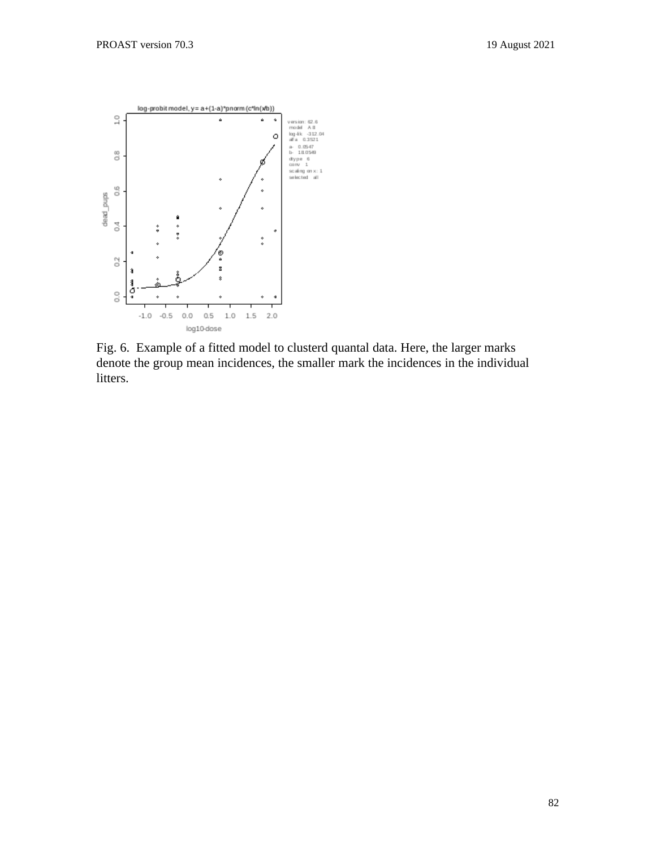

Fig. 6. Example of a fitted model to clusterd quantal data. Here, the larger marks denote the group mean incidences, the smaller mark the incidences in the individual litters.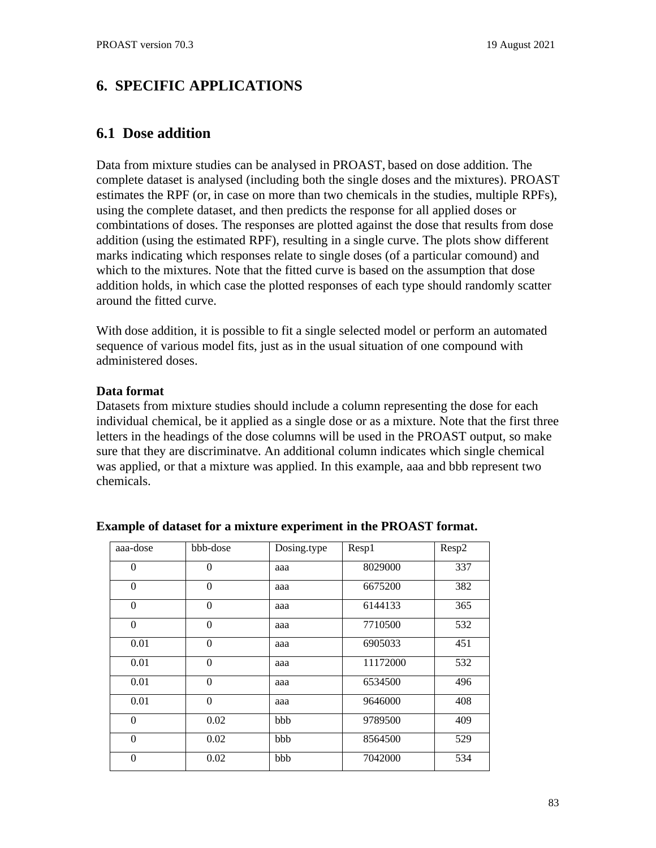# **6. SPECIFIC APPLICATIONS**

## **6.1 Dose addition**

Data from mixture studies can be analysed in PROAST, based on dose addition. The complete dataset is analysed (including both the single doses and the mixtures). PROAST estimates the RPF (or, in case on more than two chemicals in the studies, multiple RPFs), using the complete dataset, and then predicts the response for all applied doses or combintations of doses. The responses are plotted against the dose that results from dose addition (using the estimated RPF), resulting in a single curve. The plots show different marks indicating which responses relate to single doses (of a particular comound) and which to the mixtures. Note that the fitted curve is based on the assumption that dose addition holds, in which case the plotted responses of each type should randomly scatter around the fitted curve.

With dose addition, it is possible to fit a single selected model or perform an automated sequence of various model fits, just as in the usual situation of one compound with administered doses.

### **Data format**

Datasets from mixture studies should include a column representing the dose for each individual chemical, be it applied as a single dose or as a mixture. Note that the first three letters in the headings of the dose columns will be used in the PROAST output, so make sure that they are discriminatve. An additional column indicates which single chemical was applied, or that a mixture was applied. In this example, aaa and bbb represent two chemicals.

| aaa-dose         | bbb-dose       | Dosing.type | Resp1    | Resp2 |
|------------------|----------------|-------------|----------|-------|
| $\mathbf{0}$     | $\overline{0}$ | aaa         | 8029000  | 337   |
| $\theta$         | $\theta$       | aaa         | 6675200  | 382   |
| $\theta$         | $\theta$       | aaa         | 6144133  | 365   |
| $\theta$         | $\theta$       | aaa         | 7710500  | 532   |
| 0.01             | $\theta$       | aaa         | 6905033  | 451   |
| 0.01             | $\theta$       | aaa         | 11172000 | 532   |
| 0.01             | $\theta$       | aaa         | 6534500  | 496   |
| 0.01             | $\Omega$       | aaa         | 9646000  | 408   |
| $\theta$         | 0.02           | bbb         | 9789500  | 409   |
| $\theta$         | 0.02           | bbb         | 8564500  | 529   |
| $\boldsymbol{0}$ | 0.02           | bbb         | 7042000  | 534   |

#### **Example of dataset for a mixture experiment in the PROAST format.**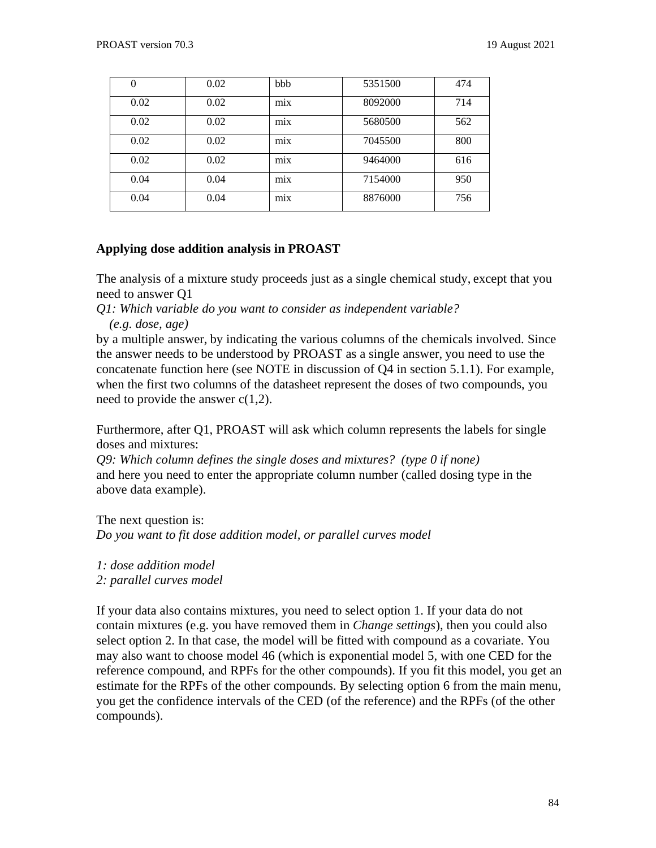| 0    | 0.02 | bbb              | 5351500 | 474 |
|------|------|------------------|---------|-----|
| 0.02 | 0.02 | $\cdot$<br>mix   | 8092000 | 714 |
| 0.02 | 0.02 | mix              | 5680500 | 562 |
| 0.02 | 0.02 | $\bullet$<br>mix | 7045500 | 800 |
| 0.02 | 0.02 | $\cdot$<br>mix   | 9464000 | 616 |
| 0.04 | 0.04 | mix              | 7154000 | 950 |
| 0.04 | 0.04 | $\bullet$<br>mix | 8876000 | 756 |

### **Applying dose addition analysis in PROAST**

The analysis of a mixture study proceeds just as a single chemical study, except that you need to answer Q1

*Q1: Which variable do you want to consider as independent variable?*

 *(e.g. dose, age)*

by a multiple answer, by indicating the various columns of the chemicals involved. Since the answer needs to be understood by PROAST as a single answer, you need to use the concatenate function here (see NOTE in discussion of Q4 in section 5.1.1). For example, when the first two columns of the datasheet represent the doses of two compounds, you need to provide the answer  $c(1,2)$ .

Furthermore, after Q1, PROAST will ask which column represents the labels for single doses and mixtures:

*Q9: Which column defines the single doses and mixtures? (type 0 if none)* and here you need to enter the appropriate column number (called dosing type in the above data example).

The next question is: *Do you want to fit dose addition model, or parallel curves model*

*1: dose addition model*

*2: parallel curves model*

If your data also contains mixtures, you need to select option 1. If your data do not contain mixtures (e.g. you have removed them in *Change settings*), then you could also select option 2. In that case, the model will be fitted with compound as a covariate. You may also want to choose model 46 (which is exponential model 5, with one CED for the reference compound, and RPFs for the other compounds). If you fit this model, you get an estimate for the RPFs of the other compounds. By selecting option 6 from the main menu, you get the confidence intervals of the CED (of the reference) and the RPFs (of the other compounds).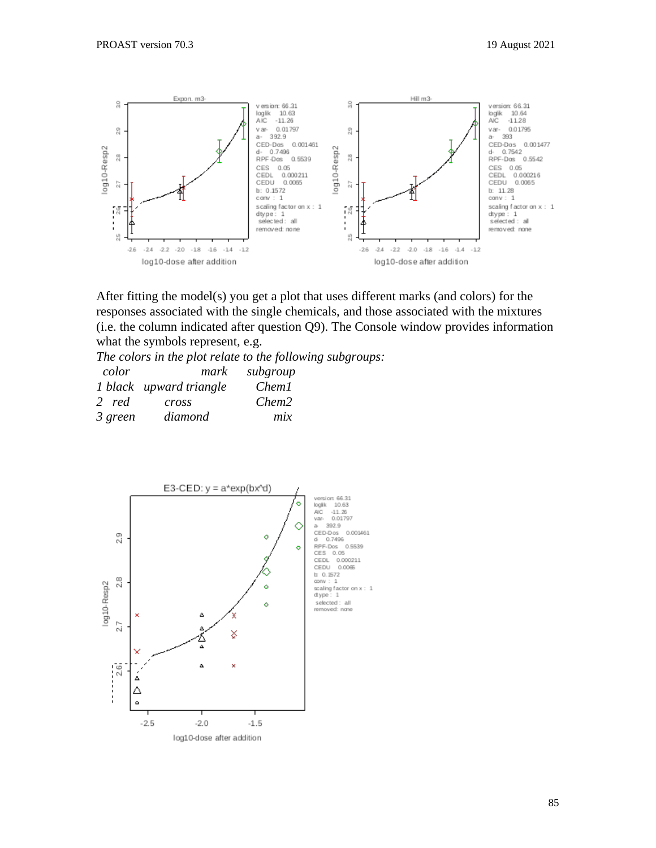

After fitting the model(s) you get a plot that uses different marks (and colors) for the responses associated with the single chemicals, and those associated with the mixtures (i.e. the column indicated after question Q9). The Console window provides information what the symbols represent, e.g.

*The colors in the plot relate to the following subgroups:*

| color   | mark                    | subgroup          |
|---------|-------------------------|-------------------|
|         | 1 black upward triangle | Chem1             |
| 2 red   | cross                   | Chem <sub>2</sub> |
| 3 green | diamond                 | mix               |

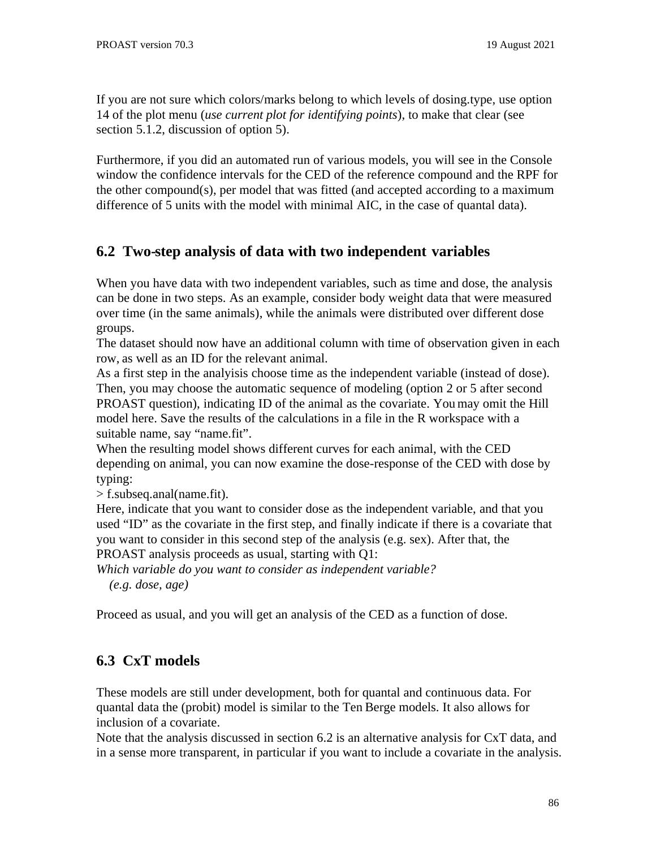If you are not sure which colors/marks belong to which levels of dosing.type, use option 14 of the plot menu (*use current plot for identifying points*), to make that clear (see section 5.1.2, discussion of option 5).

Furthermore, if you did an automated run of various models, you will see in the Console window the confidence intervals for the CED of the reference compound and the RPF for the other compound(s), per model that was fitted (and accepted according to a maximum difference of 5 units with the model with minimal AIC, in the case of quantal data).

# **6.2 Two-step analysis of data with two independent variables**

When you have data with two independent variables, such as time and dose, the analysis can be done in two steps. As an example, consider body weight data that were measured over time (in the same animals), while the animals were distributed over different dose groups.

The dataset should now have an additional column with time of observation given in each row, as well as an ID for the relevant animal.

As a first step in the analyisis choose time as the independent variable (instead of dose). Then, you may choose the automatic sequence of modeling (option 2 or 5 after second PROAST question), indicating ID of the animal as the covariate. You may omit the Hill model here. Save the results of the calculations in a file in the R workspace with a suitable name, say "name.fit".

When the resulting model shows different curves for each animal, with the CED depending on animal, you can now examine the dose-response of the CED with dose by typing:

> f.subseq.anal(name.fit).

Here, indicate that you want to consider dose as the independent variable, and that you used "ID" as the covariate in the first step, and finally indicate if there is a covariate that you want to consider in this second step of the analysis (e.g. sex). After that, the PROAST analysis proceeds as usual, starting with Q1:

*Which variable do you want to consider as independent variable?*

 *(e.g. dose, age)*

Proceed as usual, and you will get an analysis of the CED as a function of dose.

# **6.3 CxT models**

These models are still under development, both for quantal and continuous data. For quantal data the (probit) model is similar to the Ten Berge models. It also allows for inclusion of a covariate.

Note that the analysis discussed in section 6.2 is an alternative analysis for CxT data, and in a sense more transparent, in particular if you want to include a covariate in the analysis.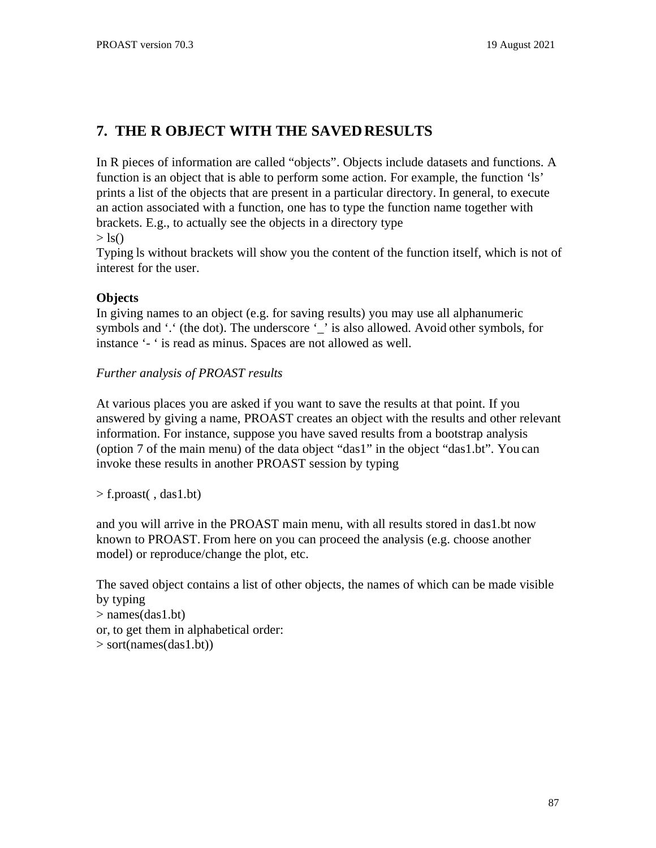# **7. THE R OBJECT WITH THE SAVEDRESULTS**

In R pieces of information are called "objects". Objects include datasets and functions. A function is an object that is able to perform some action. For example, the function 'ls' prints a list of the objects that are present in a particular directory. In general, to execute an action associated with a function, one has to type the function name together with brackets. E.g., to actually see the objects in a directory type  $>$  ls()

Typing ls without brackets will show you the content of the function itself, which is not of interest for the user.

### **Objects**

In giving names to an object (e.g. for saving results) you may use all alphanumeric symbols and '.' (the dot). The underscore '\_' is also allowed. Avoid other symbols, for instance '- ' is read as minus. Spaces are not allowed as well.

### *Further analysis of PROAST results*

At various places you are asked if you want to save the results at that point. If you answered by giving a name, PROAST creates an object with the results and other relevant information. For instance, suppose you have saved results from a bootstrap analysis (option 7 of the main menu) of the data object "das1" in the object "das1.bt". You can invoke these results in another PROAST session by typing

 $>$  f.proast(, das1.bt)

and you will arrive in the PROAST main menu, with all results stored in das1.bt now known to PROAST. From here on you can proceed the analysis (e.g. choose another model) or reproduce/change the plot, etc.

The saved object contains a list of other objects, the names of which can be made visible by typing > names(das1.bt) or, to get them in alphabetical order:

```
> sort(names(das1.bt))
```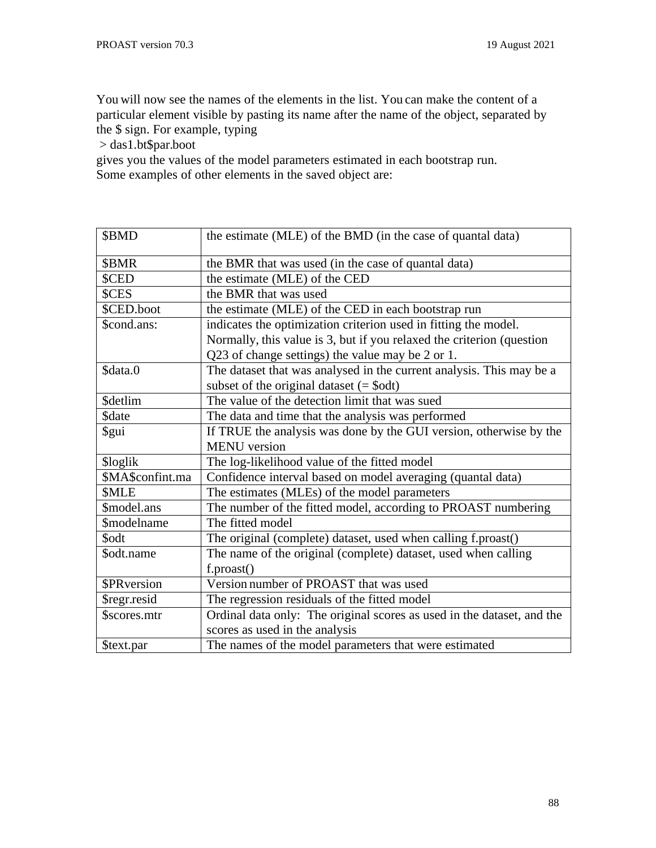You will now see the names of the elements in the list. You can make the content of a particular element visible by pasting its name after the name of the object, separated by the \$ sign. For example, typing

> das1.bt\$par.boot

gives you the values of the model parameters estimated in each bootstrap run. Some examples of other elements in the saved object are:

| \$BMD              | the estimate (MLE) of the BMD (in the case of quantal data)            |
|--------------------|------------------------------------------------------------------------|
| \$BMR              | the BMR that was used (in the case of quantal data)                    |
| \$CED              | the estimate (MLE) of the CED                                          |
| \$CES              | the BMR that was used                                                  |
| \$CED.boot         | the estimate (MLE) of the CED in each bootstrap run                    |
| \$cond.ans:        | indicates the optimization criterion used in fitting the model.        |
|                    | Normally, this value is 3, but if you relaxed the criterion (question  |
|                    | Q23 of change settings) the value may be 2 or 1.                       |
| \$data.0           | The dataset that was analysed in the current analysis. This may be a   |
|                    | subset of the original dataset $(=\text{Sodt})$                        |
| <b>\$detlim</b>    | The value of the detection limit that was sued                         |
| \$date             | The data and time that the analysis was performed                      |
| \$gui              | If TRUE the analysis was done by the GUI version, otherwise by the     |
|                    | <b>MENU</b> version                                                    |
| \$loglik           | The log-likelihood value of the fitted model                           |
| \$MA\$confint.ma   | Confidence interval based on model averaging (quantal data)            |
| <b>SMLE</b>        | The estimates (MLEs) of the model parameters                           |
| \$model.ans        | The number of the fitted model, according to PROAST numbering          |
| <b>\$modelname</b> | The fitted model                                                       |
| \$odt              | The original (complete) dataset, used when calling f.proast()          |
| \$odt.name         | The name of the original (complete) dataset, used when calling         |
|                    | f.proast()                                                             |
| <b>\$PRversion</b> | Version number of PROAST that was used                                 |
| \$regr.resid       | The regression residuals of the fitted model                           |
| \$scores.mtr       | Ordinal data only: The original scores as used in the dataset, and the |
|                    | scores as used in the analysis                                         |
| \$text.par         | The names of the model parameters that were estimated                  |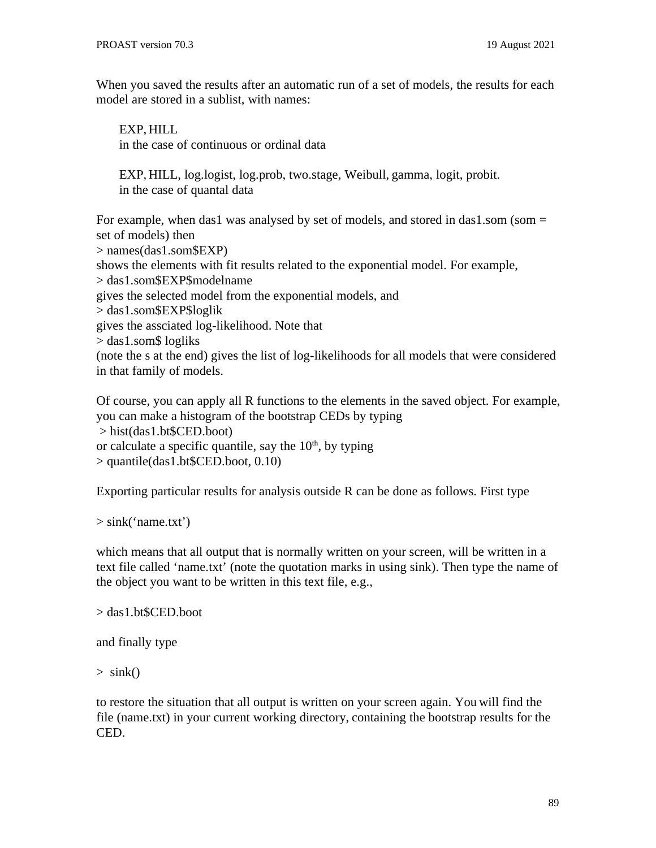When you saved the results after an automatic run of a set of models, the results for each model are stored in a sublist, with names:

EXP, HILL in the case of continuous or ordinal data

EXP, HILL, log.logist, log.prob, two.stage, Weibull, gamma, logit, probit. in the case of quantal data

For example, when das1 was analysed by set of models, and stored in das1,som (som = set of models) then > names(das1.som\$EXP) shows the elements with fit results related to the exponential model. For example, > das1.som\$EXP\$modelname gives the selected model from the exponential models, and > das1.som\$EXP\$loglik gives the assciated log-likelihood. Note that > das1.som\$ logliks (note the s at the end) gives the list of log-likelihoods for all models that were considered in that family of models.

Of course, you can apply all R functions to the elements in the saved object. For example, you can make a histogram of the bootstrap CEDs by typing > hist(das1.bt\$CED.boot) or calculate a specific quantile, say the  $10<sup>th</sup>$ , by typing > quantile(das1.bt\$CED.boot, 0.10)

Exporting particular results for analysis outside R can be done as follows. First type

> sink('name.txt')

which means that all output that is normally written on your screen, will be written in a text file called 'name.txt' (note the quotation marks in using sink). Then type the name of the object you want to be written in this text file, e.g.,

```
> das1.bt$CED.boot
```
and finally type

 $>$  sink()

to restore the situation that all output is written on your screen again. You will find the file (name.txt) in your current working directory, containing the bootstrap results for the CED.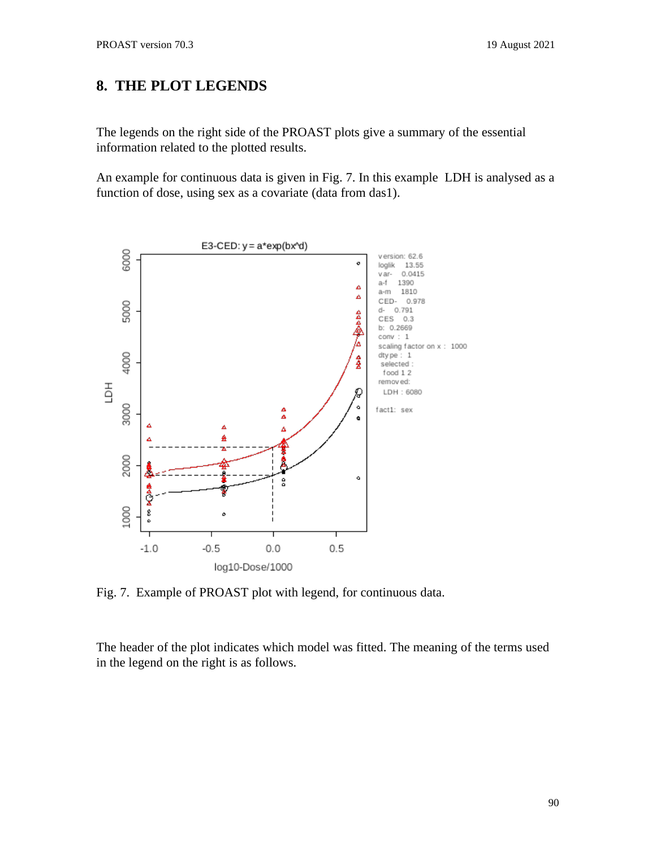# **8. THE PLOT LEGENDS**

The legends on the right side of the PROAST plots give a summary of the essential information related to the plotted results.

An example for continuous data is given in Fig. 7. In this example LDH is analysed as a function of dose, using sex as a covariate (data from das1).



Fig. 7. Example of PROAST plot with legend, for continuous data.

The header of the plot indicates which model was fitted. The meaning of the terms used in the legend on the right is as follows.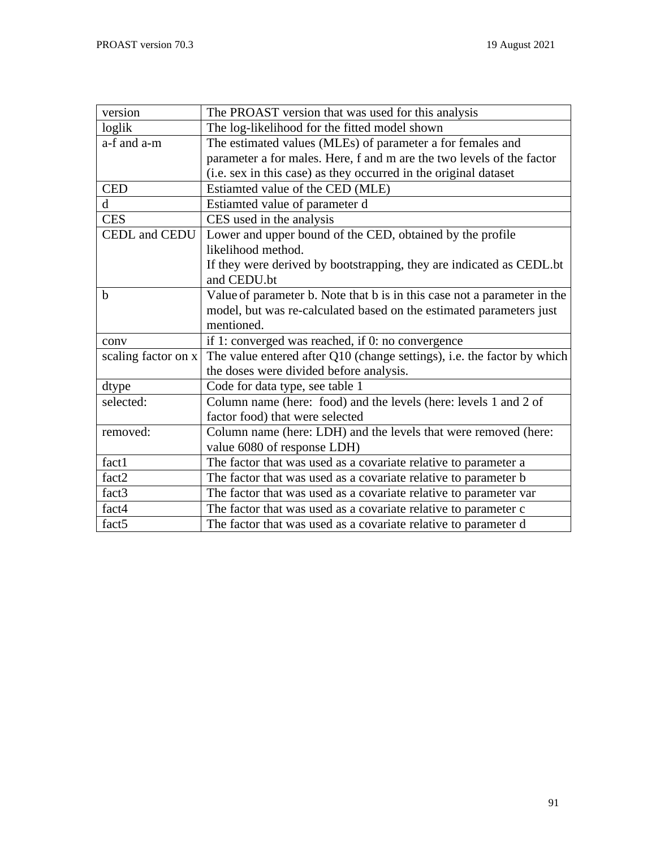| version             | The PROAST version that was used for this analysis                       |
|---------------------|--------------------------------------------------------------------------|
| loglik              | The log-likelihood for the fitted model shown                            |
| a-f and a-m         | The estimated values (MLEs) of parameter a for females and               |
|                     | parameter a for males. Here, f and m are the two levels of the factor    |
|                     | (i.e. sex in this case) as they occurred in the original dataset         |
| <b>CED</b>          | Estiamted value of the CED (MLE)                                         |
| d                   | Estiamted value of parameter d                                           |
| <b>CES</b>          | CES used in the analysis                                                 |
| CEDL and CEDU       | Lower and upper bound of the CED, obtained by the profile                |
|                     | likelihood method.                                                       |
|                     | If they were derived by bootstrapping, they are indicated as CEDL. bt    |
|                     | and CEDU.bt                                                              |
| b                   | Value of parameter b. Note that b is in this case not a parameter in the |
|                     | model, but was re-calculated based on the estimated parameters just      |
|                     | mentioned.                                                               |
| conv                | if 1: converged was reached, if 0: no convergence                        |
| scaling factor on x | The value entered after Q10 (change settings), i.e. the factor by which  |
|                     | the doses were divided before analysis.                                  |
| dtype               | Code for data type, see table 1                                          |
| selected:           | Column name (here: food) and the levels (here: levels 1 and 2 of         |
|                     | factor food) that were selected                                          |
| removed:            | Column name (here: LDH) and the levels that were removed (here:          |
|                     | value 6080 of response LDH)                                              |
| fact1               | The factor that was used as a covariate relative to parameter a          |
| fact <sub>2</sub>   | The factor that was used as a covariate relative to parameter b          |
| fact <sub>3</sub>   | The factor that was used as a covariate relative to parameter var        |
| fact4               | The factor that was used as a covariate relative to parameter c          |
| fact <sub>5</sub>   | The factor that was used as a covariate relative to parameter d          |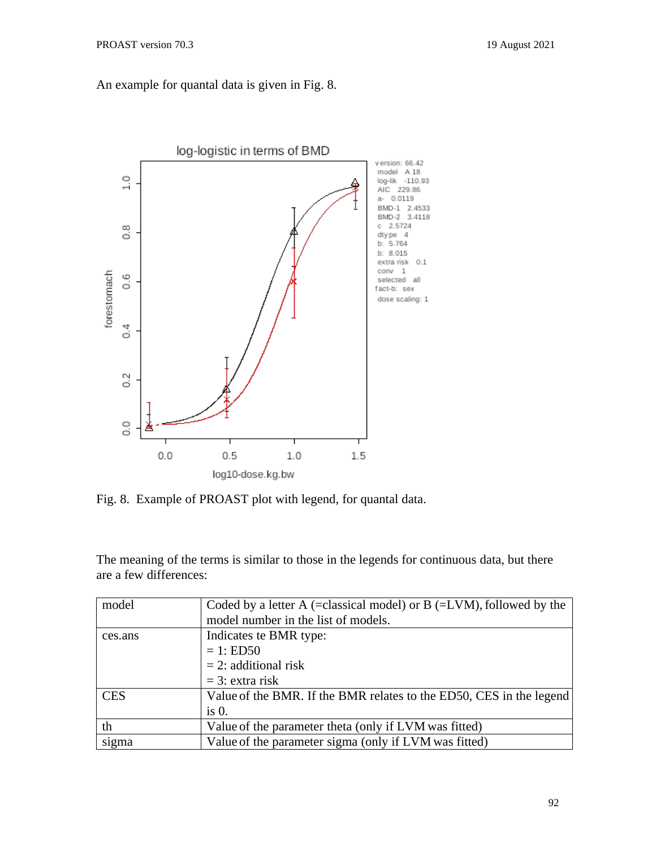## An example for quantal data is given in Fig. 8.



Fig. 8. Example of PROAST plot with legend, for quantal data.

The meaning of the terms is similar to those in the legends for continuous data, but there are a few differences:

| model      | Coded by a letter A (=classical model) or B (=LVM), followed by the |
|------------|---------------------------------------------------------------------|
|            | model number in the list of models.                                 |
| ces.ans    | Indicates te BMR type:                                              |
|            | $= 1: EDS0$                                                         |
|            | $= 2$ : additional risk                                             |
|            | $=$ 3: extra risk                                                   |
| <b>CES</b> | Value of the BMR. If the BMR relates to the ED50, CES in the legend |
|            | is 0.                                                               |
| th         | Value of the parameter theta (only if LVM was fitted)               |
| sigma      | Value of the parameter sigma (only if LVM was fitted)               |